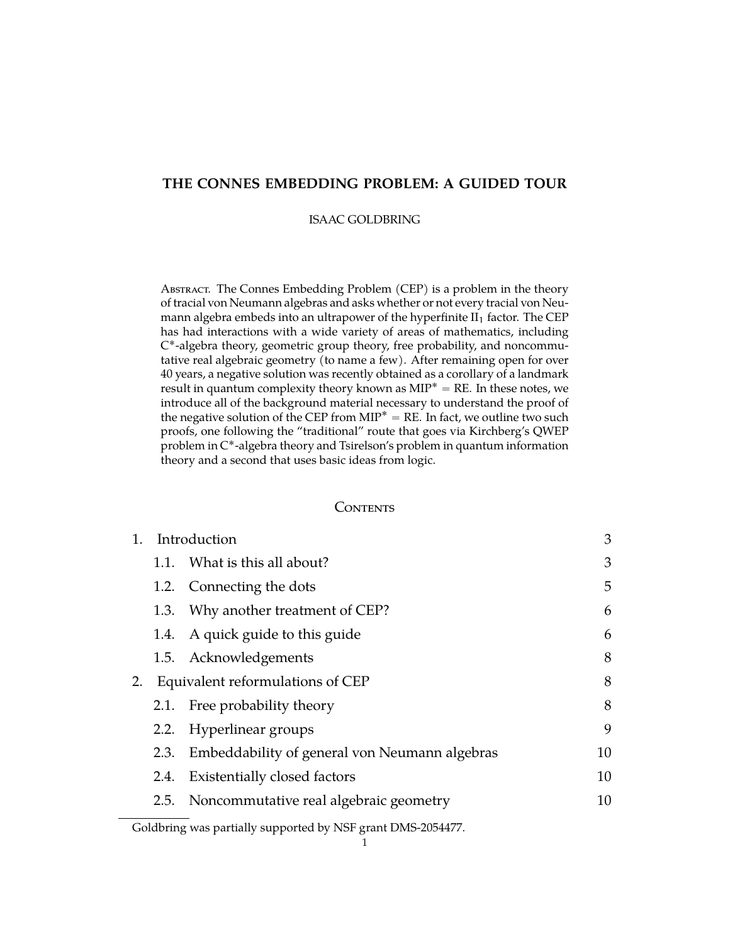# **THE CONNES EMBEDDING PROBLEM: A GUIDED TOUR**

# ISAAC GOLDBRING

ABSTRACT. The Connes Embedding Problem (CEP) is a problem in the theory of tracial von Neumann algebras and asks whether or not every tracial von Neumann algebra embeds into an ultrapower of the hyperfinite  $II_1$  factor. The CEP has had interactions with a wide variety of areas of mathematics, including C ˚-algebra theory, geometric group theory, free probability, and noncommutative real algebraic geometry (to name a few). After remaining open for over 40 years, a negative solution was recently obtained as a corollary of a landmark result in quantum complexity theory known as  $MIP^* = RE$ . In these notes, we introduce all of the background material necessary to understand the proof of the negative solution of the CEP from  $MIP^* = RE$ . In fact, we outline two such proofs, one following the "traditional" route that goes via Kirchberg's QWEP problem in C ˚-algebra theory and Tsirelson's problem in quantum information theory and a second that uses basic ideas from logic.

## **CONTENTS**

| 1. | Introduction                     |                                               |    |
|----|----------------------------------|-----------------------------------------------|----|
|    |                                  | 1.1. What is this all about?                  | 3  |
|    |                                  | 1.2. Connecting the dots                      | 5  |
|    | 1.3.                             | Why another treatment of CEP?                 | 6  |
|    |                                  | 1.4. A quick guide to this guide              | 6  |
|    |                                  | 1.5. Acknowledgements                         | 8  |
| 2. | Equivalent reformulations of CEP | 8                                             |    |
|    | 2.1.                             | Free probability theory                       | 8  |
|    | 2.2.                             | Hyperlinear groups                            | 9  |
|    | 2.3.                             | Embeddability of general von Neumann algebras | 10 |
|    | 2.4.                             | Existentially closed factors                  | 10 |
|    | 2.5.                             | Noncommutative real algebraic geometry        | 10 |
|    |                                  |                                               |    |

Goldbring was partially supported by NSF grant DMS-2054477.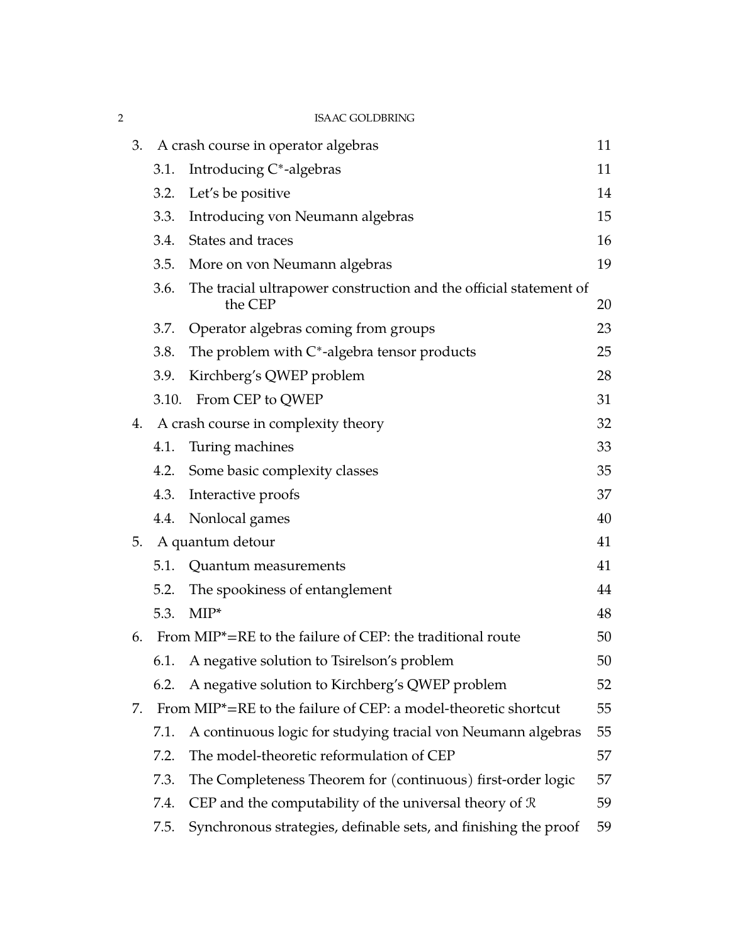| $\overline{2}$ |    |                                        | <b>ISAAC GOLDBRING</b>                                                       |    |
|----------------|----|----------------------------------------|------------------------------------------------------------------------------|----|
|                |    |                                        | 3. A crash course in operator algebras                                       | 11 |
|                |    | 3.1.                                   | Introducing C*-algebras                                                      | 11 |
|                |    |                                        | 3.2. Let's be positive                                                       | 14 |
|                |    | 3.3.                                   | Introducing von Neumann algebras                                             | 15 |
|                |    | 3.4.                                   | States and traces                                                            | 16 |
|                |    | 3.5.                                   | More on von Neumann algebras                                                 | 19 |
|                |    | 3.6.                                   | The tracial ultrapower construction and the official statement of<br>the CEP | 20 |
|                |    | 3.7.                                   | Operator algebras coming from groups                                         | 23 |
|                |    | 3.8.                                   | The problem with $C^*$ -algebra tensor products                              | 25 |
|                |    | 3.9.                                   | Kirchberg's QWEP problem                                                     | 28 |
|                |    | 3.10.                                  | From CEP to QWEP                                                             | 31 |
|                |    | 4. A crash course in complexity theory |                                                                              |    |
|                |    | 4.1.                                   | Turing machines                                                              | 33 |
|                |    | 4.2.                                   | Some basic complexity classes                                                | 35 |
|                |    | 4.3.                                   | Interactive proofs                                                           | 37 |
|                |    | 4.4.                                   | Nonlocal games                                                               | 40 |
|                | 5. |                                        | A quantum detour                                                             | 41 |
|                |    | 5.1.                                   | Quantum measurements                                                         | 41 |
|                |    | 5.2.                                   | The spookiness of entanglement                                               | 44 |
|                |    | 5.3.                                   | $MIP^*$                                                                      | 48 |
|                | 6. |                                        | From MIP*=RE to the failure of CEP: the traditional route                    | 50 |
|                |    | 6.1.                                   | A negative solution to Tsirelson's problem                                   | 50 |
|                |    | 6.2.                                   | A negative solution to Kirchberg's QWEP problem                              | 52 |
|                | 7. |                                        | From MIP*=RE to the failure of CEP: a model-theoretic shortcut               | 55 |
|                |    | 7.1.                                   | A continuous logic for studying tracial von Neumann algebras                 | 55 |
|                |    | 7.2.                                   | The model-theoretic reformulation of CEP                                     | 57 |
|                |    | 7.3.                                   | The Completeness Theorem for (continuous) first-order logic                  | 57 |
|                |    | 7.4.                                   | CEP and the computability of the universal theory of $R$                     | 59 |
|                |    | 7.5.                                   | Synchronous strategies, definable sets, and finishing the proof              | 59 |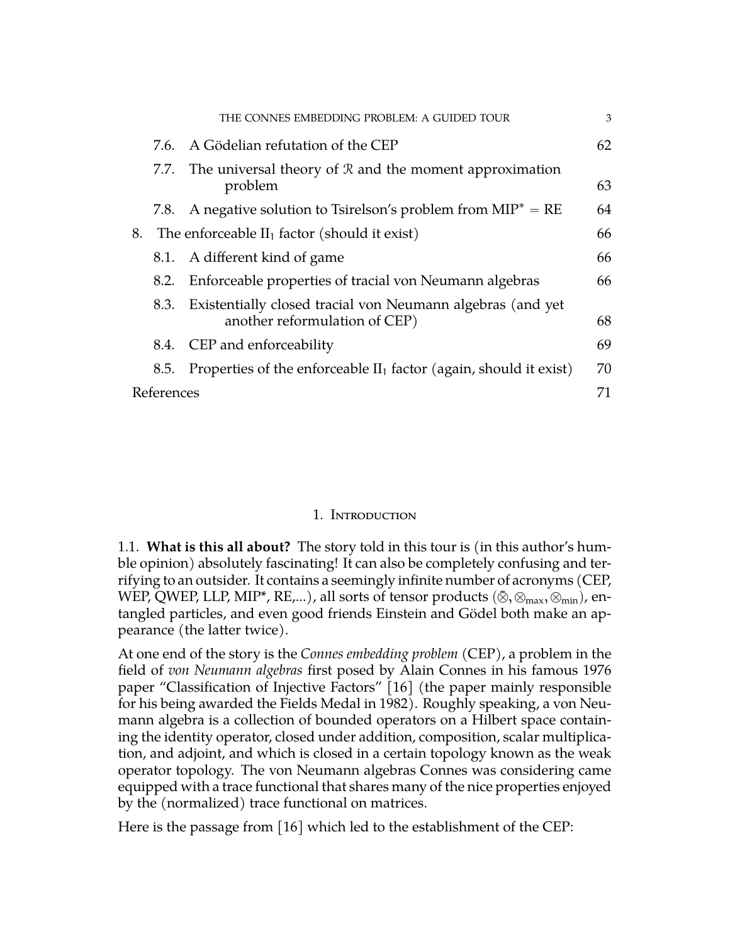|    |            | THE CONNES EMBEDDING PROBLEM: A GUIDED TOUR                                                 | 3  |  |  |
|----|------------|---------------------------------------------------------------------------------------------|----|--|--|
|    | 7.6.       | A Gödelian refutation of the CEP                                                            | 62 |  |  |
|    | 7.7.       | The universal theory of $R$ and the moment approximation<br>problem                         | 63 |  |  |
|    | 7.8.       | A negative solution to Tsirelson's problem from $MIP^* = RE$                                | 64 |  |  |
| 8. |            | The enforceable $II_1$ factor (should it exist)                                             | 66 |  |  |
|    |            | 8.1. A different kind of game                                                               | 66 |  |  |
|    |            | 8.2. Enforceable properties of tracial von Neumann algebras                                 | 66 |  |  |
|    | 8.3.       | Existentially closed tracial von Neumann algebras (and yet<br>another reformulation of CEP) | 68 |  |  |
|    | 8.4.       | CEP and enforceability                                                                      | 69 |  |  |
|    | 8.5.       | Properties of the enforceable $II_1$ factor (again, should it exist)                        | 70 |  |  |
|    | References |                                                                                             |    |  |  |

# 1. Introduction

<span id="page-2-1"></span><span id="page-2-0"></span>1.1. **What is this all about?** The story told in this tour is (in this author's humble opinion) absolutely fascinating! It can also be completely confusing and terrifying to an outsider. It contains a seemingly infinite number of acronyms (CEP, WEP, QWEP, LLP, MIP\*, RE,...), all sorts of tensor products  $(\bar{\otimes}, \otimes_{max}, \otimes_{min})$ , entangled particles, and even good friends Einstein and Gödel both make an appearance (the latter twice).

At one end of the story is the *Connes embedding problem* (CEP), a problem in the field of *von Neumann algebras* first posed by Alain Connes in his famous 1976 paper "Classification of Injective Factors" [\[16\]](#page-71-0) (the paper mainly responsible for his being awarded the Fields Medal in 1982). Roughly speaking, a von Neumann algebra is a collection of bounded operators on a Hilbert space containing the identity operator, closed under addition, composition, scalar multiplication, and adjoint, and which is closed in a certain topology known as the weak operator topology. The von Neumann algebras Connes was considering came equipped with a trace functional that shares many of the nice properties enjoyed by the (normalized) trace functional on matrices.

Here is the passage from [\[16\]](#page-71-0) which led to the establishment of the CEP: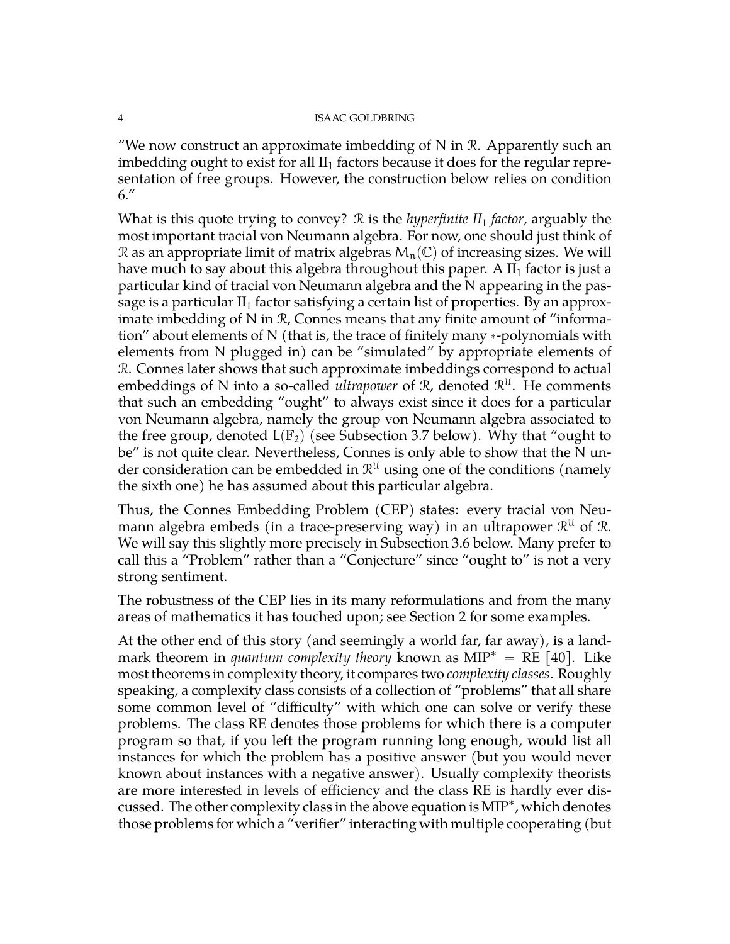"We now construct an approximate imbedding of  $N$  in  $\mathcal{R}$ . Apparently such an imbedding ought to exist for all  $II_1$  factors because it does for the regular representation of free groups. However, the construction below relies on condition 6."

What is this quote trying to convey? R is the *hyperfinite II*<sup>1</sup> *factor*, arguably the most important tracial von Neumann algebra. For now, one should just think of R as an appropriate limit of matrix algebras  $M_n(\mathbb{C})$  of increasing sizes. We will have much to say about this algebra throughout this paper. A  $II<sub>1</sub>$  factor is just a particular kind of tracial von Neumann algebra and the N appearing in the passage is a particular  $II_1$  factor satisfying a certain list of properties. By an approximate imbedding of N in R, Connes means that any finite amount of "information" about elements of  $N$  (that is, the trace of finitely many  $*$ -polynomials with elements from N plugged in) can be "simulated" by appropriate elements of R. Connes later shows that such approximate imbeddings correspond to actual embeddings of N into a so-called *ultrapower* of  $\mathcal{R}$ , denoted  $\mathcal{R}^{\mathcal{U}}$ . He comments that such an embedding "ought" to always exist since it does for a particular von Neumann algebra, namely the group von Neumann algebra associated to the free group, denoted  $L(\mathbb{F}_2)$  (see Subsection [3.7](#page-22-0) below). Why that "ought to be" is not quite clear. Nevertheless, Connes is only able to show that the N under consideration can be embedded in  $\mathcal{R}^\mathfrak{U}$  using one of the conditions (namely the sixth one) he has assumed about this particular algebra.

Thus, the Connes Embedding Problem (CEP) states: every tracial von Neumann algebra embeds (in a trace-preserving way) in an ultrapower  $\mathcal{R}^{\mathfrak{U}}$  of  $\mathcal{R}.$ We will say this slightly more precisely in Subsection [3.6](#page-19-0) below. Many prefer to call this a "Problem" rather than a "Conjecture" since "ought to" is not a very strong sentiment.

The robustness of the CEP lies in its many reformulations and from the many areas of mathematics it has touched upon; see Section [2](#page-7-1) for some examples.

At the other end of this story (and seemingly a world far, far away), is a landmark theorem in *quantum complexity theory* known as  $MIP^* = RE [40]$  $MIP^* = RE [40]$ . Like most theorems in complexity theory, it compares two *complexity classes*. Roughly speaking, a complexity class consists of a collection of "problems" that all share some common level of "difficulty" with which one can solve or verify these problems. The class RE denotes those problems for which there is a computer program so that, if you left the program running long enough, would list all instances for which the problem has a positive answer (but you would never known about instances with a negative answer). Usually complexity theorists are more interested in levels of efficiency and the class RE is hardly ever discussed. The other complexity class in the above equation is MIP˚ , which denotes those problems for which a "verifier" interacting with multiple cooperating (but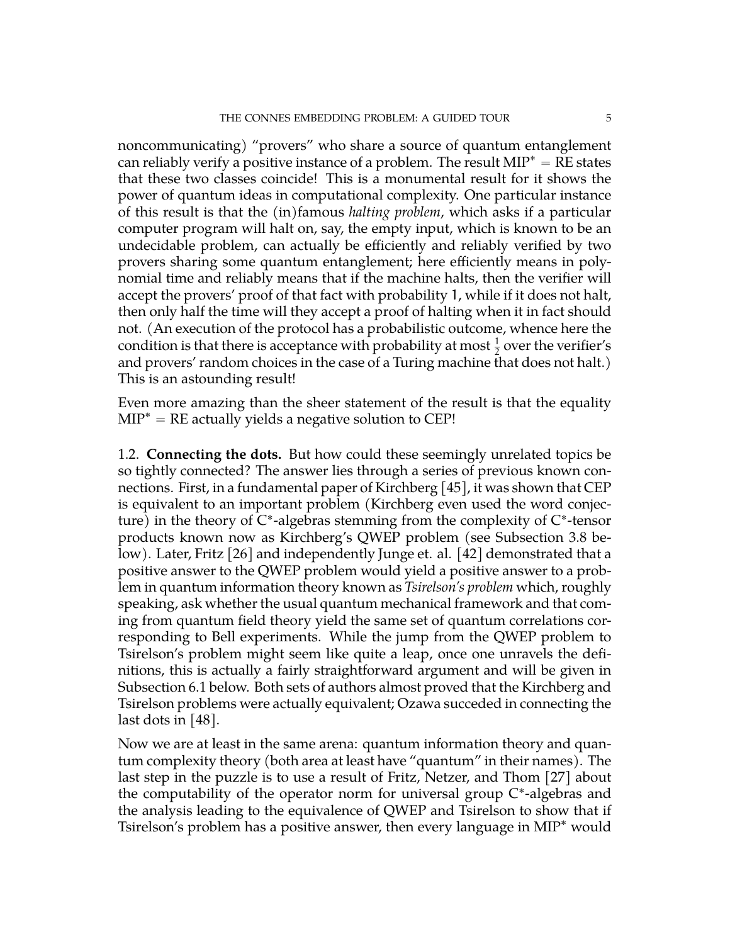noncommunicating) "provers" who share a source of quantum entanglement can reliably verify a positive instance of a problem. The result  $MIP^* = RE$  states that these two classes coincide! This is a monumental result for it shows the power of quantum ideas in computational complexity. One particular instance of this result is that the (in)famous *halting problem*, which asks if a particular computer program will halt on, say, the empty input, which is known to be an undecidable problem, can actually be efficiently and reliably verified by two provers sharing some quantum entanglement; here efficiently means in polynomial time and reliably means that if the machine halts, then the verifier will accept the provers' proof of that fact with probability 1, while if it does not halt, then only half the time will they accept a proof of halting when it in fact should not. (An execution of the protocol has a probabilistic outcome, whence here the condition is that there is acceptance with probability at most  $\frac{1}{2}$  over the verifier's and provers' random choices in the case of a Turing machine that does not halt.) This is an astounding result!

Even more amazing than the sheer statement of the result is that the equality  $MIP^* = RE$  actually yields a negative solution to CEP!

<span id="page-4-0"></span>1.2. **Connecting the dots.** But how could these seemingly unrelated topics be so tightly connected? The answer lies through a series of previous known connections. First, in a fundamental paper of Kirchberg [\[45\]](#page-72-1), it was shown that CEP is equivalent to an important problem (Kirchberg even used the word conjecture) in the theory of  $C^*$ -algebras stemming from the complexity of  $C^*$ -tensor products known now as Kirchberg's QWEP problem (see Subsection [3.8](#page-24-0) be-low). Later, Fritz [\[26\]](#page-71-1) and independently Junge et. al. [\[42\]](#page-72-2) demonstrated that a positive answer to the QWEP problem would yield a positive answer to a problem in quantum information theory known as *Tsirelson's problem* which, roughly speaking, ask whether the usual quantum mechanical framework and that coming from quantum field theory yield the same set of quantum correlations corresponding to Bell experiments. While the jump from the QWEP problem to Tsirelson's problem might seem like quite a leap, once one unravels the definitions, this is actually a fairly straightforward argument and will be given in Subsection [6.1](#page-49-1) below. Both sets of authors almost proved that the Kirchberg and Tsirelson problems were actually equivalent; Ozawa succeded in connecting the last dots in  $[48]$ .

Now we are at least in the same arena: quantum information theory and quantum complexity theory (both area at least have "quantum" in their names). The last step in the puzzle is to use a result of Fritz, Netzer, and Thom [\[27\]](#page-71-2) about the computability of the operator norm for universal group C\*-algebras and the analysis leading to the equivalence of QWEP and Tsirelson to show that if Tsirelson's problem has a positive answer, then every language in MIP˚ would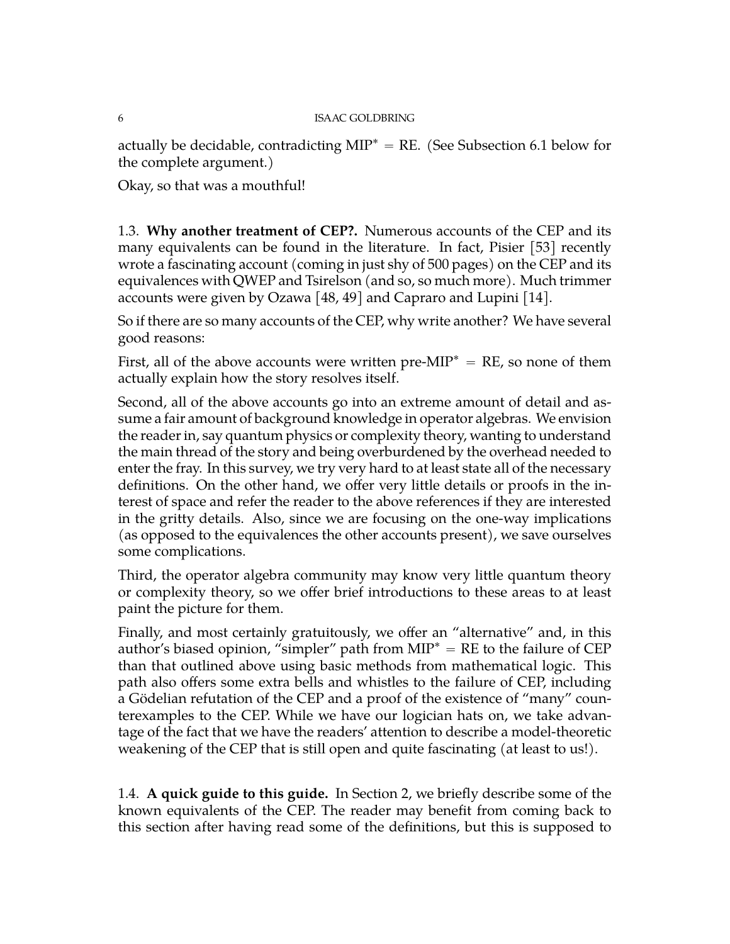actually be decidable, contradicting  $MIP^* = RE$ . (See Subsection [6.1](#page-49-1) below for the complete argument.)

Okay, so that was a mouthful!

<span id="page-5-0"></span>1.3. **Why another treatment of CEP?.** Numerous accounts of the CEP and its many equivalents can be found in the literature. In fact, Pisier [\[53\]](#page-72-4) recently wrote a fascinating account (coming in just shy of 500 pages) on the CEP and its equivalences with QWEP and Tsirelson (and so, so much more). Much trimmer accounts were given by Ozawa [\[48,](#page-72-3) [49\]](#page-72-5) and Capraro and Lupini [\[14\]](#page-71-3).

So if there are so many accounts of the CEP, why write another? We have several good reasons:

First, all of the above accounts were written pre-MIP<sup>\*</sup> = RE, so none of them actually explain how the story resolves itself.

Second, all of the above accounts go into an extreme amount of detail and assume a fair amount of background knowledge in operator algebras. We envision the reader in, say quantum physics or complexity theory, wanting to understand the main thread of the story and being overburdened by the overhead needed to enter the fray. In this survey, we try very hard to at least state all of the necessary definitions. On the other hand, we offer very little details or proofs in the interest of space and refer the reader to the above references if they are interested in the gritty details. Also, since we are focusing on the one-way implications (as opposed to the equivalences the other accounts present), we save ourselves some complications.

Third, the operator algebra community may know very little quantum theory or complexity theory, so we offer brief introductions to these areas to at least paint the picture for them.

Finally, and most certainly gratuitously, we offer an "alternative" and, in this author's biased opinion, "simpler" path from  $MIP^* = RE$  to the failure of CEP than that outlined above using basic methods from mathematical logic. This path also offers some extra bells and whistles to the failure of CEP, including a Gödelian refutation of the CEP and a proof of the existence of "many" counterexamples to the CEP. While we have our logician hats on, we take advantage of the fact that we have the readers' attention to describe a model-theoretic weakening of the CEP that is still open and quite fascinating (at least to us!).

<span id="page-5-1"></span>1.4. **A quick guide to this guide.** In Section 2, we briefly describe some of the known equivalents of the CEP. The reader may benefit from coming back to this section after having read some of the definitions, but this is supposed to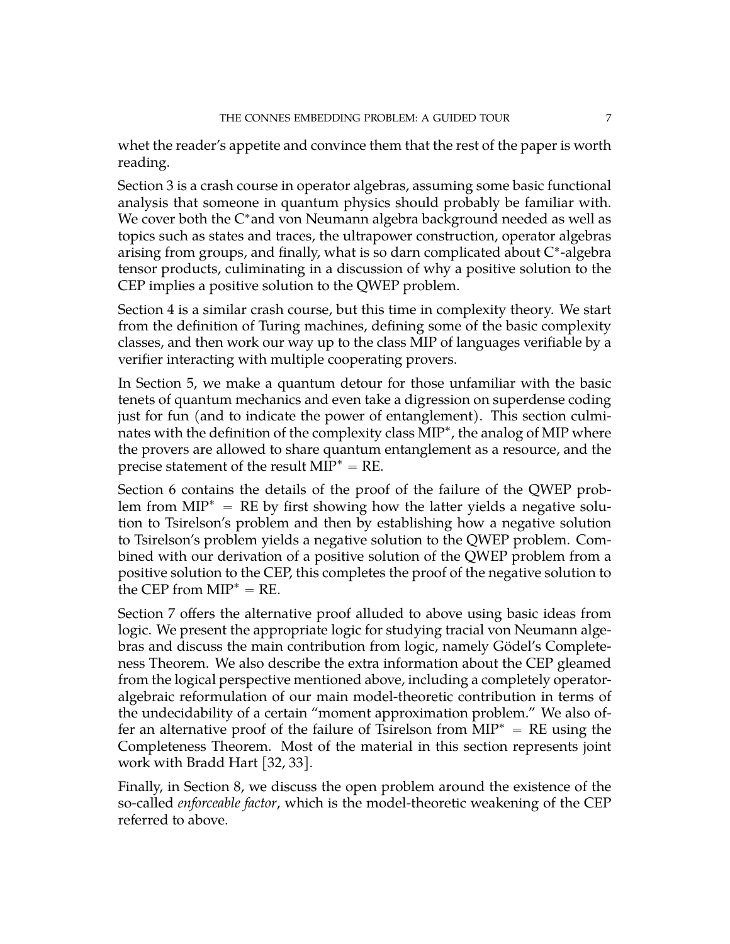whet the reader's appetite and convince them that the rest of the paper is worth reading.

Section 3 is a crash course in operator algebras, assuming some basic functional analysis that someone in quantum physics should probably be familiar with. We cover both the C\*and von Neumann algebra background needed as well as topics such as states and traces, the ultrapower construction, operator algebras arising from groups, and finally, what is so darn complicated about C ˚ -algebra tensor products, culiminating in a discussion of why a positive solution to the CEP implies a positive solution to the QWEP problem.

Section 4 is a similar crash course, but this time in complexity theory. We start from the definition of Turing machines, defining some of the basic complexity classes, and then work our way up to the class MIP of languages verifiable by a verifier interacting with multiple cooperating provers.

In Section 5, we make a quantum detour for those unfamiliar with the basic tenets of quantum mechanics and even take a digression on superdense coding just for fun (and to indicate the power of entanglement). This section culminates with the definition of the complexity class  $\text{MIP}^*$ , the analog of MIP where the provers are allowed to share quantum entanglement as a resource, and the precise statement of the result  $MIP^* = RE$ .

Section 6 contains the details of the proof of the failure of the QWEP problem from  $MIP^* = RE$  by first showing how the latter yields a negative solution to Tsirelson's problem and then by establishing how a negative solution to Tsirelson's problem yields a negative solution to the QWEP problem. Combined with our derivation of a positive solution of the QWEP problem from a positive solution to the CEP, this completes the proof of the negative solution to the CEP from  $MIP^* = RE$ .

Section 7 offers the alternative proof alluded to above using basic ideas from logic. We present the appropriate logic for studying tracial von Neumann algebras and discuss the main contribution from logic, namely Gödel's Completeness Theorem. We also describe the extra information about the CEP gleamed from the logical perspective mentioned above, including a completely operatoralgebraic reformulation of our main model-theoretic contribution in terms of the undecidability of a certain "moment approximation problem." We also offer an alternative proof of the failure of Tsirelson from  $MIP^* = RE$  using the Completeness Theorem. Most of the material in this section represents joint work with Bradd Hart [\[32,](#page-72-6) [33\]](#page-72-7).

Finally, in Section 8, we discuss the open problem around the existence of the so-called *enforceable factor*, which is the model-theoretic weakening of the CEP referred to above.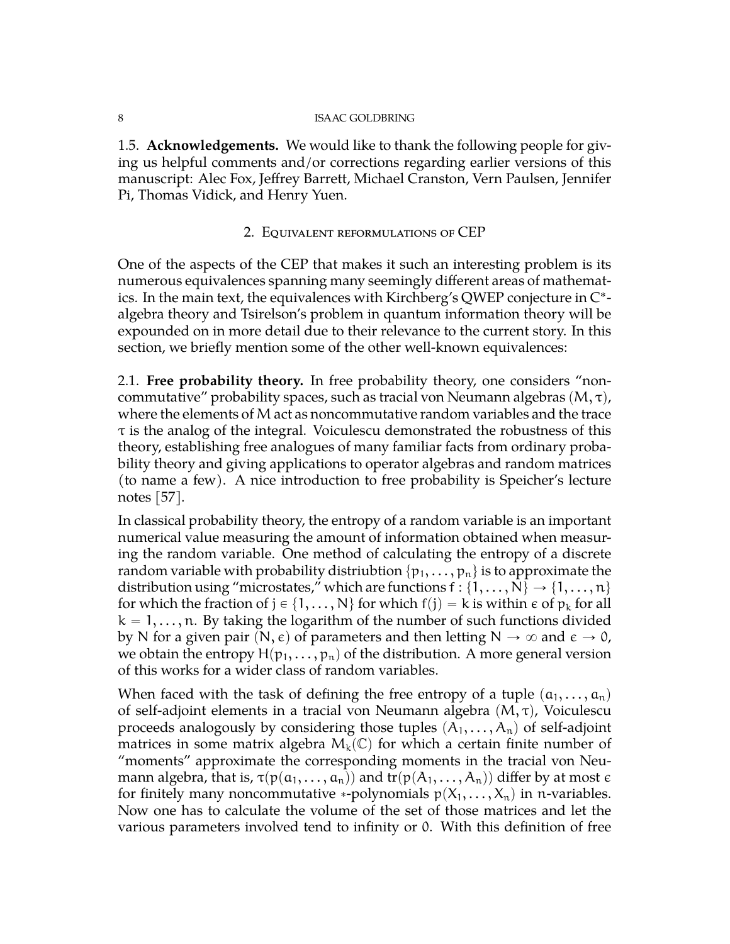<span id="page-7-0"></span>1.5. **Acknowledgements.** We would like to thank the following people for giving us helpful comments and/or corrections regarding earlier versions of this manuscript: Alec Fox, Jeffrey Barrett, Michael Cranston, Vern Paulsen, Jennifer Pi, Thomas Vidick, and Henry Yuen.

# 2. Equivalent reformulations of CEP

<span id="page-7-1"></span>One of the aspects of the CEP that makes it such an interesting problem is its numerous equivalences spanning many seemingly different areas of mathematics. In the main text, the equivalences with Kirchberg's QWEP conjecture in  $\mathrm{C}^*$ algebra theory and Tsirelson's problem in quantum information theory will be expounded on in more detail due to their relevance to the current story. In this section, we briefly mention some of the other well-known equivalences:

<span id="page-7-2"></span>2.1. **Free probability theory.** In free probability theory, one considers "noncommutative" probability spaces, such as tracial von Neumann algebras  $(M, \tau)$ , where the elements of M act as noncommutative random variables and the trace  $\tau$  is the analog of the integral. Voiculescu demonstrated the robustness of this theory, establishing free analogues of many familiar facts from ordinary probability theory and giving applications to operator algebras and random matrices (to name a few). A nice introduction to free probability is Speicher's lecture notes [\[57\]](#page-73-0).

In classical probability theory, the entropy of a random variable is an important numerical value measuring the amount of information obtained when measuring the random variable. One method of calculating the entropy of a discrete random variable with probability distriubtion  $\{p_1, \ldots, p_n\}$  is to approximate the distribution using "microstates," which are functions  $f: \{1, \ldots, N\} \rightarrow \{1, \ldots, n\}$ for which the fraction of  $j \in \{1, ..., N\}$  for which  $f(j) = k$  is within  $\epsilon$  of  $p_k$  for all  $k = 1, \ldots, n$ . By taking the logarithm of the number of such functions divided by N for a given pair  $(N, \epsilon)$  of parameters and then letting  $N \to \infty$  and  $\epsilon \to 0$ , we obtain the entropy  $H(p_1, \ldots, p_n)$  of the distribution. A more general version of this works for a wider class of random variables.

When faced with the task of defining the free entropy of a tuple  $(a_1, \ldots, a_n)$ of self-adjoint elements in a tracial von Neumann algebra  $(M, \tau)$ , Voiculescu proceeds analogously by considering those tuples  $(A_1, \ldots, A_n)$  of self-adjoint matrices in some matrix algebra  $M_k(\mathbb{C})$  for which a certain finite number of "moments" approximate the corresponding moments in the tracial von Neumann algebra, that is,  $\tau(p(a_1, \ldots, a_n))$  and  $\text{tr}(p(A_1, \ldots, A_n))$  differ by at most  $\epsilon$ for finitely many noncommutative \*-polynomials  $p(X_1, \ldots, X_n)$  in n-variables. Now one has to calculate the volume of the set of those matrices and let the various parameters involved tend to infinity or 0. With this definition of free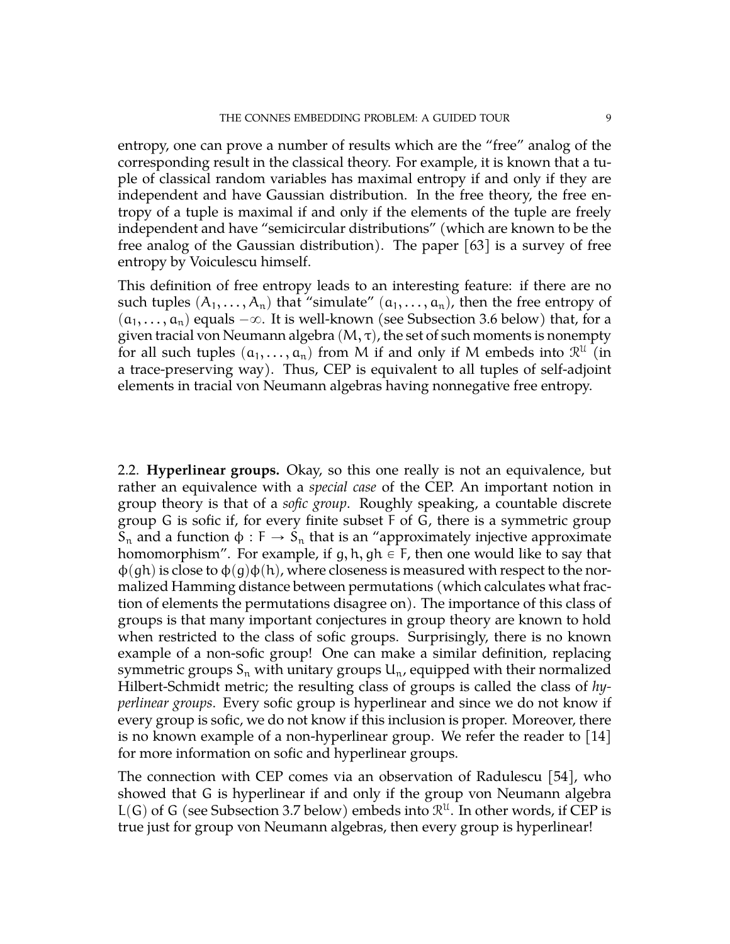entropy, one can prove a number of results which are the "free" analog of the corresponding result in the classical theory. For example, it is known that a tuple of classical random variables has maximal entropy if and only if they are independent and have Gaussian distribution. In the free theory, the free entropy of a tuple is maximal if and only if the elements of the tuple are freely independent and have "semicircular distributions" (which are known to be the free analog of the Gaussian distribution). The paper [\[63\]](#page-73-1) is a survey of free entropy by Voiculescu himself.

This definition of free entropy leads to an interesting feature: if there are no such tuples  $(A_1, \ldots, A_n)$  that "simulate"  $(a_1, \ldots, a_n)$ , then the free entropy of  $(a_1, \ldots, a_n)$  equals  $-\infty$ . It is well-known (see Subsection [3.6](#page-19-0) below) that, for a given tracial von Neumann algebra  $(M, \tau)$ , the set of such moments is nonempty for all such tuples  $(a_1, \ldots, a_n)$  from M if and only if M embeds into  $\mathcal{R}^{\mathfrak{U}}$  (in a trace-preserving way). Thus, CEP is equivalent to all tuples of self-adjoint elements in tracial von Neumann algebras having nonnegative free entropy.

<span id="page-8-0"></span>2.2. **Hyperlinear groups.** Okay, so this one really is not an equivalence, but rather an equivalence with a *special case* of the CEP. An important notion in group theory is that of a *sofic group*. Roughly speaking, a countable discrete group G is sofic if, for every finite subset F of G, there is a symmetric group S<sub>n</sub> and a function  $\phi$  : F  $\rightarrow$  S<sub>n</sub> that is an "approximately injective approximate homomorphism". For example, if g, h, gh  $\in$  F, then one would like to say that  $\varphi(\varphi h)$  is close to  $\varphi(\varphi)\varphi(h)$ , where closeness is measured with respect to the normalized Hamming distance between permutations (which calculates what fraction of elements the permutations disagree on). The importance of this class of groups is that many important conjectures in group theory are known to hold when restricted to the class of sofic groups. Surprisingly, there is no known example of a non-sofic group! One can make a similar definition, replacing symmetric groups  $S_n$  with unitary groups  $U_n$ , equipped with their normalized Hilbert-Schmidt metric; the resulting class of groups is called the class of *hyperlinear groups*. Every sofic group is hyperlinear and since we do not know if every group is sofic, we do not know if this inclusion is proper. Moreover, there is no known example of a non-hyperlinear group. We refer the reader to [\[14\]](#page-71-3) for more information on sofic and hyperlinear groups.

The connection with CEP comes via an observation of Radulescu [\[54\]](#page-72-8), who showed that G is hyperlinear if and only if the group von Neumann algebra  $L(G)$  of G (see Subsection [3.7](#page-22-0) below) embeds into  $\mathcal{R}^{U}$ . In other words, if CEP is true just for group von Neumann algebras, then every group is hyperlinear!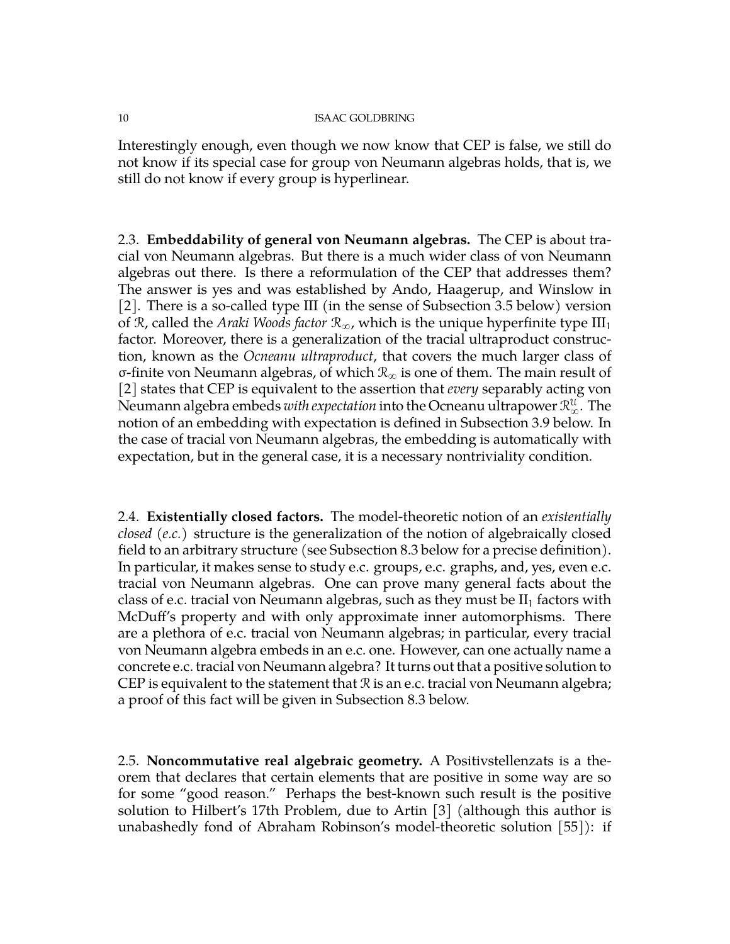Interestingly enough, even though we now know that CEP is false, we still do not know if its special case for group von Neumann algebras holds, that is, we still do not know if every group is hyperlinear.

<span id="page-9-0"></span>2.3. **Embeddability of general von Neumann algebras.** The CEP is about tracial von Neumann algebras. But there is a much wider class of von Neumann algebras out there. Is there a reformulation of the CEP that addresses them? The answer is yes and was established by Ando, Haagerup, and Winslow in [\[2\]](#page-70-1). There is a so-called type III (in the sense of Subsection [3.5](#page-18-0) below) version of R, called the *Araki Woods factor*  $\mathcal{R}_{\infty}$ , which is the unique hyperfinite type  $III_1$ factor. Moreover, there is a generalization of the tracial ultraproduct construction, known as the *Ocneanu ultraproduct*, that covers the much larger class of σ-finite von Neumann algebras, of which  $\mathcal{R}_{\infty}$  is one of them. The main result of [\[2\]](#page-70-1) states that CEP is equivalent to the assertion that *every* separably acting von Neumann algebra embeds  $with \, expectation$  into the Ocneanu ultrapower  $\mathcal{R}_\infty^{\mathfrak{U}}.$  The notion of an embedding with expectation is defined in Subsection [3.9](#page-27-0) below. In the case of tracial von Neumann algebras, the embedding is automatically with expectation, but in the general case, it is a necessary nontriviality condition.

<span id="page-9-1"></span>2.4. **Existentially closed factors.** The model-theoretic notion of an *existentially closed (e.c.)* structure is the generalization of the notion of algebraically closed field to an arbitrary structure (see Subsection [8.3](#page-67-0) below for a precise definition). In particular, it makes sense to study e.c. groups, e.c. graphs, and, yes, even e.c. tracial von Neumann algebras. One can prove many general facts about the class of e.c. tracial von Neumann algebras, such as they must be  $II_1$  factors with McDuff's property and with only approximate inner automorphisms. There are a plethora of e.c. tracial von Neumann algebras; in particular, every tracial von Neumann algebra embeds in an e.c. one. However, can one actually name a concrete e.c. tracial von Neumann algebra? It turns out that a positive solution to CEP is equivalent to the statement that  $\Re$  is an e.c. tracial von Neumann algebra; a proof of this fact will be given in Subsection [8.3](#page-67-0) below.

<span id="page-9-2"></span>2.5. **Noncommutative real algebraic geometry.** A Positivstellenzats is a theorem that declares that certain elements that are positive in some way are so for some "good reason." Perhaps the best-known such result is the positive solution to Hilbert's 17th Problem, due to Artin [\[3\]](#page-70-2) (although this author is unabashedly fond of Abraham Robinson's model-theoretic solution [\[55\]](#page-73-2)): if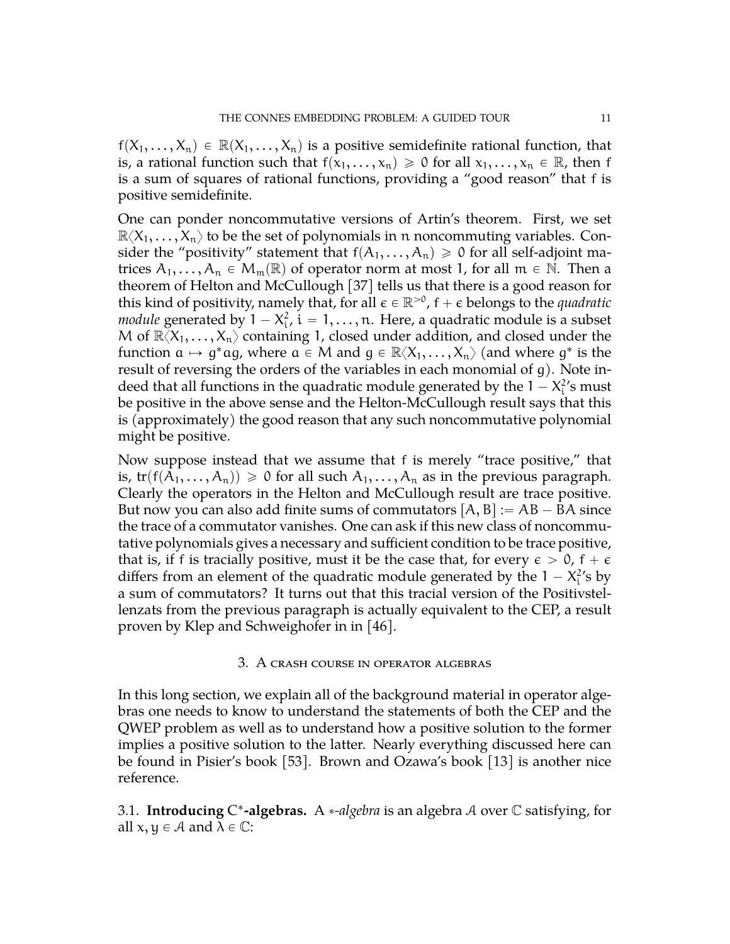$f(X_1, \ldots, X_n) \in \mathbb{R}(X_1, \ldots, X_n)$  is a positive semidefinite rational function, that is, a rational function such that  $f(x_1, \ldots, x_n) \geq 0$  for all  $x_1, \ldots, x_n \in \mathbb{R}$ , then f is a sum of squares of rational functions, providing a "good reason" that f is positive semidefinite.

One can ponder noncommutative versions of Artin's theorem. First, we set  $\mathbb{R}\langle X_1,\ldots,X_n\rangle$  to be the set of polynomials in n noncommuting variables. Consider the "positivity" statement that  $f(A_1, \ldots, A_n) \ge 0$  for all self-adjoint matrices  $A_1, \ldots, A_n \in M_m(\mathbb{R})$  of operator norm at most 1, for all  $m \in \mathbb{N}$ . Then a theorem of Helton and McCullough [\[37\]](#page-72-9) tells us that there is a good reason for this kind of positivity, namely that, for all  $\epsilon \in \mathbb{R}^{>0}$ ,  $f + \epsilon$  belongs to the *quadratic module* generated by  $1 - X_i^2$ ,  $i = 1, ..., n$ . Here, a quadratic module is a subset M of  $\mathbb{R}\langle X_1,\ldots,X_n\rangle$  containing 1, closed under addition, and closed under the function  $a \mapsto g^*ag$ , where  $a \in M$  and  $g \in \mathbb{R}\langle X_1,\ldots,X_n\rangle$  (and where  $g^*$  is the result of reversing the orders of the variables in each monomial of g). Note indeed that all functions in the quadratic module generated by the  $1 - X_i^2$ 's must be positive in the above sense and the Helton-McCullough result says that this is (approximately) the good reason that any such noncommutative polynomial might be positive.

Now suppose instead that we assume that f is merely "trace positive," that is,  $tr(f(A_1, ..., A_n)) \ge 0$  for all such  $A_1, ..., A_n$  as in the previous paragraph. Clearly the operators in the Helton and McCullough result are trace positive. But now you can also add finite sums of commutators  $[A, B] := AB - BA$  since the trace of a commutator vanishes. One can ask if this new class of noncommutative polynomials gives a necessary and sufficient condition to be trace positive, that is, if f is tracially positive, must it be the case that, for every  $\epsilon > 0$ ,  $f + \epsilon$ differs from an element of the quadratic module generated by the  $1 - X_i^2$ 's by a sum of commutators? It turns out that this tracial version of the Positivstellenzats from the previous paragraph is actually equivalent to the CEP, a result proven by Klep and Schweighofer in in [\[46\]](#page-72-10).

## 3. A crash course in operator algebras

<span id="page-10-0"></span>In this long section, we explain all of the background material in operator algebras one needs to know to understand the statements of both the CEP and the QWEP problem as well as to understand how a positive solution to the former implies a positive solution to the latter. Nearly everything discussed here can be found in Pisier's book [\[53\]](#page-72-4). Brown and Ozawa's book [\[13\]](#page-71-4) is another nice reference.

<span id="page-10-1"></span>3.1. Introducing C<sup>\*</sup>-algebras. A \*-algebra is an algebra A over C satisfying, for all  $x, y \in A$  and  $\lambda \in \mathbb{C}$ :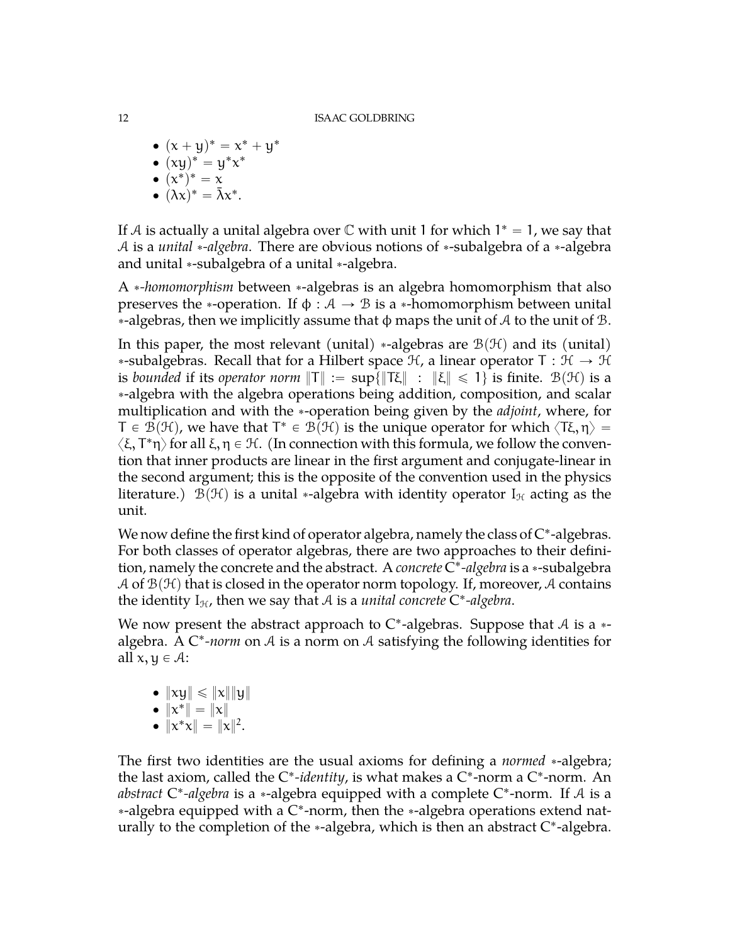- $(x + y)^* = x^* + y^*$
- $(xy)^* = y^*x^*$
- $\bullet$   $(x^*)^* = x$
- $(\lambda x)^* = \bar{\lambda}x^*$ .

If A is actually a unital algebra over  $\mathbb C$  with unit 1 for which  $1^* = 1$ , we say that A is a *unital* \*-algebra. There are obvious notions of \*-subalgebra of a \*-algebra and unital \*-subalgebra of a unital \*-algebra.

A *\*-homomorphism* between \*-algebras is an algebra homomorphism that also preserves the \*-operation. If  $\phi : A \rightarrow B$  is a \*-homomorphism between unital  $*$ -algebras, then we implicitly assume that  $\phi$  maps the unit of A to the unit of B.

In this paper, the most relevant (unital) \*-algebras are  $\mathcal{B}(\mathcal{H})$  and its (unital) \*-subalgebras. Recall that for a Hilbert space  $H$ , a linear operator  $T : H \rightarrow H$ is *bounded* if its *operator norm*  $\|T\| := \sup\{\|T\xi\| : \|\xi\| \leq 1\}$  is finite.  $B(\mathcal{H})$  is a ˚-algebra with the algebra operations being addition, composition, and scalar multiplication and with the ˚-operation being given by the *adjoint*, where, for  $T \in \mathcal{B}(\mathcal{H})$ , we have that  $T^* \in \mathcal{B}(\mathcal{H})$  is the unique operator for which  $\langle T\xi, \eta \rangle = 0$  $\langle \xi, T^*\eta \rangle$  for all  $\xi, \eta \in \mathcal{H}$ . (In connection with this formula, we follow the convention that inner products are linear in the first argument and conjugate-linear in the second argument; this is the opposite of the convention used in the physics literature.)  $\mathcal{B}(\mathcal{H})$  is a unital \*-algebra with identity operator I<sub>It</sub> acting as the unit.

We now define the first kind of operator algebra, namely the class of  $C^*$ -algebras. For both classes of operator algebras, there are two approaches to their definition, namely the concrete and the abstract. A *concrete* C ˚ *-algebra* is a ˚-subalgebra A of  $\mathcal{B}(\mathcal{H})$  that is closed in the operator norm topology. If, moreover, A contains the identity  $I_{\mathcal{H}}$ , then we say that  $\mathcal A$  is a *unital concrete*  $C^*$ -algebra.

We now present the abstract approach to  $C^*$ -algebras. Suppose that A is a  $*$ algebra. A C<sup>\*</sup>-norm on A is a norm on A satisfying the following identities for all  $x, y \in \mathcal{A}$ :

- $\bullet \|\mathrm{xy}\| \leqslant \|\mathrm{x}\| \|\mathrm{y}\|$
- $\|x^*\| = \|x\|$
- $\|x^*x\| = \|x\|^2.$

The first two identities are the usual axioms for defining a *normed* \*-algebra; the last axiom, called the C<sup>\*</sup>-identity, is what makes a C<sup>\*</sup>-norm a C<sup>\*</sup>-norm. An abstract C<sup>\*</sup>-algebra is a \*-algebra equipped with a complete C<sup>\*</sup>-norm. If A is a \*-algebra equipped with a C\*-norm, then the \*-algebra operations extend naturally to the completion of the  $*$ -algebra, which is then an abstract  $C^*$ -algebra.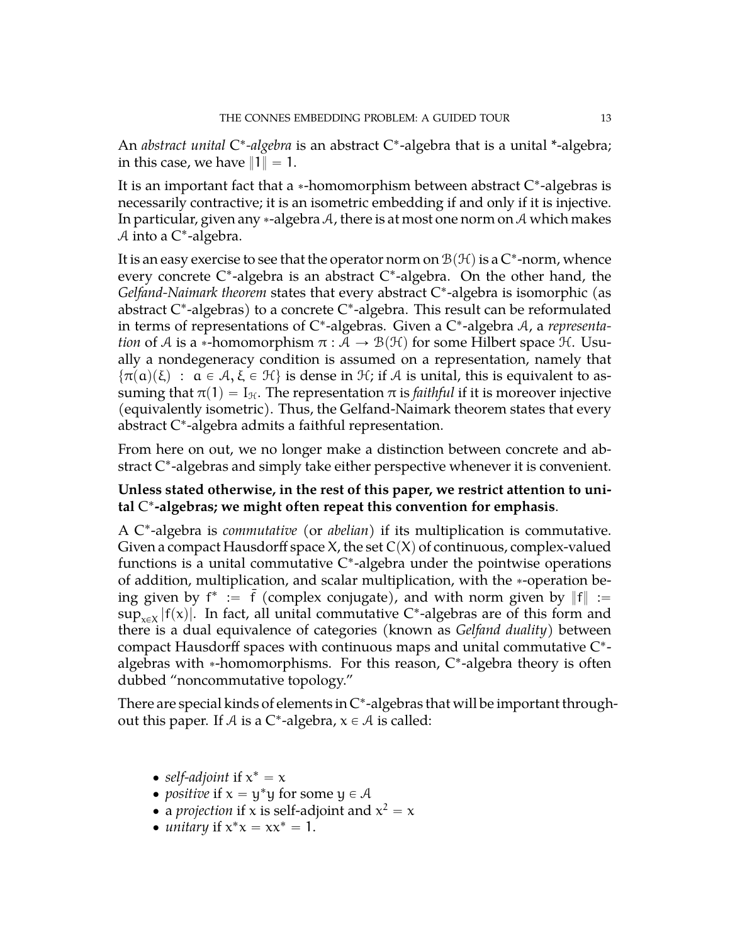An *abstract unital* C\*-algebra is an abstract C\*-algebra that is a unital \*-algebra; in this case, we have  $||1|| = 1$ .

It is an important fact that a  $\ast$ -homomorphism between abstract C $\ast$ -algebras is necessarily contractive; it is an isometric embedding if and only if it is injective. In particular, given any \*-algebra A, there is at most one norm on A which makes A into a C<sup>\*</sup>-algebra.

It is an easy exercise to see that the operator norm on  $\mathcal{B}(\mathcal{H})$  is a  $\mathsf{C}^*$ -norm, whence every concrete C\*-algebra is an abstract C\*-algebra. On the other hand, the Gelfand-Naimark theorem states that every abstract C\*-algebra is isomorphic (as abstract C ˚ -algebras) to a concrete C ˚ -algebra. This result can be reformulated in terms of representations of C\*-algebras. Given a C\*-algebra A, a *representation* of A is a \*-homomorphism  $\pi : A \rightarrow B(H)$  for some Hilbert space H. Usually a nondegeneracy condition is assumed on a representation, namely that  $\{\pi(\alpha)(\xi) : \alpha \in \mathcal{A}, \xi \in \mathcal{H}\}\$  is dense in  $\mathcal{H}$ ; if A is unital, this is equivalent to assuming that  $\pi(1) = I_{\mathcal{H}}$ . The representation  $\pi$  is *faithful* if it is moreover injective (equivalently isometric). Thus, the Gelfand-Naimark theorem states that every abstract C ˚ -algebra admits a faithful representation.

From here on out, we no longer make a distinction between concrete and abstract C ˚ -algebras and simply take either perspective whenever it is convenient.

# **Unless stated otherwise, in the rest of this paper, we restrict attention to unital** C ˚ **-algebras; we might often repeat this convention for emphasis**.

A C ˚ -algebra is *commutative* (or *abelian*) if its multiplication is commutative. Given a compact Hausdorff space X, the set  $C(X)$  of continuous, complex-valued functions is a unital commutative C\*-algebra under the pointwise operations of addition, multiplication, and scalar multiplication, with the \*-operation being given by  $f^* := \bar{f}$  (complex conjugate), and with norm given by  $||f|| :=$  $\sup_{x \in X} |f(x)|$ . In fact, all unital commutative C\*-algebras are of this form and there is a dual equivalence of categories (known as *Gelfand duality*) between compact Hausdorff spaces with continuous maps and unital commutative C ˚ algebras with  $*$ -homomorphisms. For this reason,  $C^*$ -algebra theory is often dubbed "noncommutative topology."

There are special kinds of elements in C ˚ -algebras that will be important throughout this paper. If  $A$  is a C\*-algebra,  $x \in A$  is called:

- *self-adjoint* if  $x^* = x$
- *positive* if  $x = y^*y$  for some  $y \in A$
- a *projection* if x is self-adjoint and  $x^2 = x$
- *unitary* if  $x^*x = xx^* = 1$ .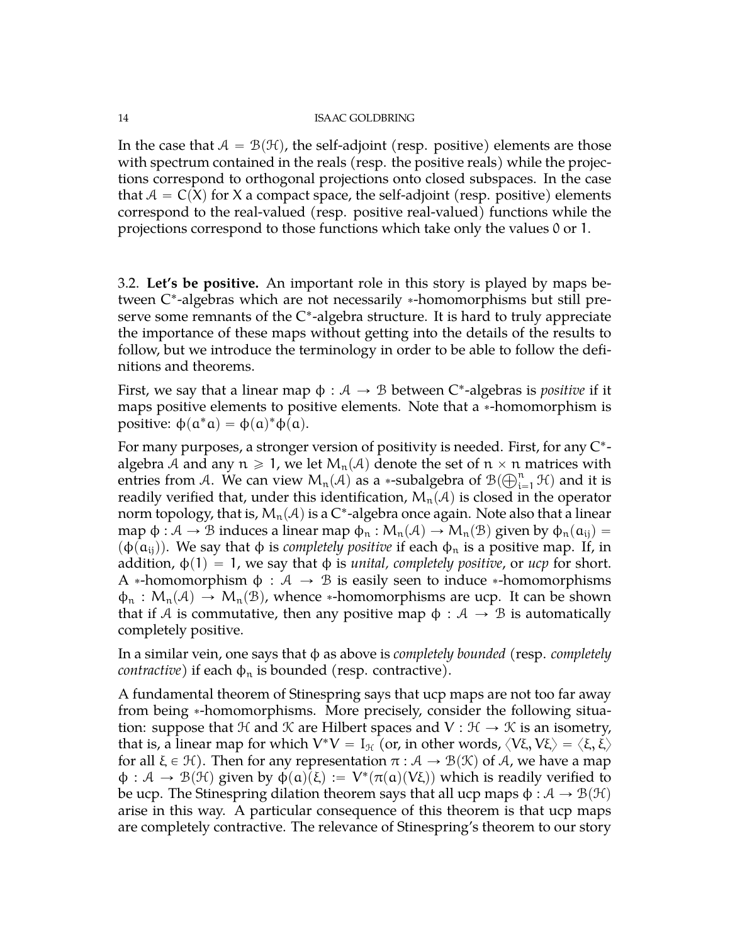In the case that  $A = B(H)$ , the self-adjoint (resp. positive) elements are those with spectrum contained in the reals (resp. the positive reals) while the projections correspond to orthogonal projections onto closed subspaces. In the case that  $A = C(X)$  for X a compact space, the self-adjoint (resp. positive) elements correspond to the real-valued (resp. positive real-valued) functions while the projections correspond to those functions which take only the values 0 or 1.

<span id="page-13-0"></span>3.2. **Let's be positive.** An important role in this story is played by maps between C\*-algebras which are not necessarily \*-homomorphisms but still preserve some remnants of the C\*-algebra structure. It is hard to truly appreciate the importance of these maps without getting into the details of the results to follow, but we introduce the terminology in order to be able to follow the definitions and theorems.

First, we say that a linear map  $\phi : \mathcal{A} \to \mathcal{B}$  between C\*-algebras is *positive* if it maps positive elements to positive elements. Note that a \*-homomorphism is positive:  $\phi(\mathfrak{a}^*\mathfrak{a}) = \phi(\mathfrak{a})^*\phi(\mathfrak{a})$ .

For many purposes, a stronger version of positivity is needed. First, for any  $\mathrm{C}^*$ algebra A and any  $n \ge 1$ , we let  $M_n(\mathcal{A})$  denote the set of  $n \times n$  matrices with  $\text{antis}$  from  $\mathcal{A}$ .  $M_0$  can view  $M_n(\mathcal{A})$  as a usubalgebra of  $\mathcal{B}(\mathbb{C}^n, \mathcal{X})$  and it is entries from A. We can view  $M_n(\mathcal{A})$  as a  $*$ -subalgebra of  $\mathcal{B}(\bigoplus_{i=1}^n \mathcal{H})$  and it is readily verified that, under this identification,  $M_n(\mathcal{A})$  is closed in the operator norm topology, that is,  $\mathcal{M}_\mathfrak{n}(\mathcal{A})$  is a C\*-algebra once again. Note also that a linear map  $\phi : \mathcal{A} \to \mathcal{B}$  induces a linear map  $\phi_n : M_n(\mathcal{A}) \to M_n(\mathcal{B})$  given by  $\phi_n(a_{ii}) =$  $(\varphi(\mathfrak{a}_{ij}))$ . We say that  $\varphi$  is *completely positive* if each  $\varphi_n$  is a positive map. If, in addition,  $\phi(1) = 1$ , we say that  $\phi$  is *unital, completely positive*, or *ucp* for short. A \*-homomorphism  $\phi : A \rightarrow B$  is easily seen to induce \*-homomorphisms  $\phi_n : M_n(\mathcal{A}) \to M_n(\mathcal{B})$ , whence \*-homomorphisms are ucp. It can be shown that if A is commutative, then any positive map  $\phi : A \rightarrow B$  is automatically completely positive.

In a similar vein, one says that φ as above is *completely bounded* (resp. *completely contractive*) if each  $\phi_n$  is bounded (resp. contractive).

A fundamental theorem of Stinespring says that ucp maps are not too far away from being \*-homomorphisms. More precisely, consider the following situation: suppose that  $\mathcal H$  and  $\mathcal K$  are Hilbert spaces and  $V : \mathcal H \to \mathcal K$  is an isometry, that is, a linear map for which  $V^*V = I_{\mathcal{H}}$  (or, in other words,  $\langle V\xi, V\xi \rangle = \langle \xi, \xi \rangle$ for all  $\xi \in \mathcal{H}$ ). Then for any representation  $\pi : \mathcal{A} \to \mathcal{B}(\mathcal{K})$  of A, we have a map  $\varphi : A \to B(H)$  given by  $\varphi(\alpha)(\xi) := V^*(\pi(\alpha)(V\xi))$  which is readily verified to be ucp. The Stinespring dilation theorem says that all ucp maps  $\phi : A \to B(H)$ arise in this way. A particular consequence of this theorem is that ucp maps are completely contractive. The relevance of Stinespring's theorem to our story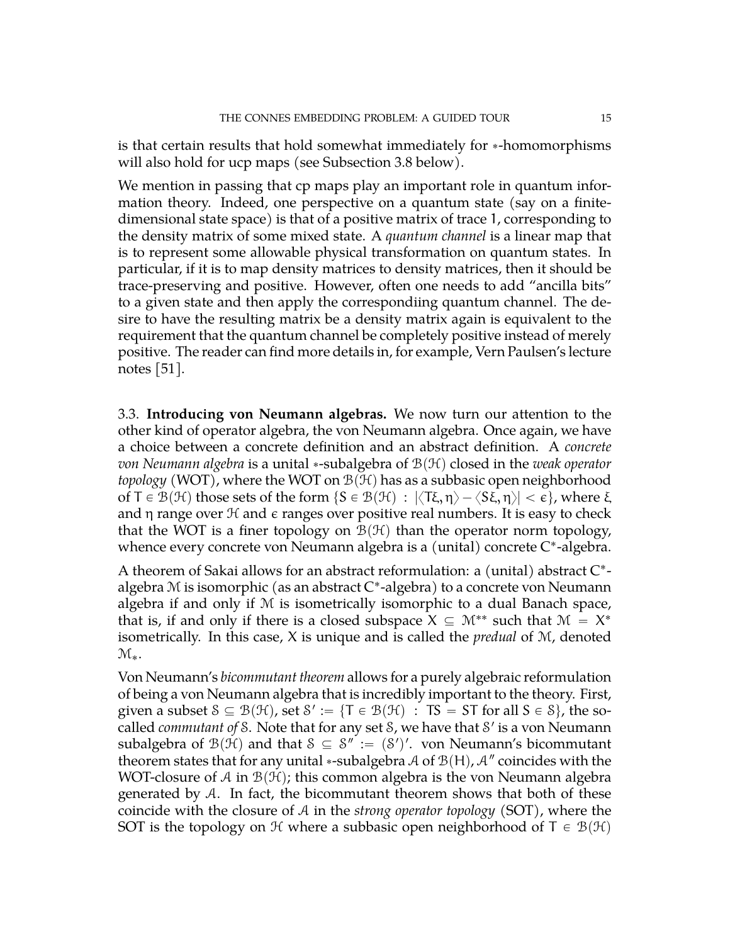is that certain results that hold somewhat immediately for \*-homomorphisms will also hold for ucp maps (see Subsection [3.8](#page-24-0) below).

We mention in passing that cp maps play an important role in quantum information theory. Indeed, one perspective on a quantum state (say on a finitedimensional state space) is that of a positive matrix of trace 1, corresponding to the density matrix of some mixed state. A *quantum channel* is a linear map that is to represent some allowable physical transformation on quantum states. In particular, if it is to map density matrices to density matrices, then it should be trace-preserving and positive. However, often one needs to add "ancilla bits" to a given state and then apply the correspondiing quantum channel. The desire to have the resulting matrix be a density matrix again is equivalent to the requirement that the quantum channel be completely positive instead of merely positive. The reader can find more details in, for example, Vern Paulsen's lecture notes [\[51\]](#page-72-11).

<span id="page-14-0"></span>3.3. **Introducing von Neumann algebras.** We now turn our attention to the other kind of operator algebra, the von Neumann algebra. Once again, we have a choice between a concrete definition and an abstract definition. A *concrete von Neumann algebra* is a unital \*-subalgebra of  $\mathcal{B}(\mathcal{H})$  closed in the *weak operator topology* (WOT), where the WOT on  $\mathcal{B}(\mathcal{H})$  has as a subbasic open neighborhood of T  $\in \mathcal{B}(\mathcal{H})$  those sets of the form  $\{S \in \mathcal{B}(\mathcal{H}) : |\langle T\xi, \eta \rangle - \langle S\xi, \eta \rangle| < \varepsilon\}$ , where  $\xi$ and  $\eta$  range over  $\mathcal H$  and  $\epsilon$  ranges over positive real numbers. It is easy to check that the WOT is a finer topology on  $\mathcal{B}(\mathcal{H})$  than the operator norm topology, whence every concrete von Neumann algebra is a (unital) concrete C\*-algebra.

A theorem of Sakai allows for an abstract reformulation: a (unital) abstract C\*algebra M is isomorphic (as an abstract C ˚ -algebra) to a concrete von Neumann algebra if and only if M is isometrically isomorphic to a dual Banach space, that is, if and only if there is a closed subspace  $X \subseteq \mathcal{M}^{**}$  such that  $\mathcal{M} = X^*$ isometrically. In this case, X is unique and is called the *predual* of M, denoted  $\mathcal{M}_{*}$ .

Von Neumann's *bicommutant theorem* allows for a purely algebraic reformulation of being a von Neumann algebra that is incredibly important to the theory. First, given a subset  $S \subseteq \mathcal{B}(\mathcal{H})$ , set  $S' := \{T \in \mathcal{B}(\mathcal{H}) : TS = ST$  for all  $S \in \mathcal{S}\}$ , the socalled *commutant of* S. Note that for any set S, we have that S' is a von Neumann subalgebra of  $\mathcal{B}(\mathcal{H})$  and that  $\mathcal{S} \subseteq \mathcal{S}'' := (\mathcal{S}')'.$  von Neumann's bicommutant theorem states that for any unital  $*$ -subalgebra  ${\mathcal A}$  of  ${\mathcal B}({\mathsf H})$ ,  ${\mathcal A}''$  coincides with the WOT-closure of A in  $\mathcal{B}(\mathcal{H})$ ; this common algebra is the von Neumann algebra generated by  $\mathcal{A}$ . In fact, the bicommutant theorem shows that both of these coincide with the closure of A in the *strong operator topology* (SOT), where the SOT is the topology on  $\mathcal H$  where a subbasic open neighborhood of  $T \in \mathcal B(\mathcal H)$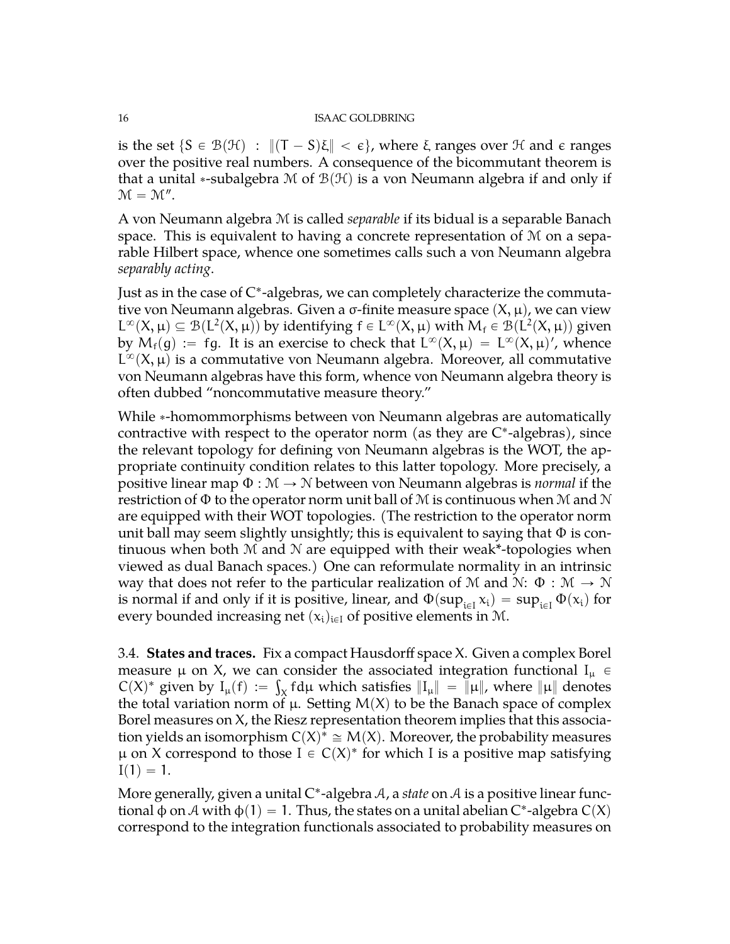is the set  $\{S \in \mathcal{B}(\mathcal{H}) : ||(T - S)\xi|| < \varepsilon\}$ , where  $\xi$  ranges over  $\mathcal{H}$  and  $\varepsilon$  ranges over the positive real numbers. A consequence of the bicommutant theorem is that a unital \*-subalgebra M of  $\mathcal{B}(\mathcal{H})$  is a von Neumann algebra if and only if  $\mathcal{M} = \mathcal{M}''$ .

A von Neumann algebra M is called *separable* if its bidual is a separable Banach space. This is equivalent to having a concrete representation of M on a separable Hilbert space, whence one sometimes calls such a von Neumann algebra *separably acting*.

Just as in the case of C\*-algebras, we can completely characterize the commutative von Neumann algebras. Given a  $\sigma$ -finite measure space  $(X, \mu)$ , we can view  $L^{\infty}(X, \mu) \subseteq \mathcal{B}(L^2(X, \mu))$  by identifying  $f \in L^{\infty}(X, \mu)$  with  $M_f \in \mathcal{B}(L^2(X, \mu))$  given by  $M_f(g) := fg$ . It is an exercise to check that  $L^{\infty}(X, \mu) = L^{\infty}(X, \mu)'$ , whence  $L^{\infty}(X,\mu)$  is a commutative von Neumann algebra. Moreover, all commutative von Neumann algebras have this form, whence von Neumann algebra theory is often dubbed "noncommutative measure theory."

While \*-homommorphisms between von Neumann algebras are automatically contractive with respect to the operator norm (as they are  $C^*$ -algebras), since the relevant topology for defining von Neumann algebras is the WOT, the appropriate continuity condition relates to this latter topology. More precisely, a positive linear map  $\Phi : \mathcal{M} \to \mathcal{N}$  between von Neumann algebras is *normal* if the restriction of  $\Phi$  to the operator norm unit ball of M is continuous when M and N are equipped with their WOT topologies. (The restriction to the operator norm unit ball may seem slightly unsightly; this is equivalent to saying that  $\Phi$  is continuous when both  $M$  and  $N$  are equipped with their weak\*-topologies when viewed as dual Banach spaces.) One can reformulate normality in an intrinsic way that does not refer to the particular realization of M and N:  $\Phi : \mathcal{M} \to \mathcal{N}$ is normal if and only if it is positive, linear, and  $\Phi(\sup_{i\in I} x_i) = \sup_{i\in I} \Phi(x_i)$  for every bounded increasing net  $(x_i)_{i\in I}$  of positive elements in M.

<span id="page-15-0"></span>3.4. **States and traces.** Fix a compact Hausdorff space X. Given a complex Borel measure  $\mu$  on X, we can consider the associated integration functional  $I_{\mu}$   $\in$  $C(X)^*$  given by  $I_{\mu}(f) := \int_X f d\mu$  which satisfies  $\|I_{\mu}\| = \|\mu\|$ , where  $\|\mu\|$  denotes the total variation norm of  $\mu$ . Setting  $M(X)$  to be the Banach space of complex Borel measures on X, the Riesz representation theorem implies that this association yields an isomorphism  $C(X)^* \cong M(X)$ . Moreover, the probability measures  $\mu$  on X correspond to those  $I \in C(X)^*$  for which I is a positive map satisfying  $I(1) = 1.$ 

More generally, given a unital C<sup>\*</sup>-algebra A, a *state* on A is a positive linear functional φ on  $A$  with  $\varphi(1) = 1$ . Thus, the states on a unital abelian C\*-algebra C(X) correspond to the integration functionals associated to probability measures on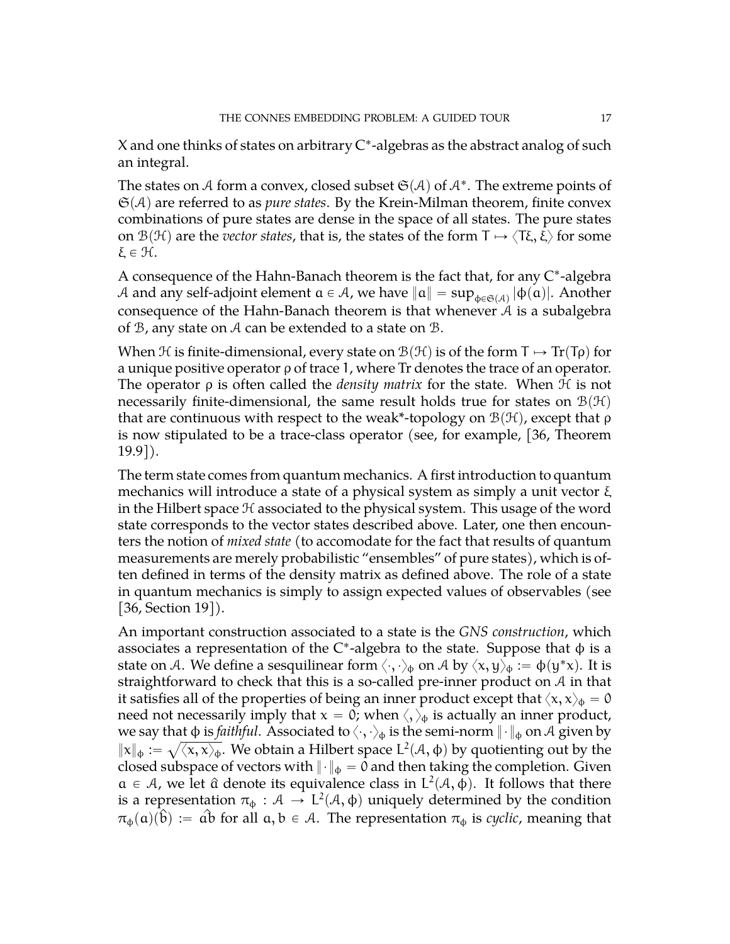X and one thinks of states on arbitrary  $C^*$ -algebras as the abstract analog of such an integral.

The states on  ${\mathcal{A}}$  form a convex, closed subset  $\mathfrak{S}({\mathcal{A}})$  of  ${\mathcal{A}}^*.$  The extreme points of  $\mathfrak{S}(A)$  are referred to as *pure states*. By the Krein-Milman theorem, finite convex combinations of pure states are dense in the space of all states. The pure states on  $\mathcal{B}(\mathcal{H})$  are the *vector states*, that is, the states of the form  $\Gamma \mapsto \langle T\xi, \xi \rangle$  for some ξ $∈ 𝒩$ .

A consequence of the Hahn-Banach theorem is the fact that, for any C\*-algebra A and any self-adjoint element  $\mathfrak{a}\in A$ , we have  $\|\mathfrak{a}\|=\sup_{\varphi\in\mathfrak{S}(\mathcal{A})}|\varphi(\mathfrak{a})|.$  Another consequence of the Hahn-Banach theorem is that whenever A is a subalgebra of B, any state on A can be extended to a state on B.

When H is finite-dimensional, every state on  $\mathcal{B}(\mathcal{H})$  is of the form  $\mathsf{T} \mapsto \mathrm{Tr}(\mathsf{T}\rho)$  for a unique positive operator ρ of trace 1, where Tr denotes the trace of an operator. The operator ρ is often called the *density matrix* for the state. When H is not necessarily finite-dimensional, the same result holds true for states on  $\mathcal{B}(\mathcal{H})$ that are continuous with respect to the weak\*-topology on  $\mathcal{B}(\mathcal{H})$ , except that ρ is now stipulated to be a trace-class operator (see, for example, [\[36,](#page-72-12) Theorem 19.9]).

The term state comes from quantum mechanics. A first introduction to quantum mechanics will introduce a state of a physical system as simply a unit vector ξ in the Hilbert space  $H$  associated to the physical system. This usage of the word state corresponds to the vector states described above. Later, one then encounters the notion of *mixed state* (to accomodate for the fact that results of quantum measurements are merely probabilistic "ensembles" of pure states), which is often defined in terms of the density matrix as defined above. The role of a state in quantum mechanics is simply to assign expected values of observables (see [\[36,](#page-72-12) Section 19]).

An important construction associated to a state is the *GNS construction*, which associates a representation of the C\*-algebra to the state. Suppose that  $\phi$  is a state on A. We define a sesquilinear form  $\langle\cdot,\cdot\rangle_\phi$  on A by  $\langle x,y\rangle_\phi:=\varphi(y^*x).$  It is straightforward to check that this is a so-called pre-inner product on A in that it satisfies all of the properties of being an inner product except that  $\langle x, x \rangle_{\phi} = 0$ need not necessarily imply that  $x = 0$ ; when  $\langle, \rangle_{\phi}$  is actually an inner product, we say that  $\phi$  is *faithful*. Associated to  $\langle\cdot,\cdot\rangle_\phi$  is the semi-norm  $\|\cdot\|_\phi$  on  ${\mathcal A}$  given by  $\|x\|_{\phi} := \sqrt{\langle x, x \rangle_{\phi}}.$  We obtain a Hilbert space  $L^2(\mathcal{A}, \phi)$  by quotienting out by the closed subspace of vectors with  $\|\cdot\|_{\Phi} = 0$  and then taking the completion. Given  $a \in A$ , we let  $\hat{a}$  denote its equivalence class in  $L^2(A, \phi)$ . It follows that there is a representation  $\pi_{\phi}: \mathcal{A} \to L^2(\mathcal{A}, \phi)$  uniquely determined by the condition  $\pi_{\phi}(\mathfrak{a})(\hat{\mathfrak{b}}) := \hat{\mathfrak{a}}\hat{\mathfrak{b}}$  for all  $\mathfrak{a}, \mathfrak{b} \in A$ . The representation  $\pi_{\phi}$  is *cyclic*, meaning that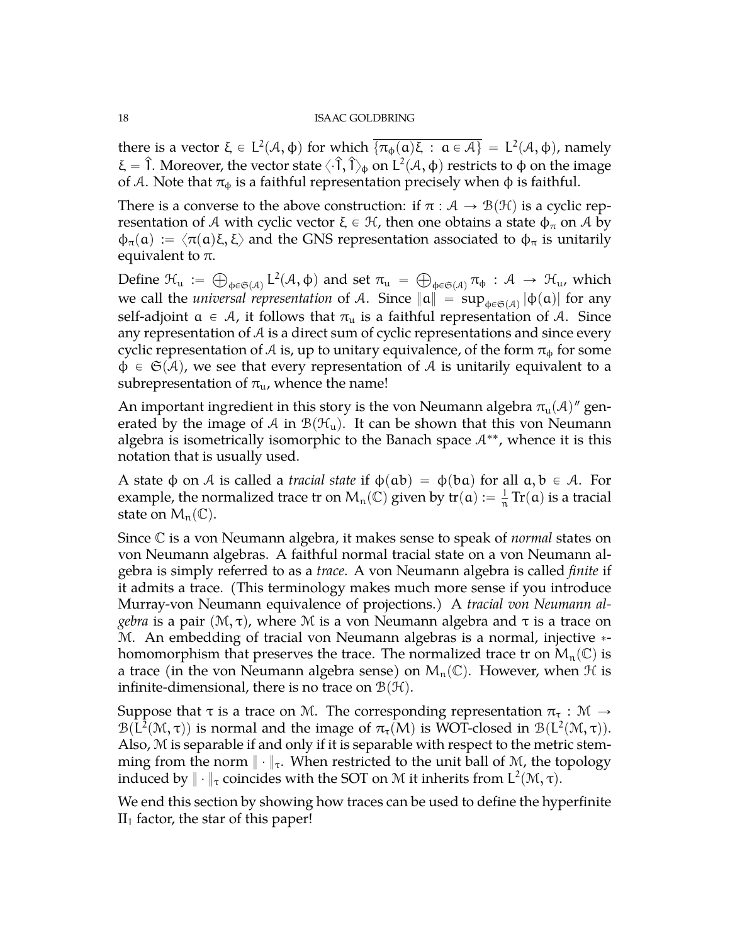there is a vector  $\xi \in L^2(\mathcal{A}, \phi)$  for which  $\overline{\{\pi_{\phi}(\mathfrak{a})\xi} : \mathfrak{a} \in \mathcal{A}\}\ = L^2(\mathcal{A}, \phi)$ , namely ξ = Î. Moreover, the vector state  $\langle \cdot \hat{\bf 1}, \hat{\bf 1}\rangle_\Phi$  on L<sup>2</sup>( $\cal A$ , φ) restricts to φ on the image of A. Note that  $\pi_{\phi}$  is a faithful representation precisely when  $\phi$  is faithful.

There is a converse to the above construction: if  $\pi : A \rightarrow B(H)$  is a cyclic representation of A with cyclic vector  $\xi \in \mathcal{H}$ , then one obtains a state  $\phi_{\pi}$  on A by  $\phi_{\pi}(\mathfrak{a}) := \langle \pi(\mathfrak{a}) \xi, \xi \rangle$  and the GNS representation associated to  $\phi_{\pi}$  is unitarily equivalent to  $π$ . À

Define  $\mathfrak{H}_{\mathfrak{u}} :=$  $_{\Phi \in \mathfrak{S}(\mathcal{A})}$  L<sup>2</sup>( $\mathcal{A}, \Phi$ ) and set  $\pi_u =$  $_{\Phi \in \mathfrak{S}(\mathcal{A})}\pi _{\Phi }:\mathcal{A}\,\rightarrow \,\mathfrak{H}_{\mathfrak{u}}$ , which we call the *universal representation* of A. Since  $\|\alpha\|$  =  $\sup_{\phi \in \mathfrak{S}(\mathcal{A})} |\phi(\alpha)|$  for any self-adjoint  $\alpha \in A$ , it follows that  $\pi_u$  is a faithful representation of A. Since any representation of  $A$  is a direct sum of cyclic representations and since every cyclic representation of A is, up to unitary equivalence, of the form  $\pi_{\phi}$  for some  $\Phi \in \mathfrak{S}(A)$ , we see that every representation of A is unitarily equivalent to a subrepresentation of  $\pi_{\mu}$ , whence the name!

An important ingredient in this story is the von Neumann algebra  $\pi_{\mathfrak{u}}(\mathcal{A})''$  generated by the image of A in  $\mathcal{B}(\mathcal{H}_{u})$ . It can be shown that this von Neumann algebra is isometrically isomorphic to the Banach space  $A^{**}$ , whence it is this notation that is usually used.

A state  $\phi$  on A is called a *tracial state* if  $\phi$ (ab) =  $\phi$ (ba) for all  $\alpha, \beta \in A$ . For example, the normalized trace tr on  $M_n(\mathbb{C})$  given by tr $(\mathfrak{a}) := \frac{1}{n}$  $\frac{1}{n}$  Tr(a) is a tracial state on  $M_n(\mathbb{C})$ .

Since C is a von Neumann algebra, it makes sense to speak of *normal* states on von Neumann algebras. A faithful normal tracial state on a von Neumann algebra is simply referred to as a *trace*. A von Neumann algebra is called *finite* if it admits a trace. (This terminology makes much more sense if you introduce Murray-von Neumann equivalence of projections.) A *tracial von Neumann algebra* is a pair  $(M, \tau)$ , where M is a von Neumann algebra and  $\tau$  is a trace on M. An embedding of tracial von Neumann algebras is a normal, injective \*homomorphism that preserves the trace. The normalized trace tr on  $M_n(\mathbb{C})$  is a trace (in the von Neumann algebra sense) on  $M_n(\mathbb{C})$ . However, when  $\mathcal H$  is infinite-dimensional, there is no trace on  $\mathcal{B}(\mathcal{H})$ .

Suppose that  $\tau$  is a trace on M. The corresponding representation  $\pi_{\tau} : \mathcal{M} \to$  $\mathcal{B}(L^2(\mathcal{M}, \tau))$  is normal and the image of  $\pi_{\tau}(M)$  is WOT-closed in  $\mathcal{B}(L^2(\mathcal{M}, \tau))$ . Also, M is separable if and only if it is separable with respect to the metric stemming from the norm  $\|\cdot\|_{\tau}$ . When restricted to the unit ball of M, the topology induced by  $\|\cdot\|_{\tau}$  coincides with the SOT on M it inherits from  $\mathsf{L}^2(\mathfrak{M},\tau).$ 

We end this section by showing how traces can be used to define the hyperfinite  $II<sub>1</sub>$  factor, the star of this paper!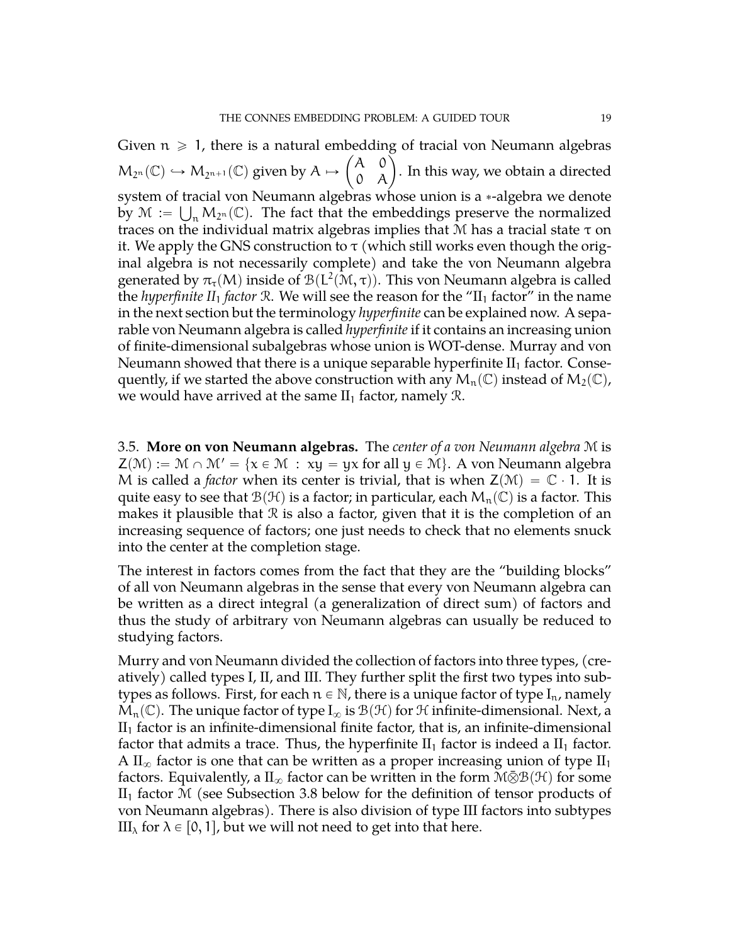Given  $n \geqslant 1$ , there is a natural embedding of tracial von Neumann algebras  $M_{2^n}(\mathbb{C}) \hookrightarrow M_{2^{n+1}}(\mathbb{C})$  given by  $A \mapsto \begin{pmatrix} A & 0 \\ 0 & A \end{pmatrix}$ edding of tracial von Neumann algebras<br>A 0<br><sub>0</sub> A ). In this way, we obtain a directed system of tracial von Neumann algebras whose union is a  $\ast$ -algebra we denote by  $\mathcal{M} := \bigcup_n M_{2^n}(\mathbb{C})$ . The fact that the embeddings preserve the normalized traces on the individual matrix algebras implies that  $M$  has a tracial state  $\tau$  on it. We apply the GNS construction to  $\tau$  (which still works even though the original algebra is not necessarily complete) and take the von Neumann algebra generated by  $\pi_{\tau}(M)$  inside of  $\mathcal{B}(L^2(\mathcal{M}, \tau))$ . This von Neumann algebra is called the *hyperfinite II*<sub>1</sub> *factor* R. We will see the reason for the "II<sub>1</sub> *factor"* in the name in the next section but the terminology *hyperfinite* can be explained now. A separable von Neumann algebra is called *hyperfinite* if it contains an increasing union of finite-dimensional subalgebras whose union is WOT-dense. Murray and von Neumann showed that there is a unique separable hyperfinite  $II_1$  factor. Consequently, if we started the above construction with any  $M_n(\mathbb{C})$  instead of  $M_2(\mathbb{C})$ , we would have arrived at the same  $II_1$  factor, namely  $\mathcal{R}$ .

<span id="page-18-0"></span>3.5. **More on von Neumann algebras.** The *center of a von Neumann algebra* M is  $\mathsf{Z}(\mathcal{M}) := \mathcal{M} \cap \mathcal{M}' = \{x \in \mathcal{M} : xy = yx \text{ for all } y \in \mathcal{M}\}\$ . A von Neumann algebra M is called a *factor* when its center is trivial, that is when  $Z(\mathcal{M}) = \mathbb{C} \cdot 1$ . It is quite easy to see that  $\mathcal{B}(\mathcal{H})$  is a factor; in particular, each  $M_n(\mathbb{C})$  is a factor. This makes it plausible that  $\Re$  is also a factor, given that it is the completion of an increasing sequence of factors; one just needs to check that no elements snuck into the center at the completion stage.

The interest in factors comes from the fact that they are the "building blocks" of all von Neumann algebras in the sense that every von Neumann algebra can be written as a direct integral (a generalization of direct sum) of factors and thus the study of arbitrary von Neumann algebras can usually be reduced to studying factors.

Murry and von Neumann divided the collection of factors into three types, (creatively) called types I, II, and III. They further split the first two types into subtypes as follows. First, for each  $n \in \mathbb{N}$ , there is a unique factor of type  $I_n$ , namely  $\mathcal{M}_n(\mathbb{C})$ . The unique factor of type  $I_\infty$  is  $\mathcal{B}(\mathcal{H})$  for H infinite-dimensional. Next, a  $II<sub>1</sub>$  factor is an infinite-dimensional finite factor, that is, an infinite-dimensional factor that admits a trace. Thus, the hyperfinite  $II_1$  factor is indeed a  $II_1$  factor. A  $II_{\infty}$  factor is one that can be written as a proper increasing union of type  $II_1$ factors. Equivalently, a  $II_{\infty}$  factor can be written in the form  $M\bar{\otimes}B(\mathcal{H})$  for some  $II<sub>1</sub>$  factor M (see Subsection [3.8](#page-24-0) below for the definition of tensor products of von Neumann algebras). There is also division of type III factors into subtypes III<sub> $\lambda$ </sub> for  $\lambda \in [0, 1]$ , but we will not need to get into that here.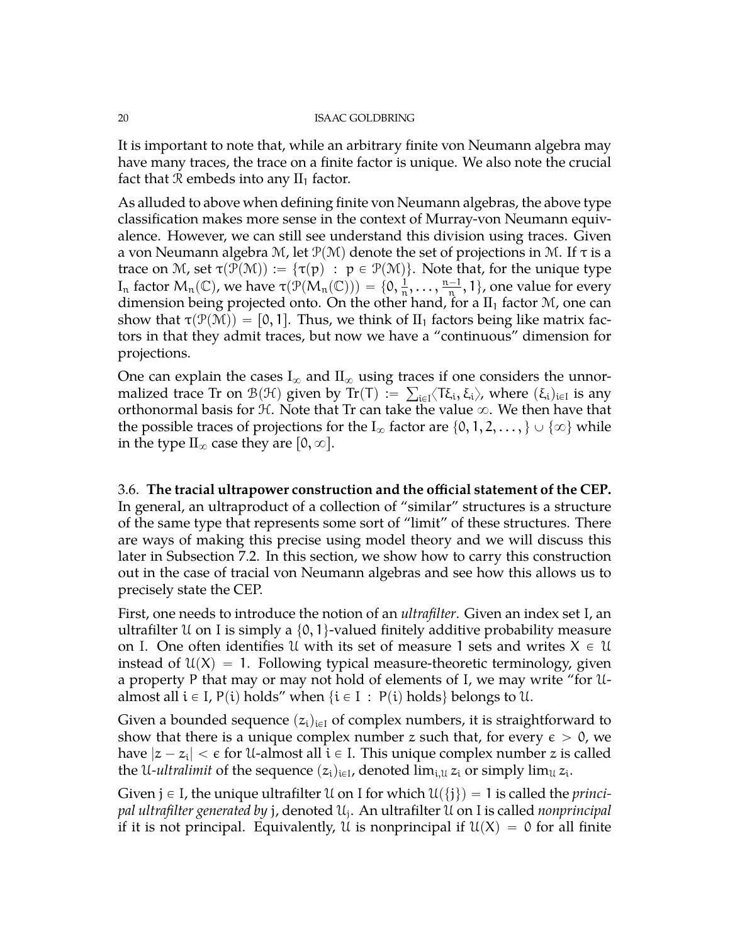It is important to note that, while an arbitrary finite von Neumann algebra may have many traces, the trace on a finite factor is unique. We also note the crucial fact that R embeds into any  $II_1$  factor.

As alluded to above when defining finite von Neumann algebras, the above type classification makes more sense in the context of Murray-von Neumann equivalence. However, we can still see understand this division using traces. Given a von Neumann algebra M, let  $\mathcal{P}(\mathcal{M})$  denote the set of projections in M. If  $\tau$  is a trace on M, set  $\tau(\mathcal{P}(\mathcal{M})) := {\tau(p) : p \in \mathcal{P}(\mathcal{M})}.$  Note that, for the unique type I<sub>n</sub> factor  $M_n(\mathbb{C})$ , we have  $\tau(\mathcal{P}(M_n(\mathbb{C}))) = \{0, \frac{1}{n}, \dots, \frac{n-1}{n}\}$  $\frac{-1}{n}$ , 1, one value for every dimension being projected onto. On the other hand, for a  $II_1$  factor  $M$ , one can show that  $\tau(\mathcal{P}(\mathcal{M})) = [0, 1]$ . Thus, we think of II<sub>1</sub> factors being like matrix factors in that they admit traces, but now we have a "continuous" dimension for projections.

One can explain the cases  $\text{I}_{\infty}$  and  $\text{II}_{\infty}$  using traces if one considers the unnormalized trace Tr on  $\mathcal{B}(\mathcal{H})$  given by Tr(T) :=  $\sum_{i\in I}\langle T\xi_i,\xi_i\rangle$ , where  $(\xi_i)_{i\in I}$  is any orthonormal basis for  $H$ . Note that Tr can take the value  $\infty$ . We then have that the possible traces of projections for the  $I_{\infty}$  factor are  $\{0, 1, 2, \ldots\}$   $\cup$   $\{\infty\}$  while in the type  $\mathcal{II}_{\infty}$  case they are  $[0, \infty]$ .

<span id="page-19-0"></span>3.6. **The tracial ultrapower construction and the official statement of the CEP.** In general, an ultraproduct of a collection of "similar" structures is a structure of the same type that represents some sort of "limit" of these structures. There are ways of making this precise using model theory and we will discuss this later in Subsection [7.2.](#page-56-0) In this section, we show how to carry this construction out in the case of tracial von Neumann algebras and see how this allows us to precisely state the CEP.

First, one needs to introduce the notion of an *ultrafilter*. Given an index set I, an ultrafilter U on I is simply a  $\{0, 1\}$ -valued finitely additive probability measure on I. One often identifies U with its set of measure 1 sets and writes  $X \in \mathcal{U}$ instead of  $\mathfrak{U}(X) = 1$ . Following typical measure-theoretic terminology, given a property P that may or may not hold of elements of I, we may write "for Ualmost all  $i \in I$ ,  $P(i)$  holds" when  $\{i \in I : P(i)$  holds $\}$  belongs to U.

Given a bounded sequence  $(z_i)_{i\in I}$  of complex numbers, it is straightforward to show that there is a unique complex number z such that, for every  $\epsilon > 0$ , we have  $|z - z_\mathfrak{i}| < \epsilon$  for U-almost all  $\mathfrak{i} \in$  I. This unique complex number  $z$  is called the U-*ultralimit* of the sequence  $(z_i)_{i\in I}$ , denoted  $\lim_{i,\mathfrak{U}}z_i$  or simply  $\lim_{\mathfrak{U}}z_i$ .

Given  $j \in I$ , the unique ultrafilter U on I for which  $\mathfrak{U}(\{j\}) = 1$  is called the *princi*pal ultrafilter generated by j, denoted  $\mathfrak{U}_\mathfrak{j}$ . An ultrafilter  $\mathfrak U$  on I is called *nonprincipal* if it is not principal. Equivalently, U is nonprincipal if  $U(X) = 0$  for all finite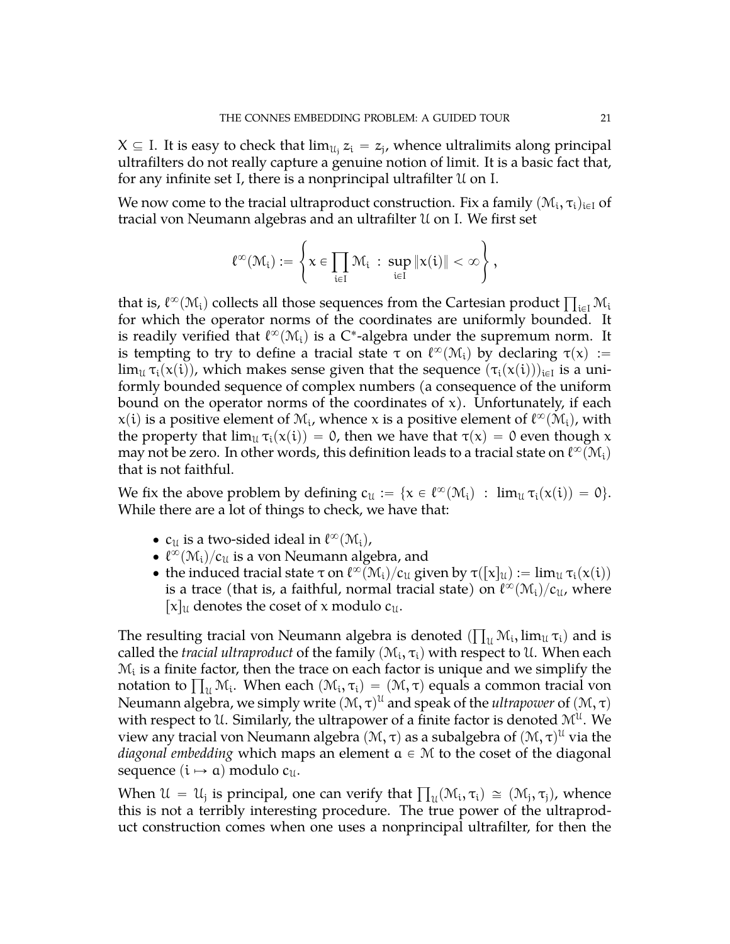$X \subseteq I$ . It is easy to check that  $\lim_{\mathcal{U}_i} z_i = z_j$ , whence ultralimits along principal ultrafilters do not really capture a genuine notion of limit. It is a basic fact that, for any infinite set I, there is a nonprincipal ultrafilter U on I.

We now come to the tracial ultraproduct construction. Fix a family  $(\mathcal{M}_{\mathfrak i},\tau_{\mathfrak i})_{\mathfrak i \in \mathfrak l}$  of tracial von Neumann algebras and an ultrafilter U on I. We first set

$$
\ell^\infty(\mathcal{M}_i) := \left\{ x \in \prod_{i \in I} \mathcal{M}_i \ : \ \sup_{i \in I} \|x(i)\| < \infty \right\},
$$

that is,  $\ell^{\infty}(\mathcal{M}_i)$  collects all those sequences from the Cartesian product  $\prod_{i\in I}\mathcal{M}_i$ for which the operator norms of the coordinates are uniformly bounded. It is readily verified that  $\ell^\infty({\mathcal M}_\mathfrak{i})$  is a C\*-algebra under the supremum norm. It is tempting to try to define a tracial state  $\tau$  on  $\ell^{\infty}(\mathcal{M}_i)$  by declaring  $\tau(x) :=$  $\lim_{\mathfrak{U}}\tau_{\mathfrak{i}}(\mathsf{x}(\mathfrak{i})),$  which makes sense given that the sequence  $(\tau_{\mathfrak{i}}(\mathsf{x}(\mathfrak{i})))_{\mathfrak{i}\in\mathfrak{l}}$  is a uniformly bounded sequence of complex numbers (a consequence of the uniform bound on the operator norms of the coordinates of  $x$ ). Unfortunately, if each  $\mathsf{x}(\mathfrak{i})$  is a positive element of  $\mathfrak{M}_{\mathfrak{i}}$ , whence x is a positive element of  $\ell^\infty(\mathfrak{M}_{\mathfrak{i}})$ , with the property that  $\lim_{\mathfrak{U}} \tau_i(x(i)) = 0$ , then we have that  $\tau(x) = 0$  even though x may not be zero. In other words, this definition leads to a tracial state on  $\ell^\infty(\mathcal{M}_\mathfrak{i})$ that is not faithful.

We fix the above problem by defining  $c_{\mathfrak{U}} := \{ x \in \ell^{\infty}(\mathcal{M}_{i}) \ : \ \lim_{\mathfrak{U}} \tau_{i}(x(i)) = 0 \}.$ While there are a lot of things to check, we have that:

- $c_{\mathfrak{U}}$  is a two-sided ideal in  $\ell^{\infty}(\mathcal{M}_i)$ ,
- $\bullet \ \ell^{\infty}(\mathcal{M}_i)/c_{\mathfrak{U}}$  is a von Neumann algebra, and
- the induced tracial state  $\tau$  on  $\ell^{\infty}(\mathcal{M}_i)/c_{\mathfrak{U}}$  given by  $\tau([x]_{\mathfrak{U}}) := \lim_{\mathfrak{U}} \tau_i(x(i))$ is a trace (that is, a faithful, normal tracial state) on  $\ell^\infty(\mathcal{M}_\textnormal{i})/c_\mathfrak{U}$ , where  $[x]_u$  denotes the coset of x modulo  $c_u$ .

The resulting tracial von Neumann algebra is denoted  $(\prod_u \mathcal{M}_\mathfrak{i}, \lim_u \tau_\mathfrak{i})$  and is called the *tracial ultraproduct* of the family  $(\mathcal{M}_\text{i}, \tau_\text{i})$  with respect to U. When each  $\mathcal{M}_{\mathfrak i}$  is a finite factor, then the trace on each factor is unique and we simplify the  $\mathcal{M}_i$  is a finite factor, then the trace on each factor is unique and we simplify the notation to  $\prod_u \mathcal{M}_i$ . When each  $(\mathcal{M}_i, \tau_i) = (\mathcal{M}, \tau)$  equals a common tracial von Neumann algebra, we simply write  $(\mathcal{M}, \tau)^{\mathcal{U}}$  and speak of the *ultrapower* of  $(\mathcal{M}, \tau)$ with respect to U. Similarly, the ultrapower of a finite factor is denoted  $\mathcal{M}^{\mathfrak{U}}.$  We view any tracial von Neumann algebra  $(\mathcal{M}, \tau)$  as a subalgebra of  $(\mathcal{M}, \tau)^{\mathfrak{U}}$  via the *diagonal embedding* which maps an element  $a \in M$  to the coset of the diagonal sequence  $(i \mapsto a)$  modulo  $c_{\mathfrak{U}}$ .

When  $\mathcal{U} = \mathcal{U}_j$  is principal, one can verify that  $\prod_u (\mathcal{M}_i, \tau_i) \cong (\mathcal{M}_j, \tau_j)$ , whence this is not a terribly interesting procedure. The true power of the ultraproduct construction comes when one uses a nonprincipal ultrafilter, for then the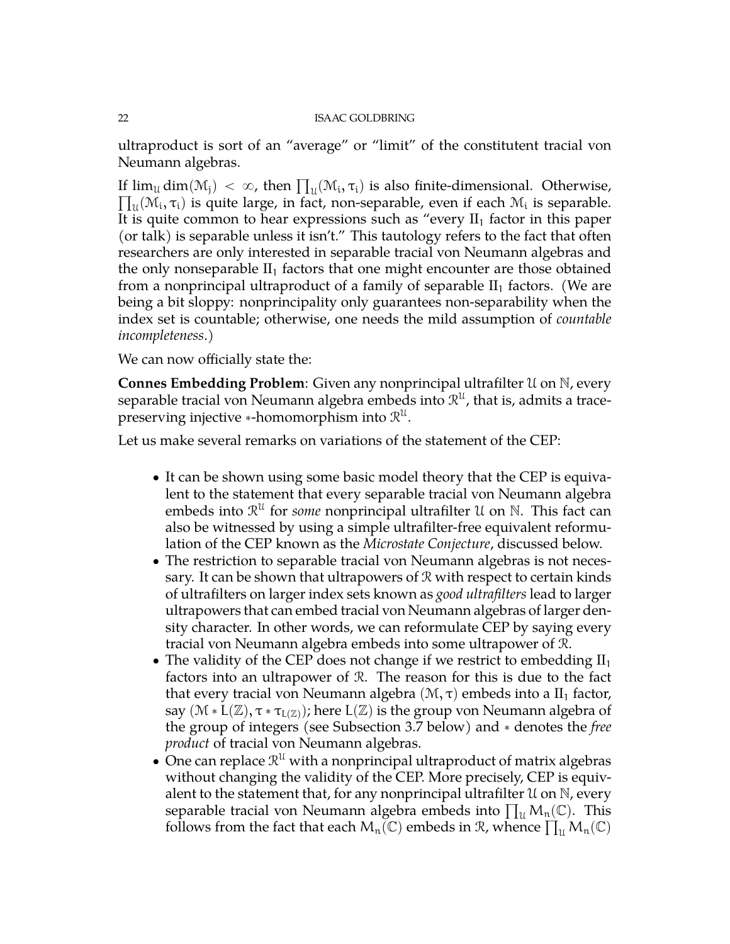ultraproduct is sort of an "average" or "limit" of the constitutent tracial von Neumann algebras.

If  $\lim_{\mathfrak{U}} \dim(\mathfrak{M}_{j}) < \infty$ , then  $\prod_{\mathfrak{U}} (\mathfrak{M}_{i}, \tau_{i})$  is also finite-dimensional. Otherwise,  $_{\mathfrak{U}}(\mathfrak{M_i}, \tau_i)$  is quite large, in fact, non-separable, even if each  $\mathfrak{M_i}$  is separable. It is quite common to hear expressions such as "every  $II_1$  factor in this paper (or talk) is separable unless it isn't." This tautology refers to the fact that often researchers are only interested in separable tracial von Neumann algebras and the only nonseparable  $II_1$  factors that one might encounter are those obtained from a nonprincipal ultraproduct of a family of separable  $II_1$  factors. (We are being a bit sloppy: nonprincipality only guarantees non-separability when the index set is countable; otherwise, one needs the mild assumption of *countable incompleteness*.)

We can now officially state the:

**Connes Embedding Problem**: Given any nonprincipal ultrafilter U on N, every separable tracial von Neumann algebra embeds into  $\mathcal{R}^\mathfrak{U}$ , that is, admits a tracepreserving injective  $*$ -homomorphism into  $\mathcal{R}^\mathfrak{U}.$ 

Let us make several remarks on variations of the statement of the CEP:

- It can be shown using some basic model theory that the CEP is equivalent to the statement that every separable tracial von Neumann algebra embeds into  $\mathcal{R}^{\mathcal{U}}$  for *some* nonprincipal ultrafilter  $\mathcal{U}$  on  $\mathbb{N}$ . This fact can also be witnessed by using a simple ultrafilter-free equivalent reformulation of the CEP known as the *Microstate Conjecture*, discussed below.
- The restriction to separable tracial von Neumann algebras is not necessary. It can be shown that ultrapowers of R with respect to certain kinds of ultrafilters on larger index sets known as *good ultrafilters* lead to larger ultrapowers that can embed tracial von Neumann algebras of larger density character. In other words, we can reformulate CEP by saying every tracial von Neumann algebra embeds into some ultrapower of R.
- The validity of the CEP does not change if we restrict to embedding  $II_1$ factors into an ultrapower of R. The reason for this is due to the fact that every tracial von Neumann algebra  $(M, τ)$  embeds into a II<sub>1</sub> factor, say  $(\mathcal{M} * L(\mathbb{Z}), \tau * \tau_{L(\mathbb{Z})})$ ; here  $L(\mathbb{Z})$  is the group von Neumann algebra of the group of integers (see Subsection [3.7](#page-22-0) below) and ˚ denotes the *free product* of tracial von Neumann algebras.
- $\bullet$  One can replace  $\mathcal{R}^{\mathfrak{U}}$  with a nonprincipal ultraproduct of matrix algebras without changing the validity of the CEP. More precisely, CEP is equivalent to the statement that, for any nonprincipal ultrafilter  $\mathfrak U$  on  $\mathbb N$ , every alent to the statement that, for any nonprincipal ultrafilter  $\mathfrak U$  on  $\mathbb N$ , every<br>separable tracial von Neumann algebra embeds into  $\prod_{\mathfrak{U}}\mathsf{M}_{\mathfrak{n}}(\mathbb C).$  This separable tracial von Neumann algebra embeds into  $\prod_u M_n(\mathbb{C})$ . This follows from the fact that each  $M_n(\mathbb{C})$  embeds in R, whence  $\prod_u M_n(\mathbb{C})$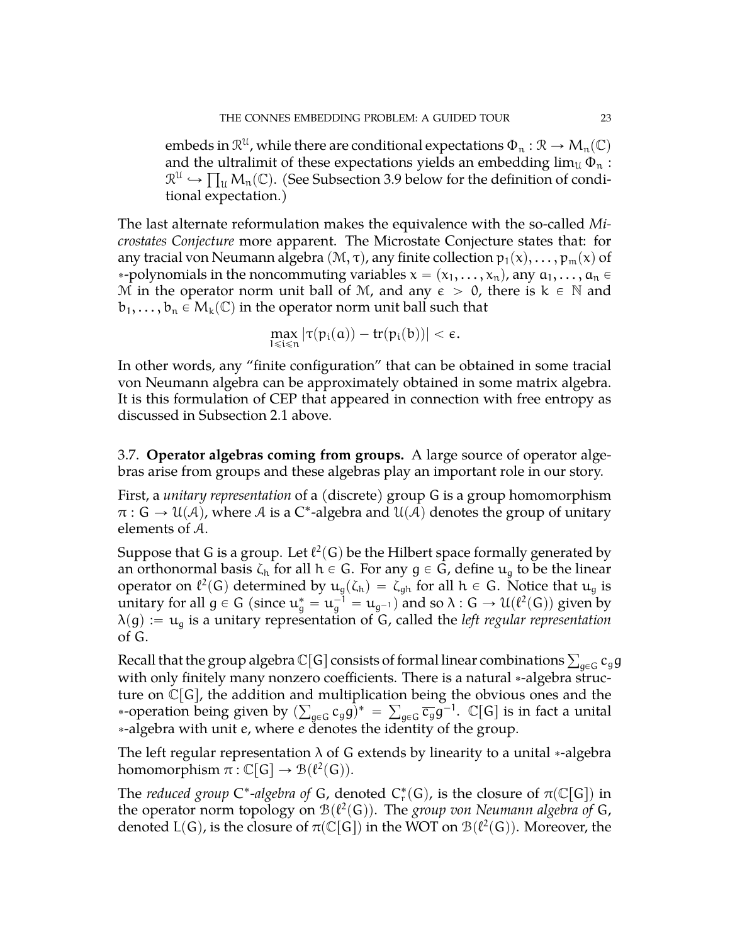embeds in  $\mathcal{R}^{\mathfrak{U}}$  , while there are conditional expectations  $\Phi_{\mathfrak{n}}: \mathcal{R} \rightarrow \mathsf{M}_{\mathfrak{n}}(\mathbb{C})$ and the ultralimit of these expectations yields an embedding  $\lim_{\mathfrak{U}} \Phi_\mathfrak{n}$  :  $\mathcal{R}^{\mathfrak{U}} \hookrightarrow \prod_{\mathfrak{U}} \mathsf{M}_{\mathfrak{n}}(\mathbb{C})$ . (See Subsection [3.9](#page-27-0) below for the definition of conditional expectation.)

The last alternate reformulation makes the equivalence with the so-called *Microstates Conjecture* more apparent. The Microstate Conjecture states that: for any tracial von Neumann algebra  $(M, \tau)$ , any finite collection  $p_1(x), \ldots, p_m(x)$  of \*-polynomials in the noncommuting variables  $x = (x_1, \ldots, x_n)$ , any  $a_1, \ldots, a_n \in$ M in the operator norm unit ball of M, and any  $\epsilon > 0$ , there is  $k \in \mathbb{N}$  and  $b_1, \ldots, b_n \in M_k(\mathbb{C})$  in the operator norm unit ball such that

$$
\max_{1\leqslant i\leqslant n}|\tau(\mathfrak{p}_i(\mathfrak{a}))-tr(\mathfrak{p}_i(\mathfrak{b}))|<\varepsilon.
$$

In other words, any "finite configuration" that can be obtained in some tracial von Neumann algebra can be approximately obtained in some matrix algebra. It is this formulation of CEP that appeared in connection with free entropy as discussed in Subsection [2.1](#page-7-2) above.

<span id="page-22-0"></span>3.7. **Operator algebras coming from groups.** A large source of operator algebras arise from groups and these algebras play an important role in our story.

First, a *unitary representation* of a (discrete) group G is a group homomorphism  $\pi : G \to U(\mathcal{A})$ , where  $\mathcal A$  is a C\*-algebra and  $U(\mathcal{A})$  denotes the group of unitary elements of A.

Suppose that G is a group. Let  $\ell^2(\mathsf{G})$  be the Hilbert space formally generated by an orthonormal basis  $\zeta_h$  for all  $h \in G$ . For any  $g \in G$ , define  $u_g$  to be the linear operator on  $\ell^2(G)$  determined by  $u_g(\zeta_h) = \zeta_{gh}$  for all  $h \in G$ . Notice that  $u_g$  is unitary for all  $g \in G$  (since  $u_g^* = u_g^{-1} = u_{g^{-1}}$ ) and so  $\lambda : G \to \mathcal{U}(\ell^2(G))$  given by  $\lambda(g) := u_g$  is a unitary representation of G, called the *left regular representation* of G.

Recall that the group algebra  $\mathbb C[\mathsf G]$  consists of formal linear combinations  $\sum_{\mathsf{g}\in\mathsf G}\mathsf c_{\mathsf{g}}\mathsf{g}$ with only finitely many nonzero coefficients. There is a natural \*-algebra structure on  $\mathrm{\check{C}}[G]$ , the addition and multiplication being the obvious ones and the \*-operation being given by  $(\sum_{g\in G}c_gg)^* = \sum_{g\in G}\overline{c_g}g^{-1}$ .  $\mathbb{C}[G]$  is in fact a unital ˚-algebra with unit e, where e denotes the identity of the group.

The left regular representation  $\lambda$  of G extends by linearity to a unital  $*$ -algebra homomorphism  $\pi : \mathbb{C}[G] \to \mathcal{B}(\ell^2(G)).$ 

The *reduced group*  $C^*$ -algebra of G, denoted  $C^*_r(G)$ , is the closure of  $\pi(\mathbb{C}[G])$  in the operator norm topology on  $\mathcal{B}(\ell^2(G))$ . The *group von Neumann algebra of* G, denoted  $L(G)$ , is the closure of  $\pi(\mathbb{C}[G])$  in the WOT on  $\mathcal{B}(\ell^2(G))$ . Moreover, the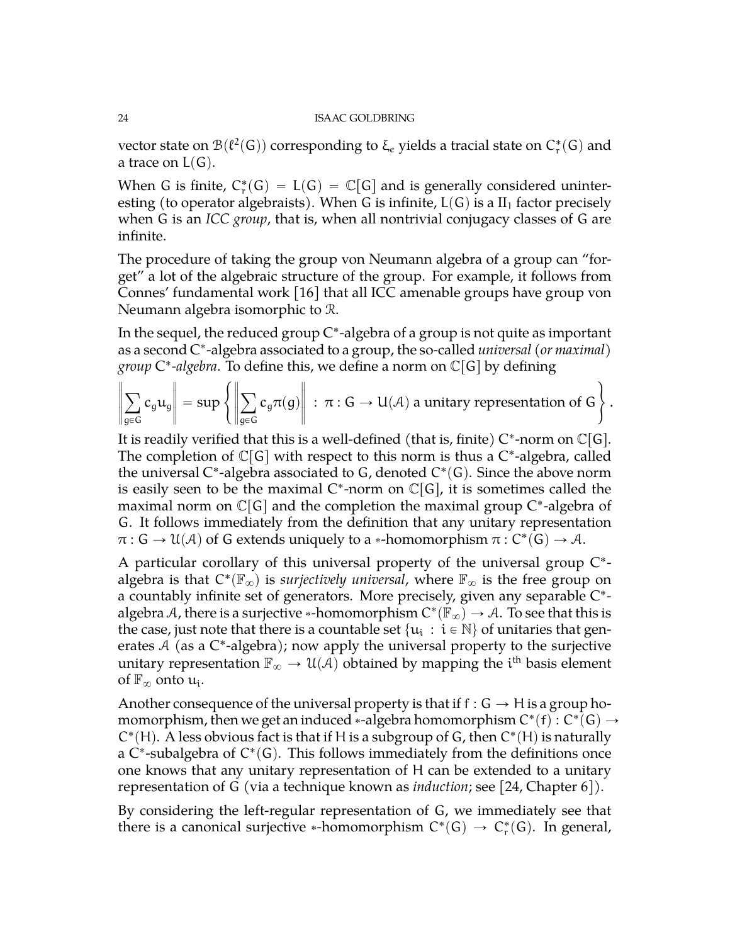vector state on  $\mathcal{B}(\ell^2(\mathsf{G}))$  corresponding to  $\xi_e$  yields a tracial state on  $\mathsf{C}^*_\mathsf{r}(\mathsf{G})$  and a trace on  $L(G)$ .

When G is finite,  $C_r^*(G) = L(G) = \mathbb{C}[G]$  and is generally considered uninteresting (to operator algebraists). When G is infinite,  $L(G)$  is a  $II_1$  factor precisely when G is an *ICC group*, that is, when all nontrivial conjugacy classes of G are infinite.

The procedure of taking the group von Neumann algebra of a group can "forget" a lot of the algebraic structure of the group. For example, it follows from Connes' fundamental work [\[16\]](#page-71-0) that all ICC amenable groups have group von Neumann algebra isomorphic to R.

In the sequel, the reduced group  $\mathrm{C}^\ast$ -algebra of a group is not quite as important as a second C ˚ -algebra associated to a group, the so-called *universal (or maximal)* +

$$
group C*-algebra. To define this, we define a norm on C[G] by defining
$$

$$
\left\|\sum_{g\in G}c_g u_g\right\| = \sup\left\{\left\|\sum_{g\in G}c_g\pi(g)\right\| : \pi: G \to U(\mathcal{A}) \text{ a unitary representation of } G\right\}.
$$

It is readily verified that this is a well-defined (that is, finite)  $\mathsf{C}^*$ -norm on  $\mathbb{C}[\mathsf{G}].$ The completion of  $\mathbb{C}[G]$  with respect to this norm is thus a C\*-algebra, called the universal C\*-algebra associated to G, denoted C\*(G). Since the above norm is easily seen to be the maximal  $C^*$ -norm on  $\mathbb{C}[G]$ , it is sometimes called the maximal norm on  $\mathbb{C}[G]$  and the completion the maximal group C\*-algebra of G. It follows immediately from the definition that any unitary representation  $\pi: G \to \mathcal{U}(\mathcal{A})$  of G extends uniquely to a \*-homomorphism  $\pi: C^*(G) \to \mathcal{A}$ .

A particular corollary of this universal property of the universal group C<sup>\*</sup>algebra is that  $C^*(\mathbb{F}_\infty)$  is *surjectively universal*, where  $\mathbb{F}_\infty$  is the free group on a countably infinite set of generators. More precisely, given any separable C ˚ algebra A, there is a surjective  $*$ -homomorphism  $\text{C}^*(\check{\mathbb{F}}_\infty)\to \mathcal{A}.$  To see that this is the case, just note that there is a countable set  $\{u_i\,:\,i\in\mathbb{N}\}$  of unitaries that generates A (as a C\*-algebra); now apply the universal property to the surjective unitary representation  $\mathbb{F}_{\infty} \to \mathcal{U}(\mathcal{A})$  obtained by mapping the i<sup>th</sup> basis element of  $\mathbb{F}_{\infty}$  onto  $\mathfrak{u}_{i}$ .

Another consequence of the universal property is that if  $f : G \to H$  is a group homomorphism, then we get an induced  $*$ -algebra homomorphism  $\mathsf{C}^*(\mathsf{f}) : \mathsf{C}^*(\mathsf{G}) \to$  $C^*(H)$ . A less obvious fact is that if H is a subgroup of G, then  $C^*(H)$  is naturally a C\*-subalgebra of  $C^*(G)$ . This follows immediately from the definitions once one knows that any unitary representation of H can be extended to a unitary representation of G (via a technique known as *induction*; see [\[24,](#page-71-5) Chapter 6]).

By considering the left-regular representation of G, we immediately see that there is a canonical surjective \*-homomorphism  $C^*(G) \to C^*_r(G)$ . In general,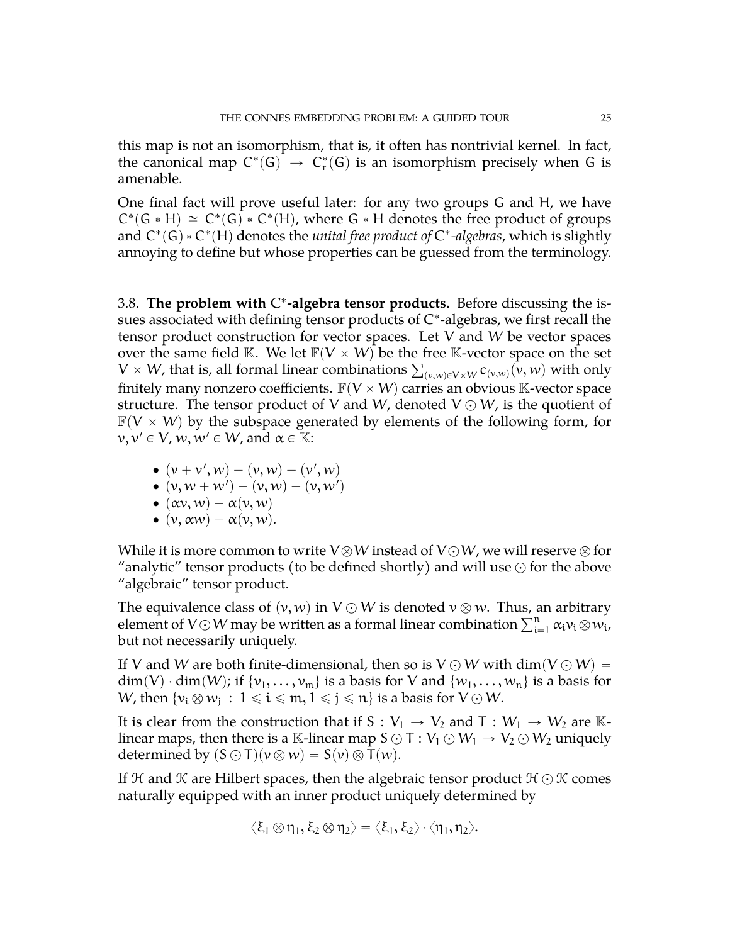this map is not an isomorphism, that is, it often has nontrivial kernel. In fact, the canonical map  $C^*(G) \to C^*_r(G)$  is an isomorphism precisely when G is amenable.

One final fact will prove useful later: for any two groups G and H, we have  $C^*(G * H) \cong C^*(G) * C^*(H)$ , where  $G * H$  denotes the free product of groups and  $C^*(G) * C^*(H)$  denotes the *unital free product of*  $C^*$ -algebras, which is slightly annoying to define but whose properties can be guessed from the terminology.

<span id="page-24-0"></span>3.8. **The problem with** C ˚ **-algebra tensor products.** Before discussing the issues associated with defining tensor products of  $\mathrm{C}^*$ -algebras, we first recall the tensor product construction for vector spaces. Let V and W be vector spaces over the same field K. We let  $F(V \times W)$  be the free K-vector space on the set over the same field K. We let  $\mathbb{F}(V \times W)$  be the free K-vector space on the set  $V \times W$ , that is, all formal linear combinations  $\sum_{(v,w) \in V \times W} c_{(v,w)}(v,w)$  with only finitely many nonzero coefficients.  $\mathbb{F}(V \times W)$  carries an obvious K-vector space structure. The tensor product of V and W, denoted  $V \odot W$ , is the quotient of  $F(V \times W)$  by the subspace generated by elements of the following form, for  $v, v' \in V$ ,  $w, w' \in W$ , and  $\alpha \in \mathbb{K}$ :

- $\bullet \, \left(\nu + \nu',\nu v\right) \left(\nu,\nu v\right) \left(\nu',\nu v\right)$
- $\bullet \; (\nu, w+w') (\nu, w) (\nu, w')$
- $\bullet$   $(\alpha v, w) \alpha(v, w)$
- $\bullet$   $(v, \alpha w) \alpha(v, w)$ .

While it is more common to write  $V\otimes W$  instead of  $V\odot W$ , we will reserve  $\otimes$  for "analytic" tensor products (to be defined shortly) and will use  $\odot$  for the above "algebraic" tensor product.

The equivalence class of  $(v, w)$  in  $V \odot W$  is denoted  $v \otimes w$ . Thus, an arbitrary The equivalence class of  $(v, w)$  in  $V \odot W$  is denoted  $v \otimes w$ . Thus, an arbitrary element of  $V \odot W$  may be written as a formal linear combination  $\sum_{i=1}^{n} \alpha_i v_i \otimes w_i$ , but not necessarily uniquely.

If V and W are both finite-dimensional, then so is  $V \odot W$  with dim $(V \odot W) =$  $\dim(V) \cdot \dim(W)$ ; if  $\{v_1, \ldots, v_m\}$  is a basis for V and  $\{w_1, \ldots, w_n\}$  is a basis for W, then  $\{v_i\otimes w_j\,:\, 1\leqslant i\leqslant m, 1\leqslant j\leqslant n\}$  is a basis for  $V\odot W.$ 

It is clear from the construction that if S :  $V_1 \rightarrow V_2$  and T :  $W_1 \rightarrow W_2$  are Klinear maps, then there is a K-linear map  $S \odot T : V_1 \odot W_1 \rightarrow V_2 \odot W_2$  uniquely determined by  $(S \odot T)(v \otimes w) = S(v) \otimes T(w)$ .

If  $H$  and  $K$  are Hilbert spaces, then the algebraic tensor product  $H \odot K$  comes naturally equipped with an inner product uniquely determined by

$$
\big\langle \xi_1 \otimes \eta_1, \xi_2 \otimes \eta_2 \big\rangle = \big\langle \xi_1, \xi_2 \big\rangle \cdot \big\langle \eta_1, \eta_2 \big\rangle.
$$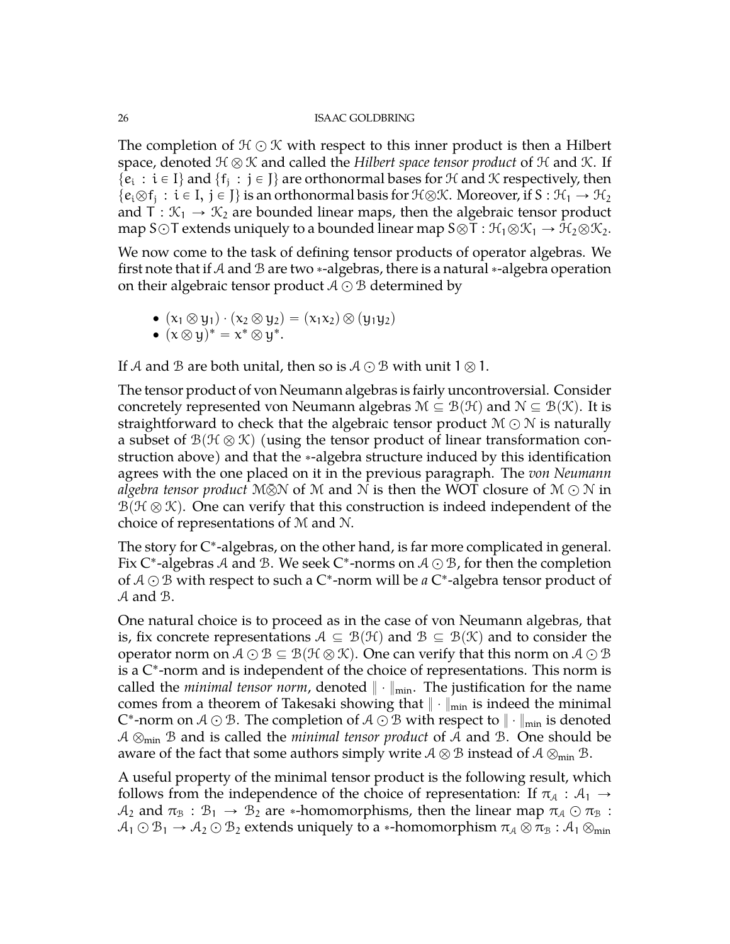The completion of  $\mathcal{H} \odot \mathcal{K}$  with respect to this inner product is then a Hilbert space, denoted  $\mathcal{H} \otimes \mathcal{K}$  and called the *Hilbert space tensor product* of  $\mathcal{H}$  and  $\mathcal{K}$ . If  $\{e_i : i \in I\}$  and  $\{f_j : j \in J\}$  are orthonormal bases for  $H$  and  $K$  respectively, then  $\{e_i\otimes f_j : i \in I, j \in J\}$  is an orthonormal basis for  $\mathcal{H} \otimes \mathcal{K}$ . Moreover, if  $S : \mathcal{H}_1 \to \mathcal{H}_2$ and  $T : \mathcal{K}_1 \to \mathcal{K}_2$  are bounded linear maps, then the algebraic tensor product map S $\odot$ T extends uniquely to a bounded linear map S $\otimes$ T :  $\mathcal{H}_1\otimes\mathcal{K}_1 \rightarrow \mathcal{H}_2\otimes\mathcal{K}_2$ .

We now come to the task of defining tensor products of operator algebras. We first note that if A and B are two  $*$ -algebras, there is a natural  $*$ -algebra operation on their algebraic tensor product  $A \odot B$  determined by

$$
\bullet \ (x_1 \otimes y_1) \cdot (x_2 \otimes y_2) = (x_1x_2) \otimes (y_1y_2)
$$

$$
\bullet \ (\mathsf{x} \otimes \mathsf{y})^* = \mathsf{x}^* \otimes \mathsf{y}^*.
$$

If A and B are both unital, then so is  $A \odot B$  with unit  $1 \otimes 1$ .

The tensor product of von Neumann algebras is fairly uncontroversial. Consider concretely represented von Neumann algebras  $M \subseteq \mathcal{B}(\mathcal{H})$  and  $N \subseteq \mathcal{B}(\mathcal{K})$ . It is straightforward to check that the algebraic tensor product  $\mathcal{M} \odot \mathcal{N}$  is naturally a subset of  $\mathcal{B}(\mathcal{H}\otimes\mathcal{K})$  (using the tensor product of linear transformation construction above) and that the \*-algebra structure induced by this identification agrees with the one placed on it in the previous paragraph. The *von Neumann algebra tensor product*  $M\bar{\otimes}N$  of M and N is then the WOT closure of  $M\odot N$  in  $B(\mathcal{H} \otimes \mathcal{K})$ . One can verify that this construction is indeed independent of the choice of representations of M and N.

The story for C\*-algebras, on the other hand, is far more complicated in general. Fix C\*-algebras  ${\mathcal A}$  and  ${\mathcal B}.$  We seek C\*-norms on  ${\mathcal A}\odot{\mathcal B}$ , for then the completion of  $A \odot B$  with respect to such a  $\mathsf{C}^*$ -norm will be *a*  $\mathsf{C}^*$ -algebra tensor product of A and B.

One natural choice is to proceed as in the case of von Neumann algebras, that is, fix concrete representations  $A \subseteq B(H)$  and  $B \subseteq B(K)$  and to consider the operator norm on  $A \odot B \subseteq B(H \otimes K)$ . One can verify that this norm on  $A \odot B$ is a C ˚ -norm and is independent of the choice of representations. This norm is called the *minimal tensor norm*, denoted  $\|\cdot\|_{min}$ . The justification for the name comes from a theorem of Takesaki showing that  $\|\cdot\|_{min}$  is indeed the minimal C\*-norm on  $\mathcal{A}\odot\mathcal{B}.$  The completion of  $\mathcal{A}\odot\mathcal{B}$  with respect to  $\|\cdot\|_{\min}$  is denoted  $A \otimes_{min} B$  and is called the *minimal tensor product* of A and B. One should be aware of the fact that some authors simply write  $A \otimes B$  instead of  $A \otimes_{min} B$ .

A useful property of the minimal tensor product is the following result, which follows from the independence of the choice of representation: If  $\pi_A : A_1 \rightarrow$  $A_2$  and  $\pi_B : B_1 \to B_2$  are \*-homomorphisms, then the linear map  $\pi_A \odot \pi_B$  :  $A_1 \odot B_1 \rightarrow A_2 \odot B_2$  extends uniquely to a \*-homomorphism  $\pi_A \otimes \pi_B : A_1 \otimes_{min}$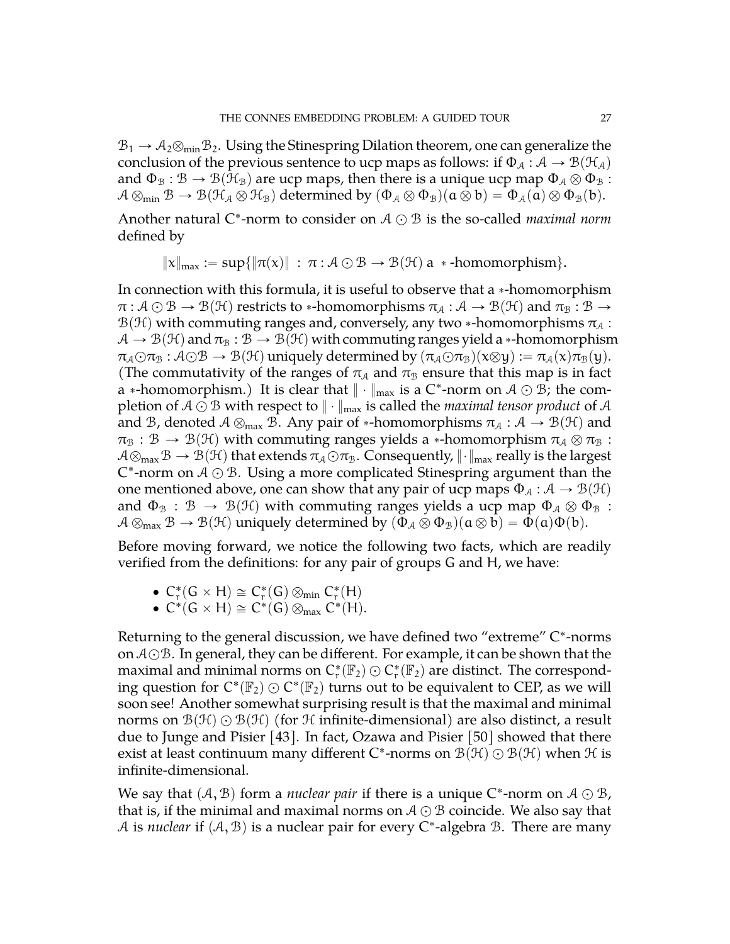$B_1 \rightarrow A_2 \otimes_{\min} B_2$ . Using the Stinespring Dilation theorem, one can generalize the conclusion of the previous sentence to ucp maps as follows: if  $\Phi_A : A \to B(\mathcal{H}_A)$ and  $\Phi_B : \mathcal{B} \to \mathcal{B}(\mathcal{H}_B)$  are ucp maps, then there is a unique ucp map  $\Phi_A \otimes \Phi_B$  :  $A \otimes_{\min} B \to B(\mathcal{H}_A \otimes \mathcal{H}_B)$  determined by  $(\Phi_A \otimes \Phi_B)(\mathfrak{a} \otimes \mathfrak{b}) = \Phi_A(\mathfrak{a}) \otimes \Phi_B(\mathfrak{b}).$ 

Another natural  $C^*$ -norm to consider on  $A \odot B$  is the so-called *maximal norm* defined by

$$
\|x\|_{\max} := \sup\{\|\pi(x)\| \ : \ \pi : A \odot B \to B(\mathcal{H}) \text{ a } * \text{-homomorphism}\}.
$$

In connection with this formula, it is useful to observe that a  $*$ -homomorphism  $\pi : A \odot B \to B(H)$  restricts to \*-homomorphisms  $\pi_A : A \to B(H)$  and  $\pi_B : B \to$  $\mathcal{B}(\mathcal{H})$  with commuting ranges and, conversely, any two  $*$ -homomorphisms  $\pi_A$ :  $A \to B(H)$  and  $\pi_B : B \to B(H)$  with commuting ranges yield a  $*$ -homomorphism  $\pi_A \odot \pi_B : A \odot B \rightarrow B(H)$  uniquely determined by  $(\pi_A \odot \pi_B)(x \otimes y) := \pi_A(x) \pi_B(y)$ . (The commutativity of the ranges of  $\pi_A$  and  $\pi_B$  ensure that this map is in fact a  $*$ -homomorphism.) It is clear that  $\|\cdot\|_{\max}$  is a C\*-norm on  $\mathcal{A}\odot\mathcal{B}$ ; the completion of  $A \odot B$  with respect to  $\|\cdot\|_{\max}$  is called the *maximal tensor product* of A and B, denoted  $A \otimes_{max} B$ . Any pair of \*-homomorphisms  $\pi_A : A \to B(H)$  and  $\pi_{\text{B}} : \mathcal{B} \to \mathcal{B}(\mathcal{H})$  with commuting ranges yields a \*-homomorphism  $\pi_{\mathcal{A}} \otimes \pi_{\mathcal{B}}$  :  $A\otimes_{\text{max}} B \to B(H)$  that extends  $\pi_A \odot \pi_B$ . Consequently,  $\|\cdot\|_{\text{max}}$  really is the largest C\*-norm on  $A \odot B$ . Using a more complicated Stinespring argument than the one mentioned above, one can show that any pair of ucp maps  $\Phi_A : A \to B(H)$ and  $\Phi_{\mathcal{B}} : \mathcal{B} \to \mathcal{B}(\mathcal{H})$  with commuting ranges yields a ucp map  $\Phi_{\mathcal{A}} \otimes \Phi_{\mathcal{B}}$ :  $A \otimes_{\text{max}} B \to \mathcal{B}(\mathcal{H})$  uniquely determined by  $(\Phi_{\mathcal{A}} \otimes \Phi_{\mathcal{B}})(\mathfrak{a} \otimes \mathfrak{b}) = \Phi(\mathfrak{a})\Phi(\mathfrak{b}).$ 

Before moving forward, we notice the following two facts, which are readily verified from the definitions: for any pair of groups G and H, we have:

- $C_r^*(G \times H) \cong C_r^*(G) \otimes_{min} C_r^*(H)$
- $C^*(G \times H) \cong C^*(G) \otimes_{max} C^*(H)$ .

Returning to the general discussion, we have defined two "extreme" C ˚ -norms on  $A \odot B$ . In general, they can be different. For example, it can be shown that the maximal and minimal norms on  $C^*_r(\mathbb{F}_2) \odot C^*_r(\mathbb{F}_2)$  are distinct. The corresponding question for  $C^*(\mathbb{F}_2) \odot C^*(\mathbb{F}_2)$  turns out to be equivalent to CEP, as we will soon see! Another somewhat surprising result is that the maximal and minimal norms on  $\mathcal{B}(\mathcal{H})\bigcirc \mathcal{B}(\mathcal{H})$  (for H infinite-dimensional) are also distinct, a result due to Junge and Pisier [\[43\]](#page-72-13). In fact, Ozawa and Pisier [\[50\]](#page-72-14) showed that there exist at least continuum many different C\*-norms on  $\mathcal{B}(\mathcal{H})\odot\mathcal{B}(\mathcal{H})$  when  $\mathcal H$  is infinite-dimensional.

We say that  $(A, B)$  form a *nuclear pair* if there is a unique C\*-norm on  $A \odot B$ , that is, if the minimal and maximal norms on  $A \bigcirc B$  coincide. We also say that A is *nuclear* if  $(A, B)$  is a nuclear pair for every C<sup>\*</sup>-algebra B. There are many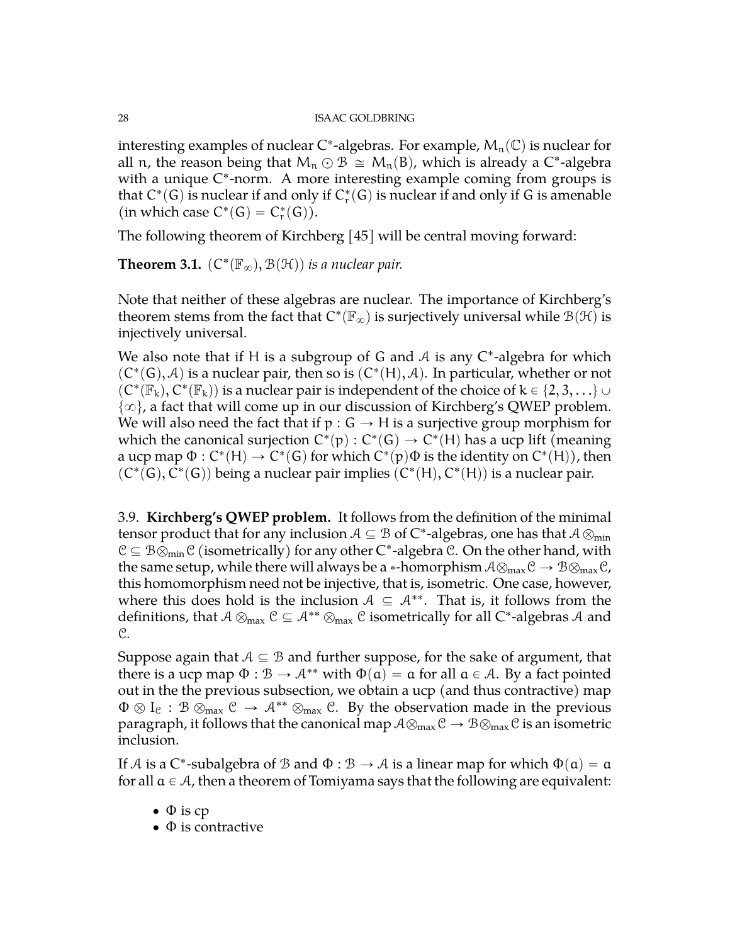interesting examples of nuclear C\*-algebras. For example,  $M_n(\mathbb{C})$  is nuclear for all n, the reason being that  $M_n \odot B \cong M_n(B)$ , which is already a C\*-algebra with a unique C\*-norm. A more interesting example coming from groups is that  $\mathsf{C}^* (G)$  is nuclear if and only if  $\mathsf{C}^*_{\mathsf{r}}(G)$  is nuclear if and only if G is amenable (in which case  $C^*(G) = C^*_r(G)$ ).

The following theorem of Kirchberg [\[45\]](#page-72-1) will be central moving forward:

**Theorem 3.1.**  $(C^*(\mathbb{F}_{\infty}), \mathcal{B}(\mathcal{H}))$  is a nuclear pair.

Note that neither of these algebras are nuclear. The importance of Kirchberg's theorem stems from the fact that  $C^*(\mathbb{F}_{\infty})$  is surjectively universal while  $\mathcal{B}(\mathcal{H})$  is injectively universal.

We also note that if H is a subgroup of G and  $A$  is any  $C^*$ -algebra for which  $(C^*(G), A)$  is a nuclear pair, then so is  $(C^*(H), A)$ . In particular, whether or not  $\rho(C^*(\mathbb F_k),C^*(\mathbb F_k))$  is a nuclear pair is independent of the choice of  $k\in\{2,3,\ldots\}\cup\{0\}$  $\{\infty\}$ , a fact that will come up in our discussion of Kirchberg's QWEP problem. We will also need the fact that if  $p : G \to H$  is a surjective group morphism for which the canonical surjection  $C^*(p): C^*(G) \to C^*(H)$  has a ucp lift (meaning a ucp map  $\Phi: C^*(\mathsf{H}) \to C^*(\mathsf{G})$  for which  $C^*(\mathsf{p})\Phi$  is the identity on  $C^*(\mathsf{H}))$ , then  $(C^*(G), C^*(G))$  being a nuclear pair implies  $(C^*(H), C^*(H))$  is a nuclear pair.

<span id="page-27-0"></span>3.9. **Kirchberg's QWEP problem.** It follows from the definition of the minimal tensor product that for any inclusion  $\mathcal{A} \subseteq \mathcal{B}$  of  $\mathsf{C}^*$ -algebras, one has that  $\mathcal{A} \otimes_{\min}$  $C \subseteq B \otimes_{\min} C$  (isometrically) for any other  $C^*$ -algebra  $\mathcal{C}$ . On the other hand, with the same setup, while there will always be a \*-homorphism  $A\otimes_{\text{max}}\mathcal{C} \rightarrow \mathcal{B}\otimes_{\text{max}}\mathcal{C}$ , this homomorphism need not be injective, that is, isometric. One case, however, where this does hold is the inclusion  $A \subseteq A^{**}$ . That is, it follows from the definitions, that  $A\otimes_{\max} \mathcal{C}\subseteq A^{**}\otimes_{\max} \mathcal{C}$  isometrically for all C\*-algebras  $A$  and C.

Suppose again that  $A \subseteq B$  and further suppose, for the sake of argument, that there is a ucp map  $\Phi : \mathcal{B} \to \mathcal{A}^{**}$  with  $\Phi(\mathfrak{a}) = \mathfrak{a}$  for all  $\mathfrak{a} \in \mathcal{A}$ . By a fact pointed out in the the previous subsection, we obtain a ucp (and thus contractive) map  $\Phi \otimes I_{\mathcal{C}} : \mathcal{B} \otimes_{\text{max}} \mathcal{C} \to \mathcal{A}^{**} \otimes_{\text{max}} \mathcal{C}$ . By the observation made in the previous paragraph, it follows that the canonical map  $A\otimes_{\text{max}}\mathcal{C} \to B\otimes_{\text{max}}\mathcal{C}$  is an isometric inclusion.

If A is a C\*-subalgebra of B and  $\Phi : \mathcal{B} \to \mathcal{A}$  is a linear map for which  $\Phi(\mathfrak{a}) = \mathfrak{a}$ for all  $a \in \mathcal{A}$ , then a theorem of Tomiyama says that the following are equivalent:

- $\bullet$   $\Phi$  is cp
- $\bullet$   $\Phi$  is contractive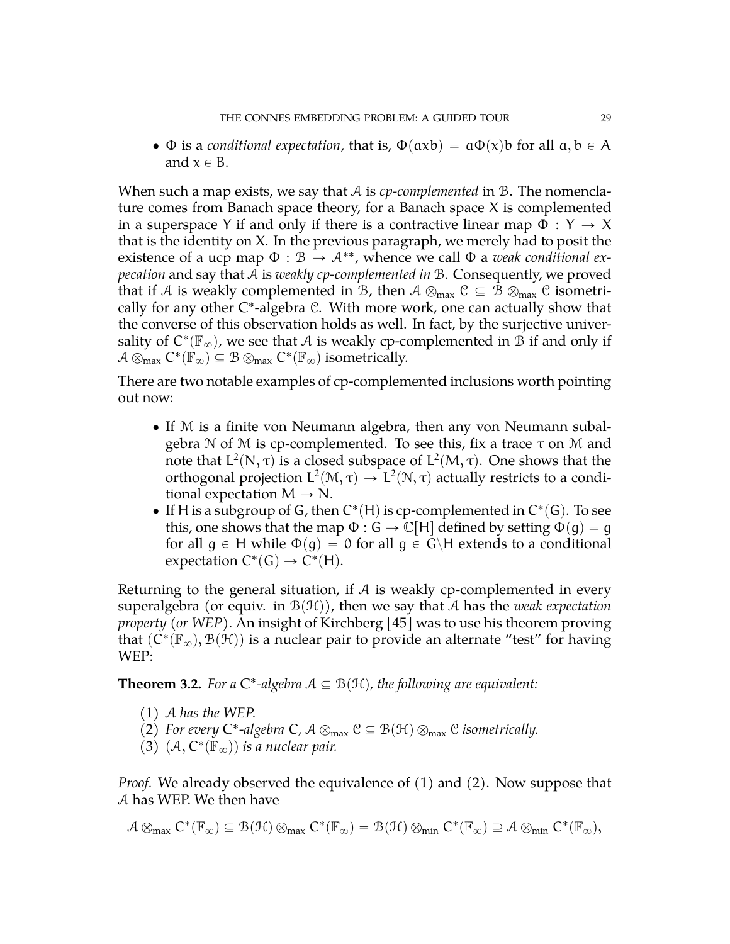$\bullet$   $\Phi$  is a *conditional expectation*, that is,  $\Phi(\text{axb}) = \alpha \Phi(\text{x})\text{b}$  for all  $\alpha, \beta \in A$ and  $x \in B$ .

When such a map exists, we say that A is *cp-complemented* in B. The nomenclature comes from Banach space theory, for a Banach space  $X$  is complemented in a superspace Y if and only if there is a contractive linear map  $\Phi : Y \to X$ that is the identity on X. In the previous paragraph, we merely had to posit the existence of a ucp map  $\Phi : \mathcal{B} \to \mathcal{A}^{**}$ , whence we call  $\Phi$  a *weak conditional expecation* and say that A is *weakly cp-complemented in* B. Consequently, we proved that if A is weakly complemented in B, then  $A \otimes_{max} C \subseteq B \otimes_{max} C$  isometrically for any other C\*-algebra C. With more work, one can actually show that the converse of this observation holds as well. In fact, by the surjective universality of  $C^*(\mathbb{F}_{\infty})$ , we see that A is weakly cp-complemented in  $\mathcal B$  if and only if  $\mathcal{A} \otimes_{\max} C^*(\mathbb{F}_{\infty}) \subseteq \mathcal{B} \otimes_{\max} C^*(\mathbb{F}_{\infty})$  isometrically.

There are two notable examples of cp-complemented inclusions worth pointing out now:

- ' If M is a finite von Neumann algebra, then any von Neumann subalgebra N of M is cp-complemented. To see this, fix a trace  $τ$  on M and note that L<sup>2</sup>(N, τ) is a closed subspace of L<sup>2</sup>(M, τ). One shows that the orthogonal projection  $L^2(\mathcal{M}, \tau) \to L^2(\mathcal{N}, \tau)$  actually restricts to a conditional expectation  $M \rightarrow N$ .
- If H is a subgroup of G, then  $C^*(H)$  is cp-complemented in  $C^*(G)$ . To see this, one shows that the map  $\Phi : G \to \mathbb{C}[H]$  defined by setting  $\Phi(g) = g$ for all  $g \in H$  while  $\Phi(g) = 0$  for all  $g \in G\backslash H$  extends to a conditional expectation  $C^*(G) \to C^*(H)$ .

Returning to the general situation, if  $A$  is weakly cp-complemented in every superalgebra (or equiv. in  $\mathcal{B}(\mathcal{H})$ ), then we say that A has the *weak expectation property (or WEP)*. An insight of Kirchberg [\[45\]](#page-72-1) was to use his theorem proving that  $(\check{C}^*(\mathbb{F}_\infty),\mathcal{B}(\mathcal{H}))$  is a nuclear pair to provide an alternate "test" for having WEP:

**Theorem 3.2.** For a  $C^*$ -algebra  $A \subseteq B(H)$ , the following are equivalent:

- (1) A *has the WEP.*
- (2) For every  $C^*$ -algebra  $C$ ,  $A \otimes_{\text{max}} C \subseteq B(\mathcal{H}) \otimes_{\text{max}} C$  *isometrically.*
- $(3)$   $(\mathcal{A}, C^*(\mathbb{F}_{\infty}))$  is a nuclear pair.

*Proof.* We already observed the equivalence of (1) and (2). Now suppose that A has WEP. We then have

$$
\mathcal{A}\otimes_{max}C^*(\mathbb{F}_{\infty})\subseteq \mathcal{B}(\mathcal{H})\otimes_{max}C^*(\mathbb{F}_{\infty})=\mathcal{B}(\mathcal{H})\otimes_{min}C^*(\mathbb{F}_{\infty})\supseteq \mathcal{A}\otimes_{min}C^*(\mathbb{F}_{\infty}),
$$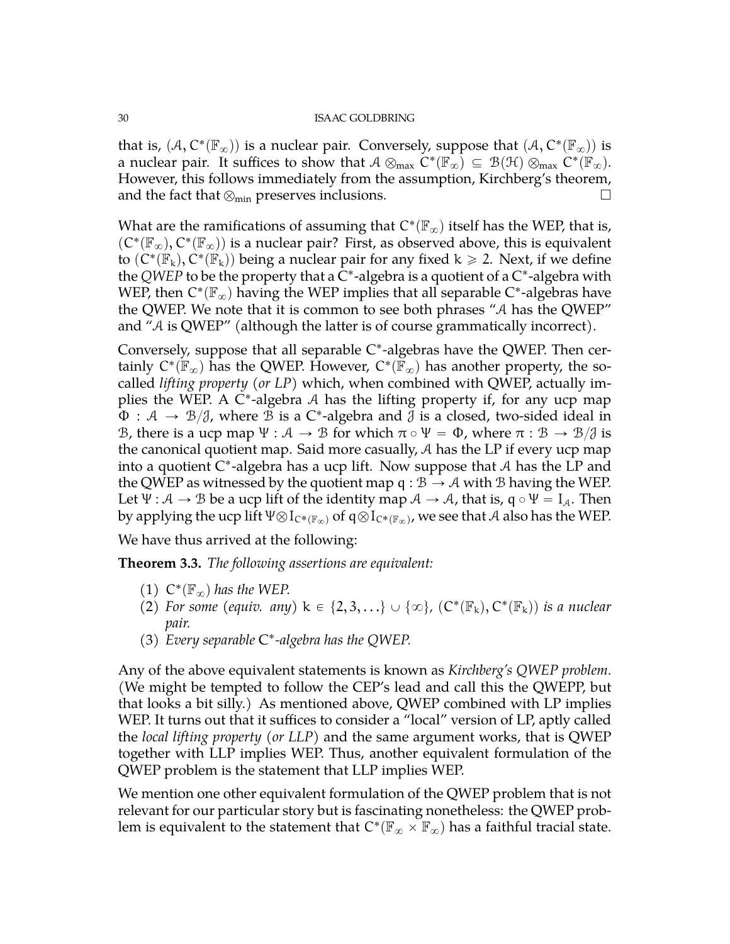that is,  $(A, C^*(\mathbb{F}_{\infty}))$  is a nuclear pair. Conversely, suppose that  $(A, C^*(\mathbb{F}_{\infty}))$  is a nuclear pair. It suffices to show that  $A \otimes_{\text{max}} C^*(\mathbb{F}_{\infty}) \subseteq B(\mathcal{H}) \otimes_{\text{max}} C^*(\mathbb{F}_{\infty})$ . However, this follows immediately from the assumption, Kirchberg's theorem, and the fact that  $\otimes_{min}$  preserves inclusions.  $\Box$ 

What are the ramifications of assuming that  $\mathrm{C}^* (\mathbb{F}_\infty)$  itself has the WEP, that is,  $(C^*(\mathbb{F}_{\infty}), C^*(\mathbb{F}_{\infty}))$  is a nuclear pair? First, as observed above, this is equivalent to  $(C^*(\mathbb{F}_k), C^*(\mathbb{F}_k))$  being a nuclear pair for any fixed  $k \geq 2$ . Next, if we define the QWEP to be the property that a C<sup>\*</sup>-algebra is a quotient of a C<sup>\*</sup>-algebra with WEP, then  $C^*(\mathbb{F}_{\infty})$  having the WEP implies that all separable  $C^*$ -algebras have the QWEP. We note that it is common to see both phrases "A has the QWEP" and "A is QWEP" (although the latter is of course grammatically incorrect).

Conversely, suppose that all separable C\*-algebras have the QWEP. Then certainly  $C^*(\mathbb{F}_{\infty})$  has the QWEP. However,  $C^*(\mathbb{F}_{\infty})$  has another property, the socalled *lifting property (or LP)* which, when combined with QWEP, actually implies the WEP. A C\*-algebra A has the lifting property if, for any ucp map  $\Phi : \mathcal{A} \to \mathcal{B}/\mathcal{J}$ , where  $\mathcal B$  is a C\*-algebra and  $\mathcal J$  is a closed, two-sided ideal in B, there is a ucp map  $\Psi : \mathcal{A} \to \mathcal{B}$  for which  $\pi \circ \Psi = \Phi$ , where  $\pi : \mathcal{B} \to \mathcal{B}/\mathcal{J}$  is the canonical quotient map. Said more casually, A has the LP if every ucp map into a quotient C ˚ -algebra has a ucp lift. Now suppose that A has the LP and the QWEP as witnessed by the quotient map  $q : \mathcal{B} \to \mathcal{A}$  with  $\mathcal{B}$  having the WEP. Let  $\Psi : \mathcal{A} \to \mathcal{B}$  be a ucp lift of the identity map  $\mathcal{A} \to \mathcal{A}$ , that is,  $q \circ \Psi = I_{\mathcal{A}}$ . Then by applying the ucp lift  $\Psi\otimes I_{C^*(\mathbb{F}_\infty)}$  of  $\mathfrak{q}\otimes I_{C^*(\mathbb{F}_\infty)}$ , we see that  $\mathcal A$  also has the WEP.

We have thus arrived at the following:

**Theorem 3.3.** *The following assertions are equivalent:*

- (1)  $C^*(\mathbb{F}_{\infty})$  has the WEP.
- (2) For some (equiv. any)  $k \in \{2, 3, ...\} \cup \{\infty\}$ ,  $(C^*(\mathbb{F}_k), C^*(\mathbb{F}_k))$  is a nuclear *pair.*
- (3) *Every separable* C ˚ *-algebra has the QWEP.*

Any of the above equivalent statements is known as *Kirchberg's QWEP problem*. (We might be tempted to follow the CEP's lead and call this the QWEPP, but that looks a bit silly.) As mentioned above, QWEP combined with LP implies WEP. It turns out that it suffices to consider a "local" version of LP, aptly called the *local lifting property (or LLP)* and the same argument works, that is QWEP together with LLP implies WEP. Thus, another equivalent formulation of the QWEP problem is the statement that LLP implies WEP.

We mention one other equivalent formulation of the QWEP problem that is not relevant for our particular story but is fascinating nonetheless: the QWEP problem is equivalent to the statement that  $C^*(\mathbb{F}_\infty \times \mathbb{F}_\infty)$  has a faithful tracial state.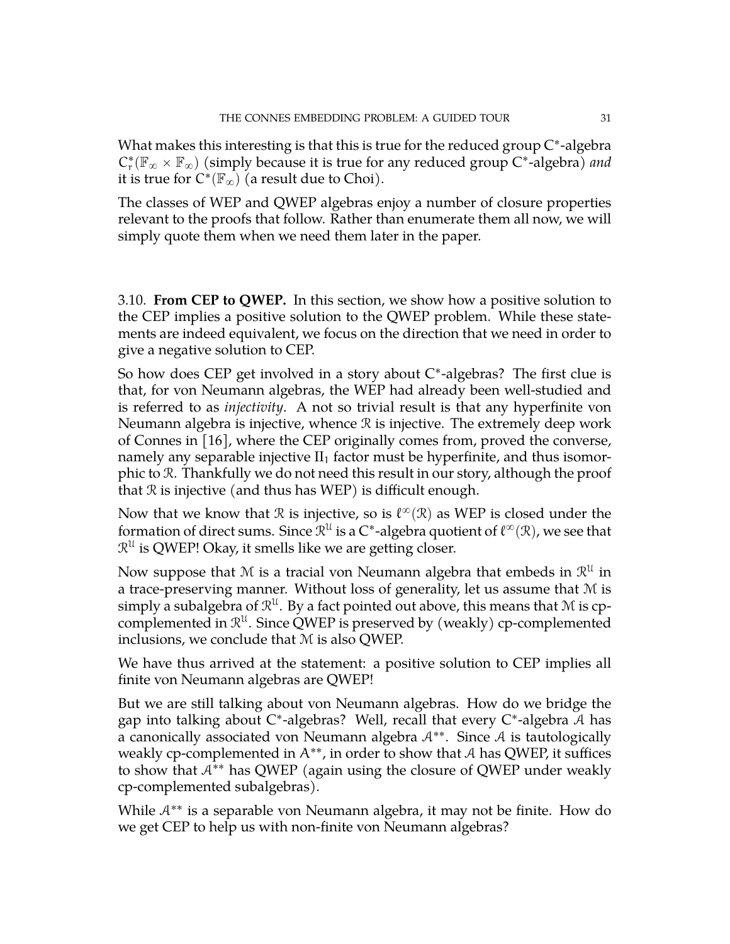What makes this interesting is that this is true for the reduced group C\*-algebra  $C_r^*(\mathbb{F}_{\infty}\times\mathbb{F}_{\infty})$  (simply because it is true for any reduced group  $C^*$ -algebra) *and* it is true for  $C^*(\mathbb{F}_\infty)$  (a result due to Choi).

The classes of WEP and QWEP algebras enjoy a number of closure properties relevant to the proofs that follow. Rather than enumerate them all now, we will simply quote them when we need them later in the paper.

<span id="page-30-0"></span>3.10. **From CEP to QWEP.** In this section, we show how a positive solution to the CEP implies a positive solution to the QWEP problem. While these statements are indeed equivalent, we focus on the direction that we need in order to give a negative solution to CEP.

So how does CEP get involved in a story about C\*-algebras? The first clue is that, for von Neumann algebras, the WEP had already been well-studied and is referred to as *injectivity*. A not so trivial result is that any hyperfinite von Neumann algebra is injective, whence R is injective. The extremely deep work of Connes in [\[16\]](#page-71-0), where the CEP originally comes from, proved the converse, namely any separable injective  $II_1$  factor must be hyperfinite, and thus isomorphic to R. Thankfully we do not need this result in our story, although the proof that  $R$  is injective (and thus has WEP) is difficult enough.

Now that we know that  $\mathcal R$  is injective, so is  $\ell^\infty(\mathcal R)$  as WEP is closed under the formation of direct sums. Since  $\mathcal{R}^\mathfrak{U}$  is a C\*-algebra quotient of  $\ell^\infty(\mathcal{R})$ , we see that  $\mathcal{R}^{\mathcal{U}}$  is QWEP! Okay, it smells like we are getting closer.

Now suppose that M is a tracial von Neumann algebra that embeds in  $\mathcal{R}^{\mathfrak{U}}$  in a trace-preserving manner. Without loss of generality, let us assume that M is simply a subalgebra of  $\mathcal{R}^{\mathfrak{U}}$ . By a fact pointed out above, this means that M is cpcomplemented in  $\mathcal{R}^{\mathfrak{U}}$ . Since QWEP is preserved by (weakly) cp-complemented inclusions, we conclude that M is also QWEP.

We have thus arrived at the statement: a positive solution to CEP implies all finite von Neumann algebras are QWEP!

But we are still talking about von Neumann algebras. How do we bridge the gap into talking about C\*-algebras? Well, recall that every C\*-algebra A has a canonically associated von Neumann algebra  $A^{**}$ . Since A is tautologically weakly cp-complemented in  $A^{**}$ , in order to show that A has QWEP, it suffices to show that  $A^{**}$  has QWEP (again using the closure of QWEP under weakly cp-complemented subalgebras).

While  $A^{**}$  is a separable von Neumann algebra, it may not be finite. How do we get CEP to help us with non-finite von Neumann algebras?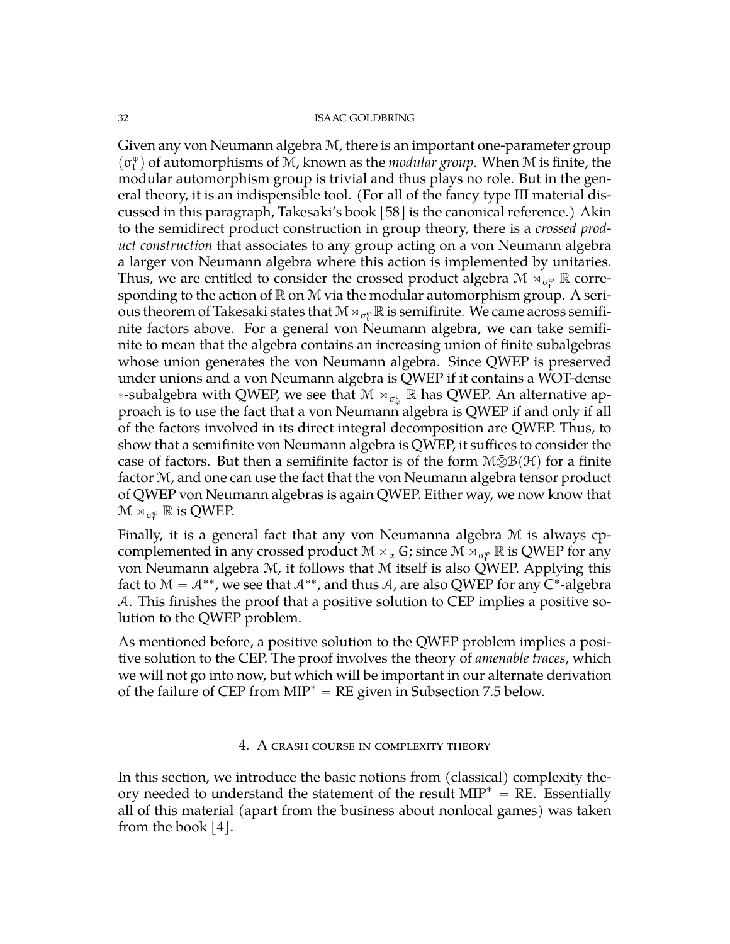Given any von Neumann algebra  $M$ , there is an important one-parameter group  $(\sigma_t^{\varphi})$  of automorphisms of  $\tilde{M}$ , known as the *modular group*. When  $M$  is finite, the modular automorphism group is trivial and thus plays no role. But in the general theory, it is an indispensible tool. (For all of the fancy type III material discussed in this paragraph, Takesaki's book [\[58\]](#page-73-3) is the canonical reference.) Akin to the semidirect product construction in group theory, there is a *crossed product construction* that associates to any group acting on a von Neumann algebra a larger von Neumann algebra where this action is implemented by unitaries. Thus, we are entitled to consider the crossed product algebra  $\mathcal{M} \rtimes_{\sigma_t^{\varphi}} \mathbb{R}$  corresponding to the action of  $\mathbb R$  on  $\mathcal M$  via the modular automorphism group. A serious theorem of Takesaki states that  $\mathcal{M} \rtimes_{\sigma_t^{\phi}} \mathbb{R}$  is semifinite. We came across semifinite factors above. For a general von Neumann algebra, we can take semifinite to mean that the algebra contains an increasing union of finite subalgebras whose union generates the von Neumann algebra. Since QWEP is preserved under unions and a von Neumann algebra is QWEP if it contains a WOT-dense \*-subalgebra with QWEP, we see that  $\mathcal{M} \rtimes_{\sigma_{\varphi}^{\text{t}}} \mathbb{R}$  has QWEP. An alternative approach is to use the fact that a von Neumann algebra is QWEP if and only if all of the factors involved in its direct integral decomposition are QWEP. Thus, to show that a semifinite von Neumann algebra is QWEP, it suffices to consider the case of factors. But then a semifinite factor is of the form  $M\bar{\otimes}B(\mathcal{H})$  for a finite factor M, and one can use the fact that the von Neumann algebra tensor product of QWEP von Neumann algebras is again QWEP. Either way, we now know that  ${\mathcal M}\rtimes_{\sigma_t^\phi}{\mathbb R}$  is QWEP.

Finally, it is a general fact that any von Neumanna algebra M is always cpcomplemented in any crossed product  $\mathcal{M} \rtimes_{\alpha} G$ ; since  $\mathcal{M} \rtimes_{\sigma_{\tau}^{\varphi}} \mathbb{R}$  is QWEP for any von Neumann algebra M, it follows that M itself is also QWEP. Applying this fact to  $\mathcal{M} = \mathcal{A}^{**}$ , we see that  $\mathcal{A}^{**}$ , and thus  $\mathcal{A}$ , are also QWEP for any C $^*$ -algebra A. This finishes the proof that a positive solution to CEP implies a positive solution to the QWEP problem.

As mentioned before, a positive solution to the QWEP problem implies a positive solution to the CEP. The proof involves the theory of *amenable traces*, which we will not go into now, but which will be important in our alternate derivation of the failure of CEP from  $MIP^* = RE$  given in Subsection [7.5](#page-58-1) below.

# 4. A crash course in complexity theory

<span id="page-31-0"></span>In this section, we introduce the basic notions from (classical) complexity theory needed to understand the statement of the result  $MIP^* = RE$ . Essentially all of this material (apart from the business about nonlocal games) was taken from the book  $[4]$ .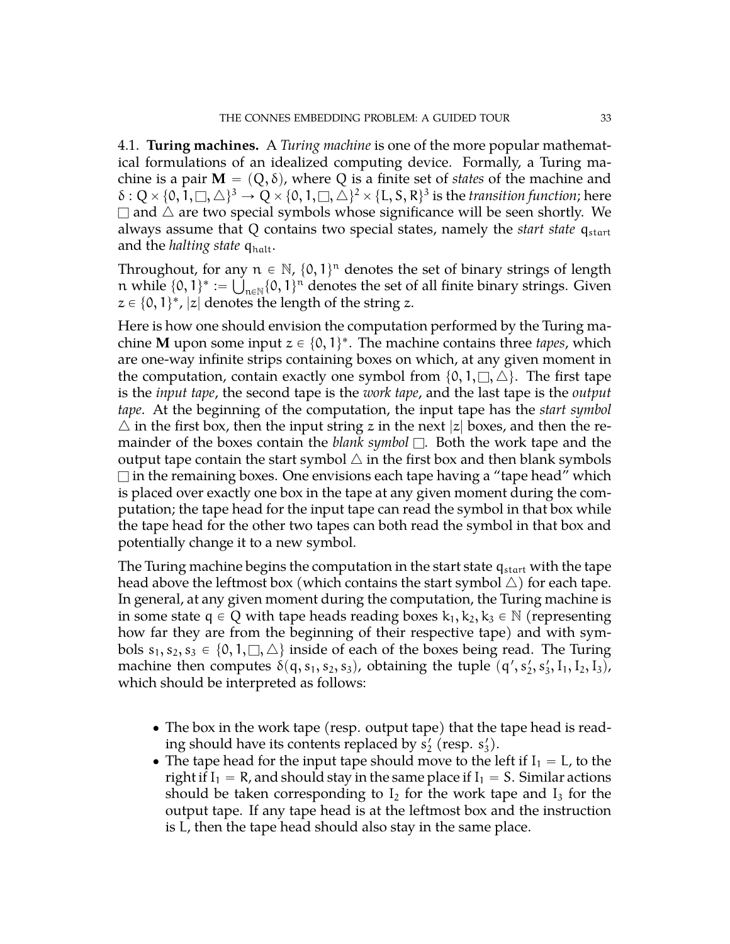<span id="page-32-0"></span>4.1. **Turing machines.** A *Turing machine* is one of the more popular mathematical formulations of an idealized computing device. Formally, a Turing machine is a pair  $M = (Q, \delta)$ , where Q is a finite set of *states* of the machine and  $\delta:Q\times\{0,1,\Box,\triangle\}^3\to Q\times\{0,1,\Box,\triangle\}^2\times\{L,S,R\}^3$  is the *transition function;* here  $\Box$  and  $\triangle$  are two special symbols whose significance will be seen shortly. We always assume that Q contains two special states, namely the *start state* q<sub>start</sub> and the *halting state* q<sub>halt</sub>.

Throughout, for any  $n \in \mathbb{N}$ ,  $\{0, 1\}^n$  denotes the set of binary strings of length n while  $\{0, 1\}^* := \bigcup_{n \in \mathbb{N}} \{0, 1\}^n$  denotes the set of all finite binary strings. Given  $z \in \{0, 1\}^*$ ,  $|z|$  denotes the length of the string  $z$ .

Here is how one should envision the computation performed by the Turing machine **M** upon some input  $z \in \{0, 1\}^*$ . The machine contains three *tapes*, which are one-way infinite strips containing boxes on which, at any given moment in the computation, contain exactly one symbol from  $\{0, 1, \Box, \triangle\}$ . The first tape is the *input tape*, the second tape is the *work tape*, and the last tape is the *output tape*. At the beginning of the computation, the input tape has the *start symbol*  $\triangle$  in the first box, then the input string z in the next |z| boxes, and then the remainder of the boxes contain the *blank symbol*  $\Box$ . Both the work tape and the output tape contain the start symbol  $\triangle$  in the first box and then blank symbols  $\Box$  in the remaining boxes. One envisions each tape having a "tape head" which is placed over exactly one box in the tape at any given moment during the computation; the tape head for the input tape can read the symbol in that box while the tape head for the other two tapes can both read the symbol in that box and potentially change it to a new symbol.

The Turing machine begins the computation in the start state  $q_{start}$  with the tape head above the leftmost box (which contains the start symbol  $\triangle$ ) for each tape. In general, at any given moment during the computation, the Turing machine is in some state  $q \in Q$  with tape heads reading boxes  $k_1, k_2, k_3 \in \mathbb{N}$  (representing how far they are from the beginning of their respective tape) and with symbols  $s_1, s_2, s_3 \in \{0, 1, \square, \triangle\}$  inside of each of the boxes being read. The Turing machine then computes  $\delta(q, s_1, s_2, s_3)$ , obtaining the tuple  $(q', s'_2, s'_3, I_1, I_2, I_3)$ , which should be interpreted as follows:

- The box in the work tape (resp. output tape) that the tape head is reading should have its contents replaced by  $s'_2$  (resp.  $s'_3$ ).
- The tape head for the input tape should move to the left if  $I_1 = L$ , to the right if  $I_1 = R$ , and should stay in the same place if  $I_1 = S$ . Similar actions should be taken corresponding to  $I_2$  for the work tape and  $I_3$  for the output tape. If any tape head is at the leftmost box and the instruction is L, then the tape head should also stay in the same place.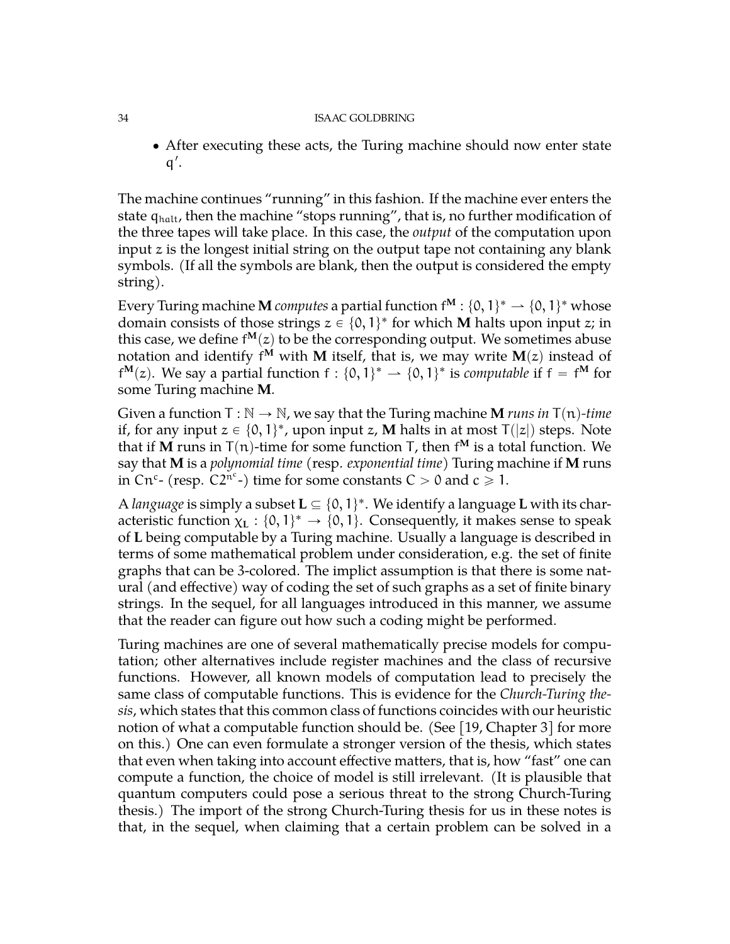' After executing these acts, the Turing machine should now enter state  $q'$ .

The machine continues "running" in this fashion. If the machine ever enters the state  $q_{halt}$ , then the machine "stops running", that is, no further modification of the three tapes will take place. In this case, the *output* of the computation upon input z is the longest initial string on the output tape not containing any blank symbols. (If all the symbols are blank, then the output is considered the empty string).

Every Turing machine **M** computes a partial function  $f^{\mathbf{M}}:\{0,1\}^* \rightharpoonup \{0,1\}^*$  whose domain consists of those strings  $z \in \{0, 1\}^*$  for which **M** halts upon input z; in this case, we define  $f^{M}(z)$  to be the corresponding output. We sometimes abuse notation and identify f<sup>M</sup> with **M** itself, that is, we may write  $\mathbf{M}(z)$  instead of  $f^{M}(z)$ . We say a partial function  $f: \{0, 1\}^{*} \rightarrow \{0, 1\}^{*}$  is *computable* if  $f = f^{M}$  for some Turing machine **M**.

Given a function  $T : \mathbb{N} \to \mathbb{N}$ , we say that the Turing machine **M** *runs in*  $T(n)$ *-time* if, for any input  $z \in \{0, 1\}^*$ , upon input z, **M** halts in at most  $T(|z|)$  steps. Note that if **M** runs in T(n)-time for some function T, then f<sup>M</sup> is a total function. We say that **M** is a *polynomial time* (resp. *exponential time*) Turing machine if **M** runs in Cn<sup>c</sup>- (resp.  $C2^{n^c}$ -) time for some constants  $C > 0$  and  $c \ge 1$ .

A *language* is simply a subset  $L \subseteq \{0, 1\}^*$ . We identify a language  $L$  with its characteristic function  $\chi_L: \{0, 1\}^* \to \{0, 1\}$ . Consequently, it makes sense to speak of **L** being computable by a Turing machine. Usually a language is described in terms of some mathematical problem under consideration, e.g. the set of finite graphs that can be 3-colored. The implict assumption is that there is some natural (and effective) way of coding the set of such graphs as a set of finite binary strings. In the sequel, for all languages introduced in this manner, we assume that the reader can figure out how such a coding might be performed.

Turing machines are one of several mathematically precise models for computation; other alternatives include register machines and the class of recursive functions. However, all known models of computation lead to precisely the same class of computable functions. This is evidence for the *Church-Turing thesis*, which states that this common class of functions coincides with our heuristic notion of what a computable function should be. (See [\[19,](#page-71-6) Chapter 3] for more on this.) One can even formulate a stronger version of the thesis, which states that even when taking into account effective matters, that is, how "fast" one can compute a function, the choice of model is still irrelevant. (It is plausible that quantum computers could pose a serious threat to the strong Church-Turing thesis.) The import of the strong Church-Turing thesis for us in these notes is that, in the sequel, when claiming that a certain problem can be solved in a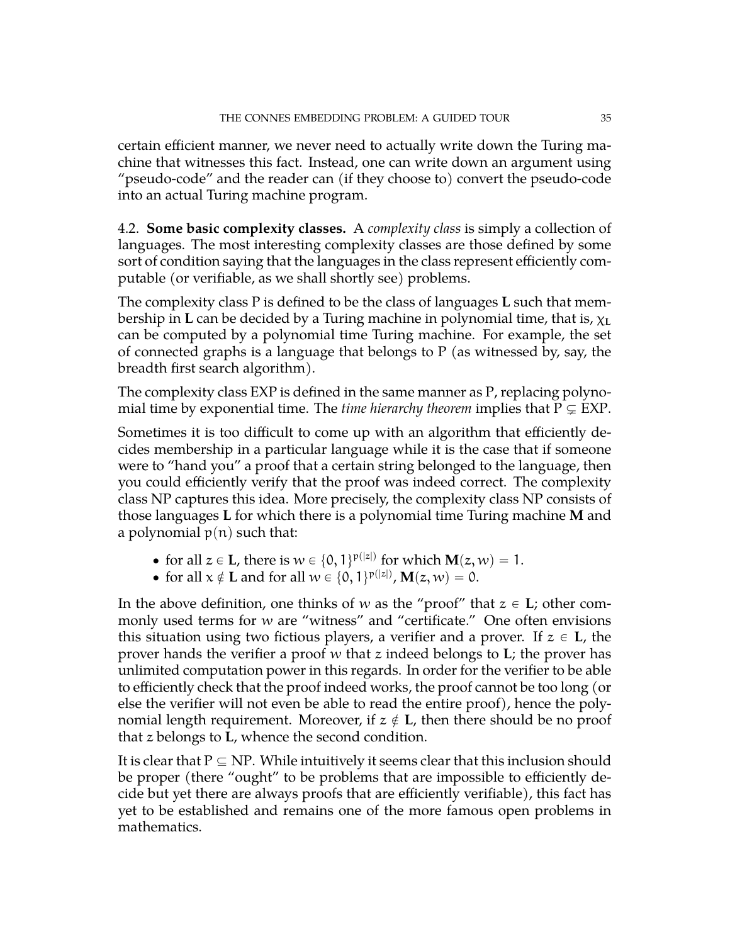certain efficient manner, we never need to actually write down the Turing machine that witnesses this fact. Instead, one can write down an argument using "pseudo-code" and the reader can (if they choose to) convert the pseudo-code into an actual Turing machine program.

<span id="page-34-0"></span>4.2. **Some basic complexity classes.** A *complexity class* is simply a collection of languages. The most interesting complexity classes are those defined by some sort of condition saying that the languages in the class represent efficiently computable (or verifiable, as we shall shortly see) problems.

The complexity class P is defined to be the class of languages **L** such that membership in **L** can be decided by a Turing machine in polynomial time, that is, χ**<sup>L</sup>** can be computed by a polynomial time Turing machine. For example, the set of connected graphs is a language that belongs to  $P$  (as witnessed by, say, the breadth first search algorithm).

The complexity class EXP is defined in the same manner as P, replacing polynomial time by exponential time. The *time hierarchy theorem* implies that  $P \subseteq EXP$ .

Sometimes it is too difficult to come up with an algorithm that efficiently decides membership in a particular language while it is the case that if someone were to "hand you" a proof that a certain string belonged to the language, then you could efficiently verify that the proof was indeed correct. The complexity class NP captures this idea. More precisely, the complexity class NP consists of those languages **L** for which there is a polynomial time Turing machine **M** and a polynomial  $p(n)$  such that:

- for all  $z \in L$ , there is  $w \in \{0, 1\}^{p(|z|)}$  for which  $M(z, w) = 1$ .
- for all  $x \notin L$  and for all  $w \in \{0, 1\}^{p(|z|)}, M(z, w) = 0.$

In the above definition, one thinks of w as the "proof" that  $z \in L$ ; other commonly used terms for w are "witness" and "certificate." One often envisions this situation using two fictious players, a verifier and a prover. If  $z \in L$ , the prover hands the verifier a proof w that z indeed belongs to **L**; the prover has unlimited computation power in this regards. In order for the verifier to be able to efficiently check that the proof indeed works, the proof cannot be too long (or else the verifier will not even be able to read the entire proof), hence the polynomial length requirement. Moreover, if  $z \notin L$ , then there should be no proof that z belongs to **L**, whence the second condition.

It is clear that  $P \subseteq NP$ . While intuitively it seems clear that this inclusion should be proper (there "ought" to be problems that are impossible to efficiently decide but yet there are always proofs that are efficiently verifiable), this fact has yet to be established and remains one of the more famous open problems in mathematics.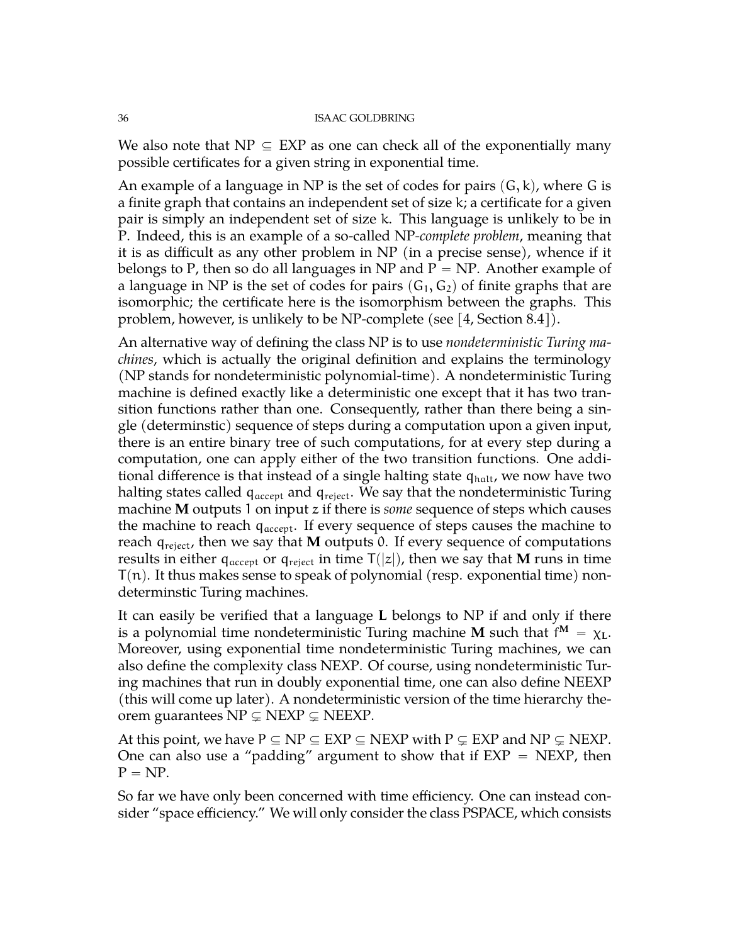We also note that NP  $\subseteq$  EXP as one can check all of the exponentially many possible certificates for a given string in exponential time.

An example of a language in NP is the set of codes for pairs  $(G, k)$ , where G is a finite graph that contains an independent set of size k; a certificate for a given pair is simply an independent set of size k. This language is unlikely to be in P. Indeed, this is an example of a so-called NP*-complete problem*, meaning that it is as difficult as any other problem in NP (in a precise sense), whence if it belongs to P, then so do all languages in NP and  $P = NP$ . Another example of a language in NP is the set of codes for pairs  $(G_1, G_2)$  of finite graphs that are isomorphic; the certificate here is the isomorphism between the graphs. This problem, however, is unlikely to be NP-complete (see  $\vert 4$ , Section 8.4).

An alternative way of defining the class NP is to use *nondeterministic Turing machines*, which is actually the original definition and explains the terminology (NP stands for nondeterministic polynomial-time). A nondeterministic Turing machine is defined exactly like a deterministic one except that it has two transition functions rather than one. Consequently, rather than there being a single (determinstic) sequence of steps during a computation upon a given input, there is an entire binary tree of such computations, for at every step during a computation, one can apply either of the two transition functions. One additional difference is that instead of a single halting state  $q_{halt}$ , we now have two halting states called  $q_{\text{accept}}$  and  $q_{\text{reject}}$ . We say that the nondeterministic Turing machine **M** outputs 1 on input z if there is *some* sequence of steps which causes the machine to reach  $q_{\text{accept}}$ . If every sequence of steps causes the machine to reach  $q_{reject}$ , then we say that **M** outputs 0. If every sequence of computations results in either  $q_{\text{accept}}$  or  $q_{\text{reject}}$  in time  $T(|z|)$ , then we say that **M** runs in time  $T(n)$ . It thus makes sense to speak of polynomial (resp. exponential time) nondeterminstic Turing machines.

It can easily be verified that a language **L** belongs to NP if and only if there is a polynomial time nondeterministic Turing machine  $\mathbf M$  such that  $\mathsf{f}^{\mathbf M} \,=\, \chi_{\mathbf L}.$ Moreover, using exponential time nondeterministic Turing machines, we can also define the complexity class NEXP. Of course, using nondeterministic Turing machines that run in doubly exponential time, one can also define NEEXP (this will come up later). A nondeterministic version of the time hierarchy theorem guarantees  $NP \subsetneq NEXP \subsetneq NEEXP$ .

At this point, we have  $P \subseteq NP \subseteq EXP \subseteq NEXP$  with  $P \subseteq EXP$  and  $NP \subseteq NEXP$ . One can also use a "padding" argument to show that if  $EXP = NEXP$ , then  $P = NP$ .

So far we have only been concerned with time efficiency. One can instead consider "space efficiency." We will only consider the class PSPACE, which consists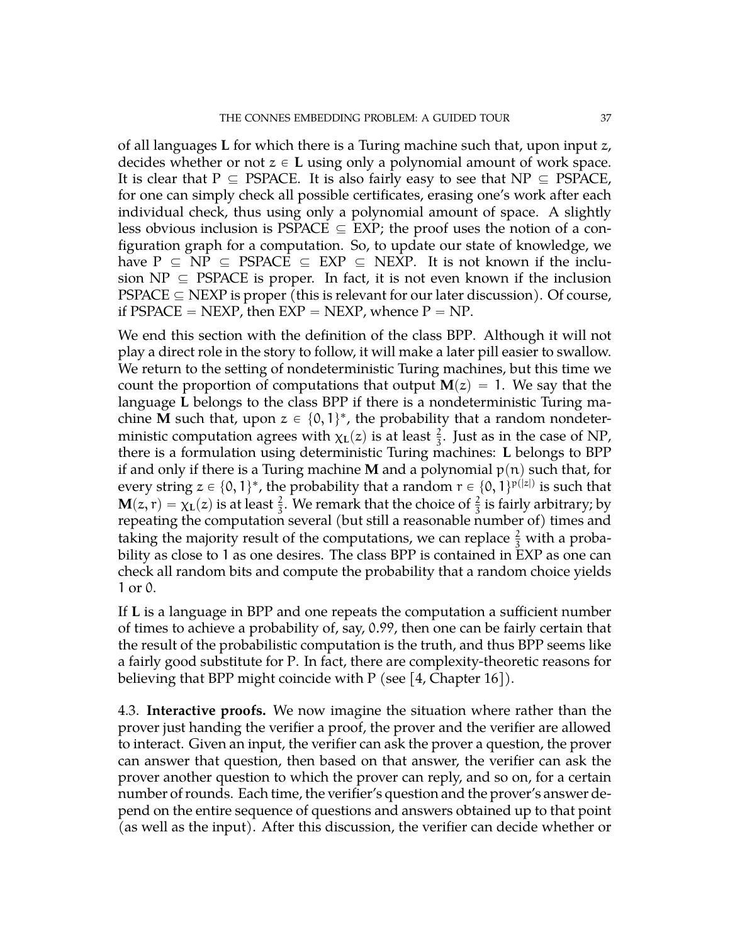of all languages **L** for which there is a Turing machine such that, upon input z, decides whether or not  $z \in L$  using only a polynomial amount of work space. It is clear that  $P \subseteq PSPACE$ . It is also fairly easy to see that  $NP \subseteq PSPACE$ , for one can simply check all possible certificates, erasing one's work after each individual check, thus using only a polynomial amount of space. A slightly less obvious inclusion is PSPACE  $\subseteq$  EXP; the proof uses the notion of a configuration graph for a computation. So, to update our state of knowledge, we have  $P \subseteq NP \subseteq PSPACE \subseteq EXP \subseteq NEXP$ . It is not known if the inclusion  $NP \subseteq PSPACE$  is proper. In fact, it is not even known if the inclusion  $PSPACE \subseteq NEXT$  is proper (this is relevant for our later discussion). Of course, if PSPACE  $=$  NEXP, then EXP  $=$  NEXP, whence  $P = NP$ .

We end this section with the definition of the class BPP. Although it will not play a direct role in the story to follow, it will make a later pill easier to swallow. We return to the setting of nondeterministic Turing machines, but this time we count the proportion of computations that output  $M(z) = 1$ . We say that the language **L** belongs to the class BPP if there is a nondeterministic Turing machine **M** such that, upon  $z \in \{0, 1\}^*$ , the probability that a random nondeterministic computation agrees with  $\chi_{\rm L}(z)$  is at least  $\frac{2}{3}$ . Just as in the case of NP, there is a formulation using deterministic Turing machines: **L** belongs to BPP if and only if there is a Turing machine **M** and a polynomial  $p(n)$  such that, for every string  $z \in \{0, 1\}^*$ , the probability that a random  $r \in \{0, 1\}^{p(|z|)}$  is such that  $M(z, r) = \chi_L(z)$  is at least  $\frac{2}{3}$ . We remark that the choice of  $\frac{2}{3}$  is fairly arbitrary; by repeating the computation several (but still a reasonable number of) times and taking the majority result of the computations, we can replace  $\frac{2}{3}$  with a probability as close to 1 as one desires. The class BPP is contained in EXP as one can check all random bits and compute the probability that a random choice yields 1 or 0.

If **L** is a language in BPP and one repeats the computation a sufficient number of times to achieve a probability of, say, 0.99, then one can be fairly certain that the result of the probabilistic computation is the truth, and thus BPP seems like a fairly good substitute for P. In fact, there are complexity-theoretic reasons for believing that BPP might coincide with  $P$  (see [\[4,](#page-70-0) Chapter 16]).

4.3. **Interactive proofs.** We now imagine the situation where rather than the prover just handing the verifier a proof, the prover and the verifier are allowed to interact. Given an input, the verifier can ask the prover a question, the prover can answer that question, then based on that answer, the verifier can ask the prover another question to which the prover can reply, and so on, for a certain number of rounds. Each time, the verifier's question and the prover's answer depend on the entire sequence of questions and answers obtained up to that point (as well as the input). After this discussion, the verifier can decide whether or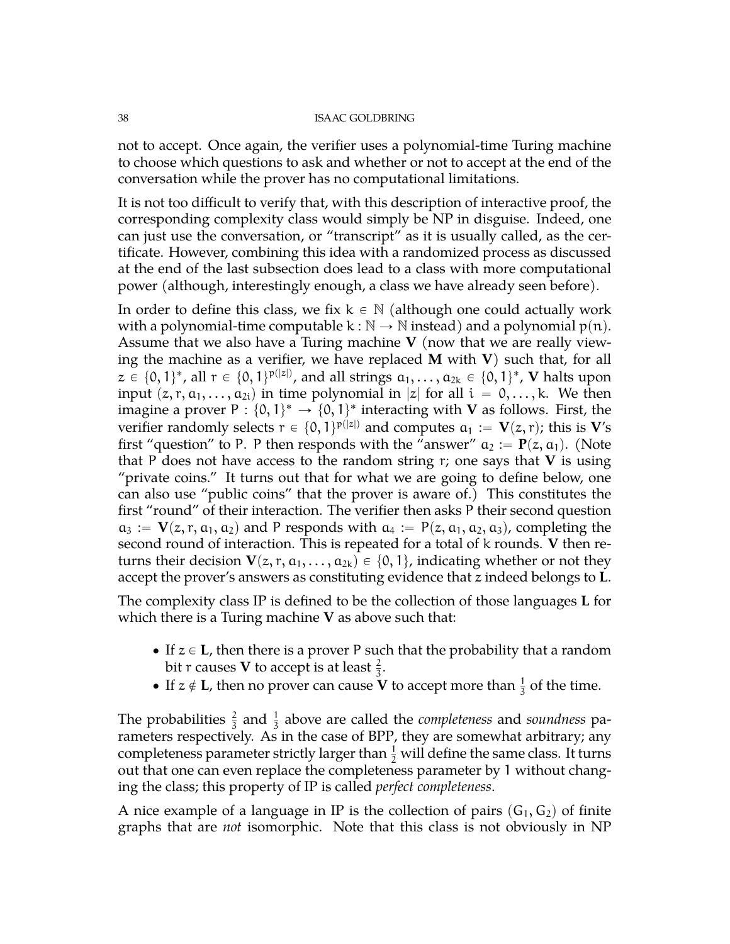not to accept. Once again, the verifier uses a polynomial-time Turing machine to choose which questions to ask and whether or not to accept at the end of the conversation while the prover has no computational limitations.

It is not too difficult to verify that, with this description of interactive proof, the corresponding complexity class would simply be NP in disguise. Indeed, one can just use the conversation, or "transcript" as it is usually called, as the certificate. However, combining this idea with a randomized process as discussed at the end of the last subsection does lead to a class with more computational power (although, interestingly enough, a class we have already seen before).

In order to define this class, we fix  $k \in \mathbb{N}$  (although one could actually work with a polynomial-time computable  $k : \mathbb{N} \to \mathbb{N}$  instead) and a polynomial  $p(n)$ . Assume that we also have a Turing machine **V** (now that we are really viewing the machine as a verifier, we have replaced **M** with **V**) such that, for all  $z \in \{0, 1\}^*$ , all  $r \in \{0, 1\}^{p(|z|)}$ , and all strings  $a_1, \ldots, a_{2k} \in \{0, 1\}^*$ ,  ${\bf V}$  halts upon input  $(z, r, a_1, \ldots, a_{2i})$  in time polynomial in |z| for all  $i = 0, \ldots, k$ . We then imagine a prover P :  $\{0,1\}^* \rightarrow \{0,1\}^*$  interacting with **V** as follows. First, the verifier randomly selects  $r \in \{0, 1\}^{p(|z|)}$  and computes  $a_1 := V(z, r)$ ; this is  $V's$ first "question" to P. P then responds with the "answer"  $a_2 := P(z, a_1)$ . (Note that P does not have access to the random string r; one says that **V** is using "private coins." It turns out that for what we are going to define below, one can also use "public coins" that the prover is aware of.) This constitutes the first "round" of their interaction. The verifier then asks P their second question  $a_3 := V(z, r, a_1, a_2)$  and P responds with  $a_4 := P(z, a_1, a_2, a_3)$ , completing the second round of interaction. This is repeated for a total of k rounds. **V** then returns their decision  $V(z, r, a_1, \ldots, a_{2k}) \in \{0, 1\}$ , indicating whether or not they accept the prover's answers as constituting evidence that z indeed belongs to **L**.

The complexity class IP is defined to be the collection of those languages **L** for which there is a Turing machine **V** as above such that:

- If  $z \in L$ , then there is a prover P such that the probability that a random bit r causes **V** to accept is at least  $\frac{2}{3}$ .
- If  $z \notin L$ , then no prover can cause **V** to accept more than  $\frac{1}{3}$  of the time.

The probabilities  $\frac{2}{3}$  and  $\frac{1}{3}$  above are called the *completeness* and *soundness* parameters respectively. As in the case of BPP, they are somewhat arbitrary; any completeness parameter strictly larger than  $\frac{1}{2}$  will define the same class. It turns out that one can even replace the completeness parameter by 1 without changing the class; this property of IP is called *perfect completeness*.

A nice example of a language in IP is the collection of pairs  $(G_1, G_2)$  of finite graphs that are *not* isomorphic. Note that this class is not obviously in NP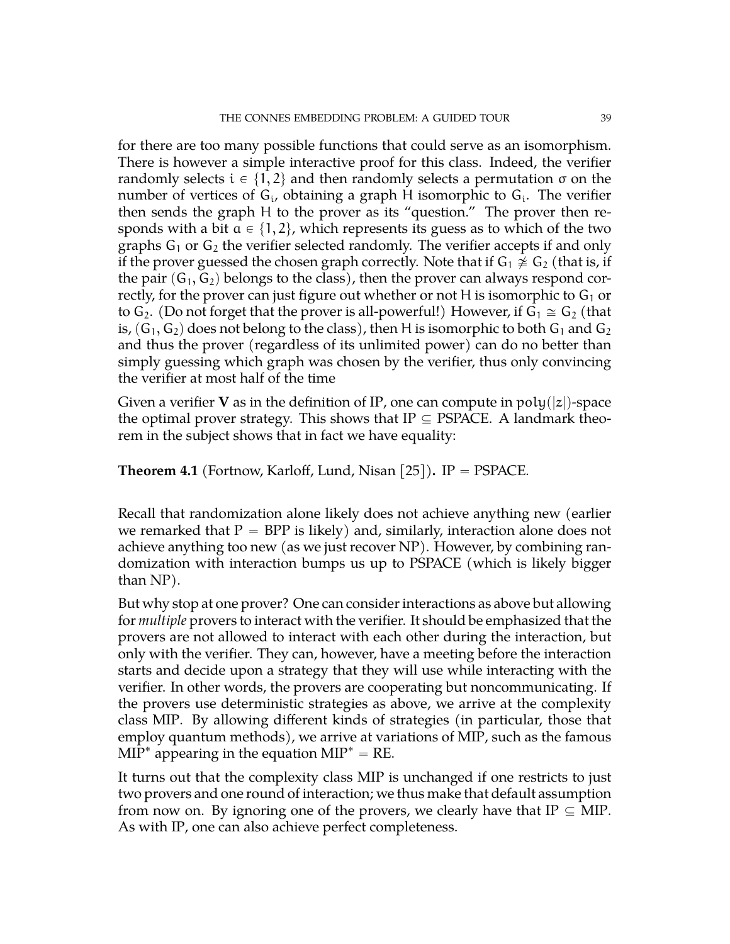for there are too many possible functions that could serve as an isomorphism. There is however a simple interactive proof for this class. Indeed, the verifier randomly selects  $i \in \{1, 2\}$  and then randomly selects a permutation  $\sigma$  on the number of vertices of  $G_i$ , obtaining a graph H isomorphic to  $G_i$ . The verifier then sends the graph H to the prover as its "question." The prover then responds with a bit  $a \in \{1, 2\}$ , which represents its guess as to which of the two graphs  $G_1$  or  $G_2$  the verifier selected randomly. The verifier accepts if and only if the prover guessed the chosen graph correctly. Note that if  $G_1 \not\cong G_2$  (that is, if the pair  $(G_1, G_2)$  belongs to the class), then the prover can always respond correctly, for the prover can just figure out whether or not H is isomorphic to  $G_1$  or to  $G_2$ . (Do not forget that the prover is all-powerful!) However, if  $G_1 \cong G_2$  (that is,  $(G_1, G_2)$  does not belong to the class), then H is isomorphic to both  $G_1$  and  $G_2$ and thus the prover (regardless of its unlimited power) can do no better than simply guessing which graph was chosen by the verifier, thus only convincing the verifier at most half of the time

Given a verifier **V** as in the definition of IP, one can compute in  $poly(|z|)$ -space the optimal prover strategy. This shows that  $IP \subseteq PSPACE$ . A landmark theorem in the subject shows that in fact we have equality:

# **Theorem 4.1** (Fortnow, Karloff, Lund, Nisan [\[25\]](#page-71-0)). IP = PSPACE.

Recall that randomization alone likely does not achieve anything new (earlier we remarked that  $P = BPP$  is likely) and, similarly, interaction alone does not achieve anything too new (as we just recover NP). However, by combining randomization with interaction bumps us up to PSPACE (which is likely bigger than NP).

But why stop at one prover? One can consider interactions as above but allowing for *multiple* provers to interact with the verifier. It should be emphasized that the provers are not allowed to interact with each other during the interaction, but only with the verifier. They can, however, have a meeting before the interaction starts and decide upon a strategy that they will use while interacting with the verifier. In other words, the provers are cooperating but noncommunicating. If the provers use deterministic strategies as above, we arrive at the complexity class MIP. By allowing different kinds of strategies (in particular, those that employ quantum methods), we arrive at variations of MIP, such as the famous  $MIP^*$  appearing in the equation  $MIP^* = RE$ .

It turns out that the complexity class MIP is unchanged if one restricts to just two provers and one round of interaction; we thus make that default assumption from now on. By ignoring one of the provers, we clearly have that  $IP \subseteq MIP$ . As with IP, one can also achieve perfect completeness.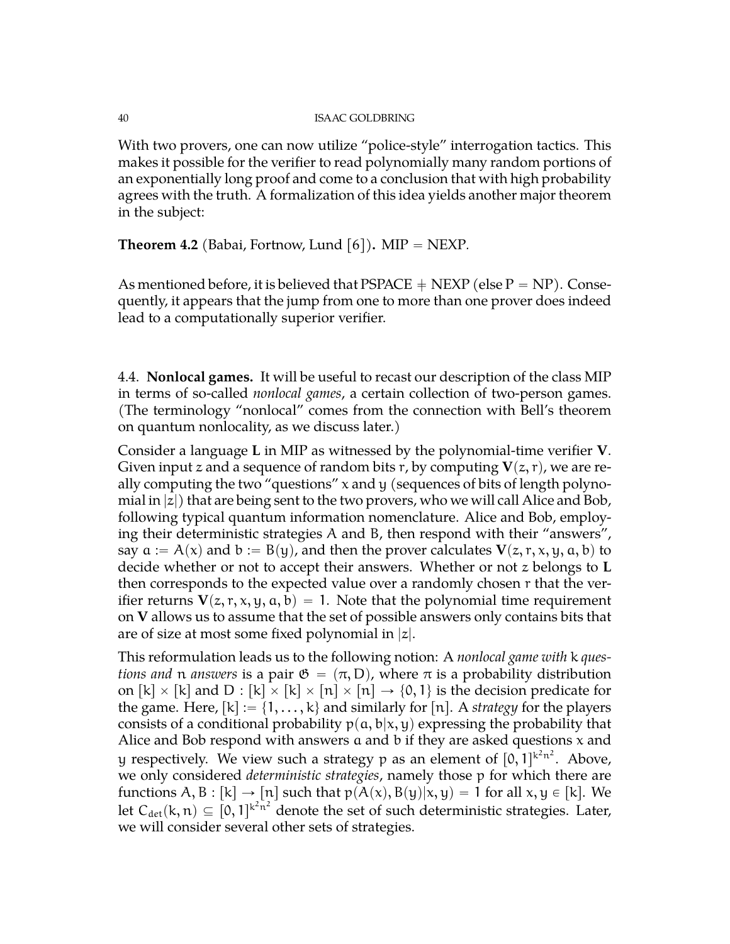With two provers, one can now utilize "police-style" interrogation tactics. This makes it possible for the verifier to read polynomially many random portions of an exponentially long proof and come to a conclusion that with high probability agrees with the truth. A formalization of this idea yields another major theorem in the subject:

**Theorem 4.2** (Babai, Fortnow, Lund [\[6\]](#page-70-1)). MIP  $=$  NEXP.

As mentioned before, it is believed that PSPACE  $+$  NEXP (else P  $=$  NP). Consequently, it appears that the jump from one to more than one prover does indeed lead to a computationally superior verifier.

<span id="page-39-0"></span>4.4. **Nonlocal games.** It will be useful to recast our description of the class MIP in terms of so-called *nonlocal games*, a certain collection of two-person games. (The terminology "nonlocal" comes from the connection with Bell's theorem on quantum nonlocality, as we discuss later.)

Consider a language **L** in MIP as witnessed by the polynomial-time verifier **V**. Given input z and a sequence of random bits r, by computing  $V(z, r)$ , we are really computing the two "questions" x and y (sequences of bits of length polynomial in  $|z|$ ) that are being sent to the two provers, who we will call Alice and Bob, following typical quantum information nomenclature. Alice and Bob, employing their deterministic strategies A and B, then respond with their "answers", say  $a := A(x)$  and  $b := B(y)$ , and then the prover calculates  $V(z, r, x, y, a, b)$  to decide whether or not to accept their answers. Whether or not z belongs to **L** then corresponds to the expected value over a randomly chosen r that the verifier returns  $V(z, r, x, y, a, b) = 1$ . Note that the polynomial time requirement on **V** allows us to assume that the set of possible answers only contains bits that are of size at most some fixed polynomial in  $|z|$ .

This reformulation leads us to the following notion: A *nonlocal game with* k *questions and* n *answers* is a pair  $\mathfrak{G} = (\pi, D)$ , where  $\pi$  is a probability distribution on  $[k] \times [k]$  and D :  $[k] \times [k] \times [n] \times [n] \rightarrow \{0, 1\}$  is the decision predicate for the game. Here,  $[k] := \{1, ..., k\}$  and similarly for  $[n]$ . A *strategy* for the players consists of a conditional probability  $p(a, b|x, y)$  expressing the probability that Alice and Bob respond with answers  $a$  and  $b$  if they are asked questions  $x$  and y respectively. We view such a strategy p as an element of  $[0,1]^{k^2n^2}$ . Above, we only considered *deterministic strategies*, namely those p for which there are functions A, B : [k]  $\rightarrow$  [n] such that  $p(A(x), B(y)|x, y) = 1$  for all  $x, y \in [k]$ . We let  $C_{\text{det}}(k,n) \subseteq [0, 1]^{k^2n^2}$  denote the set of such deterministic strategies. Later, we will consider several other sets of strategies.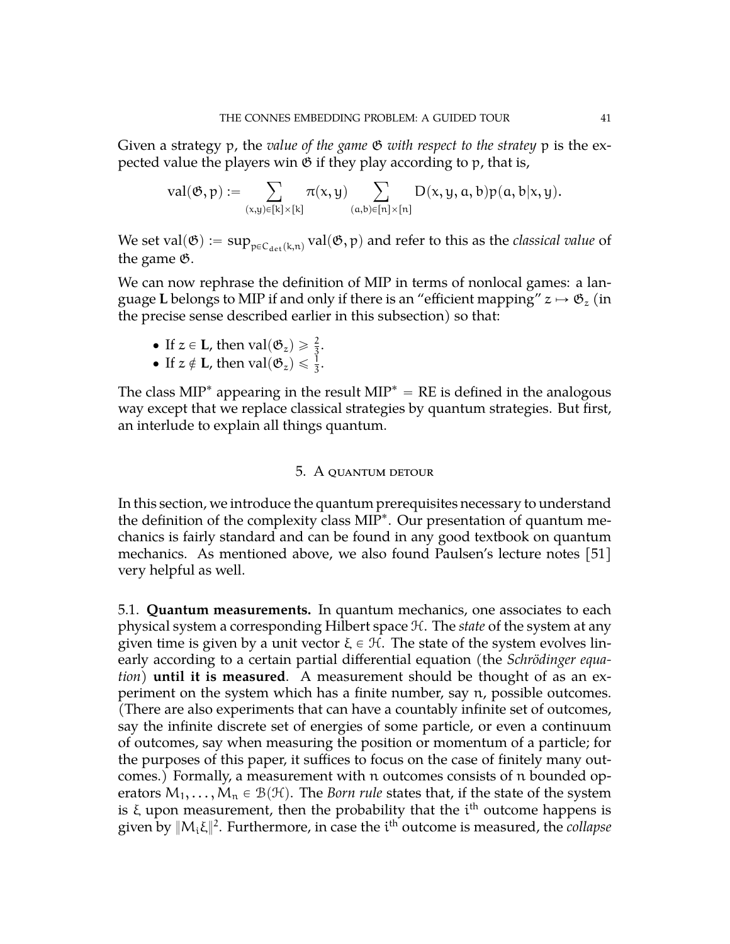Given a strategy p, the *value of the game* G *with respect to the stratey* p is the expected value the players win  $\mathfrak G$  if they play according to  $\mathfrak p$ , that is,  $\frac{1}{2}$ 

$$
\mathrm{val}(\mathfrak{G},p):=\sum_{(x,y)\in[k]\times[k]} \pi(x,y) \sum_{(a,b)\in[n]\times[n]} D(x,y,a,b)p(a,b|x,y).
$$

We set val $(\mathfrak{G}):=\sup_{\mathfrak{p}\in \mathsf{C}_{\det}(\mathsf{k},\mathfrak{n})} \mathrm{val}(\mathfrak{G},\mathfrak{p})$  and refer to this as the *classical value* of the game G.

We can now rephrase the definition of MIP in terms of nonlocal games: a language **L** belongs to MIP if and only if there is an "efficient mapping"  $z \mapsto \mathfrak{G}_z$  (in the precise sense described earlier in this subsection) so that:

- If  $z \in L$ , then  $val(\mathfrak{G}_z) \geq \frac{2}{3}$ .
- If  $z \notin L$ , then  $val(\mathfrak{G}_z) \leq \frac{1}{3}$ .

The class  $MIP^*$  appearing in the result  $MIP^* = RE$  is defined in the analogous way except that we replace classical strategies by quantum strategies. But first, an interlude to explain all things quantum.

# 5. A quantum detour

In this section, we introduce the quantum prerequisites necessary to understand the definition of the complexity class MIP<sup>\*</sup>. Our presentation of quantum mechanics is fairly standard and can be found in any good textbook on quantum mechanics. As mentioned above, we also found Paulsen's lecture notes [\[51\]](#page-72-0) very helpful as well.

5.1. **Quantum measurements.** In quantum mechanics, one associates to each physical system a corresponding Hilbert space H. The *state* of the system at any given time is given by a unit vector  $\xi \in \mathcal{H}$ . The state of the system evolves linearly according to a certain partial differential equation (the *Schrödinger equation*) **until it is measured**. A measurement should be thought of as an experiment on the system which has a finite number, say n, possible outcomes. (There are also experiments that can have a countably infinite set of outcomes, say the infinite discrete set of energies of some particle, or even a continuum of outcomes, say when measuring the position or momentum of a particle; for the purposes of this paper, it suffices to focus on the case of finitely many outcomes.) Formally, a measurement with n outcomes consists of n bounded operators  $M_1, \ldots, M_n \in \mathcal{B}(\mathcal{H})$ . The *Born rule* states that, if the state of the system is  $\xi$  upon measurement, then the probability that the  $\mathfrak{i}^{\text{th}}$  outcome happens is given by  $\|{\sf M}_{{\mathfrak i}} \xi\|^2.$  Furthermore, in case the  ${\mathfrak i}^{\rm th}$  outcome is measured, the *collapse*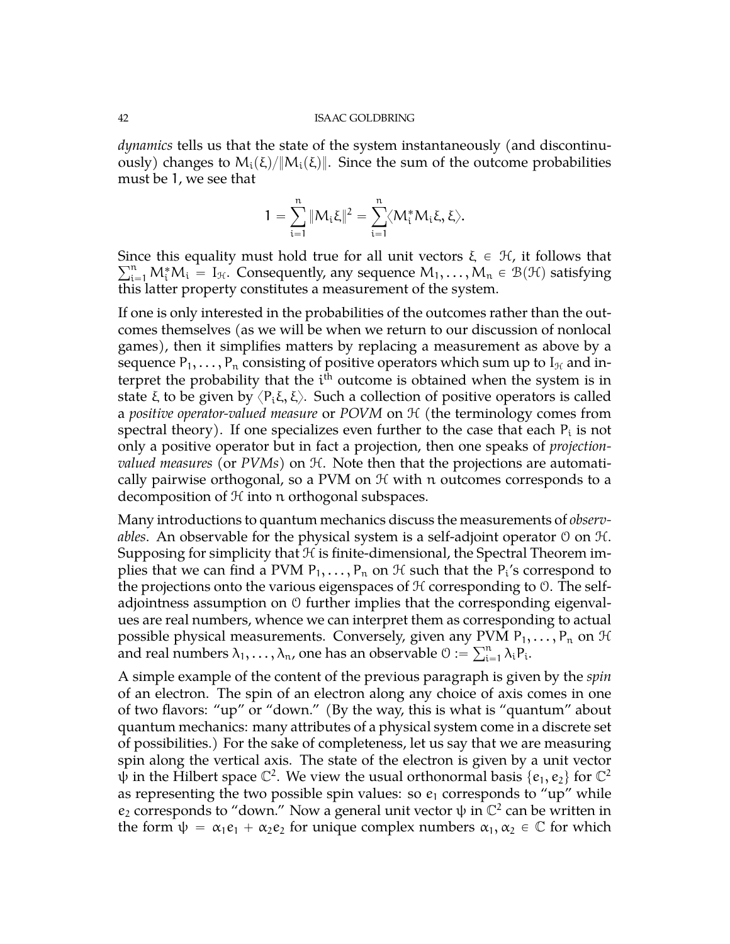*dynamics* tells us that the state of the system instantaneously (and discontinuously) changes to  $M_i(\xi)/||M_i(\xi)||$ . Since the sum of the outcome probabilities must be 1, we see that

$$
1=\sum_{i=1}^n\|M_i\xi\|^2=\sum_{i=1}^n\langle M_i^*M_i\xi,\xi\rangle.
$$

Since this equality must hold true for all unit vectors  $\xi \in \mathcal{H}$ , it follows that  $\bigcup_{i=1}^n M_i^*M_i = I_{\mathcal{H}}$ . Consequently, any sequence  $M_1, \ldots, M_n \in \mathcal{B}(\mathcal{H})$  satisfying this latter property constitutes a measurement of the system.

If one is only interested in the probabilities of the outcomes rather than the outcomes themselves (as we will be when we return to our discussion of nonlocal games), then it simplifies matters by replacing a measurement as above by a sequence  $P_1, \ldots, P_n$  consisting of positive operators which sum up to  $I_{\mathcal{H}}$  and interpret the probability that the  $i<sup>th</sup>$  outcome is obtained when the system is in state ξ to be given by  $\langle P_i \xi, \xi \rangle$ . Such a collection of positive operators is called a *positive operator-valued measure* or *POVM* on H (the terminology comes from spectral theory). If one specializes even further to the case that each  $P_i$  is not only a positive operator but in fact a projection, then one speaks of *projectionvalued measures* (or *PVMs*) on H. Note then that the projections are automatically pairwise orthogonal, so a PVM on  $H$  with n outcomes corresponds to a decomposition of H into n orthogonal subspaces.

Many introductions to quantum mechanics discuss the measurements of *observables*. An observable for the physical system is a self-adjoint operator  $\varnothing$  on  $\mathcal{H}$ . Supposing for simplicity that  $H$  is finite-dimensional, the Spectral Theorem implies that we can find a PVM  $P_1,\ldots,P_n$  on  $\mathfrak {H}$  such that the  $P_i$ 's correspond to the projections onto the various eigenspaces of  $H$  corresponding to  $\mathcal O$ . The selfadjointness assumption on O further implies that the corresponding eigenvalues are real numbers, whence we can interpret them as corresponding to actual possible physical measurements. Conversely, given any PVM  $P_1, \ldots, P_n$  on H and real numbers  $\lambda_1,\ldots,\lambda_n$ , one has an observable  $\emptyset:=\sum_{i=1}^n\lambda_iP_i$ .

A simple example of the content of the previous paragraph is given by the *spin* of an electron. The spin of an electron along any choice of axis comes in one of two flavors: "up" or "down." (By the way, this is what is "quantum" about quantum mechanics: many attributes of a physical system come in a discrete set of possibilities.) For the sake of completeness, let us say that we are measuring spin along the vertical axis. The state of the electron is given by a unit vector  $\psi$  in the Hilbert space  $\mathbb{C}^2$ . We view the usual orthonormal basis  $\{e_1, e_2\}$  for  $\mathbb{C}^2$ as representing the two possible spin values: so  $e_1$  corresponds to "up" while  $e_2$  corresponds to "down." Now a general unit vector  $\psi$  in  $\mathbb{C}^2$  can be written in the form  $\psi = \alpha_1 e_1 + \alpha_2 e_2$  for unique complex numbers  $\alpha_1, \alpha_2 \in \mathbb{C}$  for which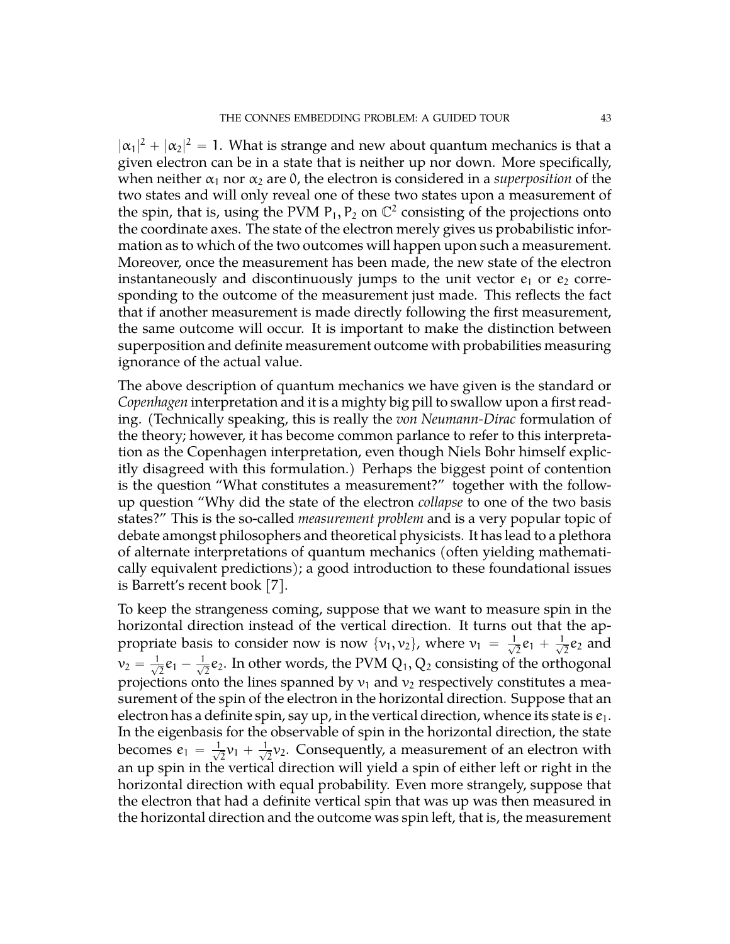$|\alpha_1|^2 + |\alpha_2|^2 = 1$ . What is strange and new about quantum mechanics is that a given electron can be in a state that is neither up nor down. More specifically, when neither  $\alpha_1$  nor  $\alpha_2$  are 0, the electron is considered in a *superposition* of the two states and will only reveal one of these two states upon a measurement of the spin, that is, using the PVM  $P_1$ ,  $P_2$  on  $\mathbb{C}^2$  consisting of the projections onto the coordinate axes. The state of the electron merely gives us probabilistic information as to which of the two outcomes will happen upon such a measurement. Moreover, once the measurement has been made, the new state of the electron instantaneously and discontinuously jumps to the unit vector  $e_1$  or  $e_2$  corresponding to the outcome of the measurement just made. This reflects the fact that if another measurement is made directly following the first measurement, the same outcome will occur. It is important to make the distinction between superposition and definite measurement outcome with probabilities measuring ignorance of the actual value.

The above description of quantum mechanics we have given is the standard or *Copenhagen* interpretation and it is a mighty big pill to swallow upon a first reading. (Technically speaking, this is really the *von Neumann-Dirac* formulation of the theory; however, it has become common parlance to refer to this interpretation as the Copenhagen interpretation, even though Niels Bohr himself explicitly disagreed with this formulation.) Perhaps the biggest point of contention is the question "What constitutes a measurement?" together with the followup question "Why did the state of the electron *collapse* to one of the two basis states?" This is the so-called *measurement problem* and is a very popular topic of debate amongst philosophers and theoretical physicists. It has lead to a plethora of alternate interpretations of quantum mechanics (often yielding mathematically equivalent predictions); a good introduction to these foundational issues is Barrett's recent book [\[7\]](#page-70-2).

To keep the strangeness coming, suppose that we want to measure spin in the horizontal direction instead of the vertical direction. It turns out that the appropriate basis to consider now is now  $\{v_1, v_2\}$ , where  $v_1 = \frac{1}{\sqrt{2}}$  $\frac{1}{2}e_1 + \frac{1}{\sqrt{2}}$  $\frac{1}{2}$ e<sub>2</sub> and  $v_2 = \frac{1}{\sqrt{2}}$  $\frac{1}{2}e_1-\frac{1}{\sqrt{2}}$  $\frac{1}{2}e_2$ . In other words, the PVM  $Q_1, Q_2$  consisting of the orthogonal projections onto the lines spanned by  $v_1$  and  $v_2$  respectively constitutes a measurement of the spin of the electron in the horizontal direction. Suppose that an electron has a definite spin, say up, in the vertical direction, whence its state is  $e_1$ . In the eigenbasis for the observable of spin in the horizontal direction, the state becomes  $e_1 = \frac{1}{\sqrt{2}}$  $\frac{1}{2}\nu_1 + \frac{1}{\sqrt{2}}$  $\frac{1}{2}v_2$ . Consequently, a measurement of an electron with an up spin in the vertical direction will yield a spin of either left or right in the horizontal direction with equal probability. Even more strangely, suppose that the electron that had a definite vertical spin that was up was then measured in the horizontal direction and the outcome was spin left, that is, the measurement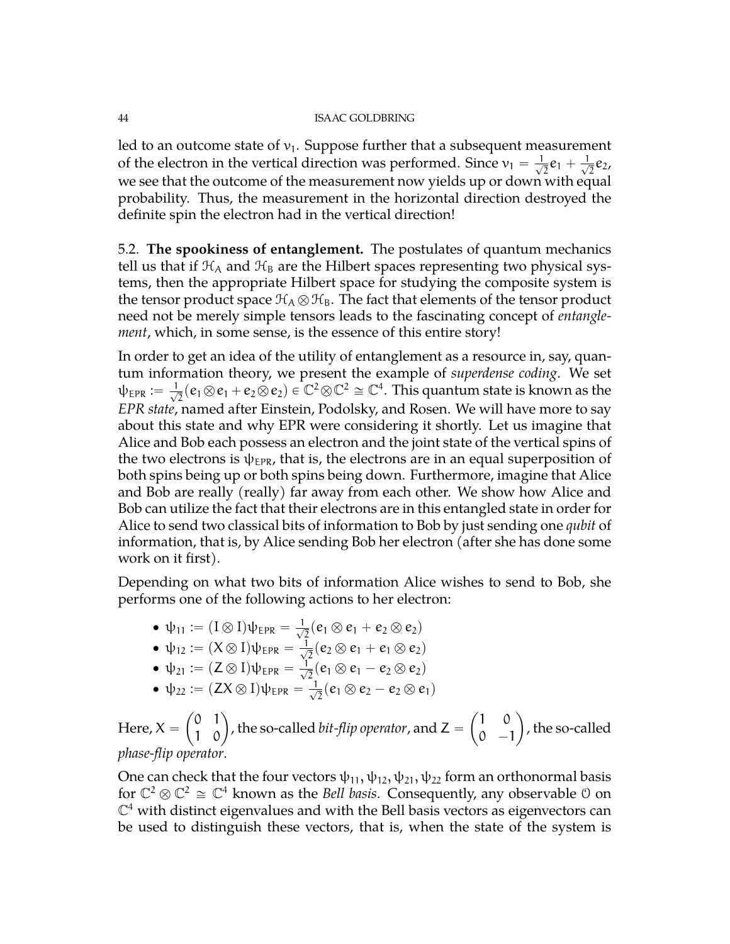led to an outcome state of  $v_1$ . Suppose further that a subsequent measurement of the electron in the vertical direction was performed. Since  $v_1 = \frac{1}{\sqrt{2}}$  $\frac{1}{2}e_1 + \frac{1}{\sqrt{2}}$  $\frac{1}{2}e_2$ , we see that the outcome of the measurement now yields up or down with equal probability. Thus, the measurement in the horizontal direction destroyed the definite spin the electron had in the vertical direction!

5.2. **The spookiness of entanglement.** The postulates of quantum mechanics tell us that if  $\mathcal{H}_A$  and  $\mathcal{H}_B$  are the Hilbert spaces representing two physical systems, then the appropriate Hilbert space for studying the composite system is the tensor product space  $\mathcal{H}_A \otimes \mathcal{H}_B$ . The fact that elements of the tensor product need not be merely simple tensors leads to the fascinating concept of *entanglement*, which, in some sense, is the essence of this entire story!

In order to get an idea of the utility of entanglement as a resource in, say, quantum information theory, we present the example of *superdense coding*. We set  $\psi_{\texttt{EPR}} := \frac{1}{\sqrt{2}}$  $\frac{1}{2}(e_1\otimes e_1+e_2\otimes e_2)\in \mathbb{C}^2\otimes \mathbb{C}^2\cong \mathbb{C}^4.$  This quantum state is known as the *EPR state*, named after Einstein, Podolsky, and Rosen. We will have more to say about this state and why EPR were considering it shortly. Let us imagine that Alice and Bob each possess an electron and the joint state of the vertical spins of the two electrons is  $\psi_{EPR}$ , that is, the electrons are in an equal superposition of both spins being up or both spins being down. Furthermore, imagine that Alice and Bob are really (really) far away from each other. We show how Alice and Bob can utilize the fact that their electrons are in this entangled state in order for Alice to send two classical bits of information to Bob by just sending one *qubit* of information, that is, by Alice sending Bob her electron (after she has done some work on it first).

Depending on what two bits of information Alice wishes to send to Bob, she performs one of the following actions to her electron:

- $\psi_{11} := (I \otimes I) \psi_{EPR} = \frac{1}{\sqrt{2}}$  $\overline{z}$ (e<sub>1</sub>  $\otimes$  e<sub>1</sub> + e<sub>2</sub>  $\otimes$  e<sub>2</sub>)
- $\psi_{12} := (X \otimes I) \psi_{EPR} = \frac{1}{\sqrt{2}}$  $\overline{z}$ (e<sub>2</sub>  $\otimes$  e<sub>1</sub> + e<sub>1</sub>  $\otimes$  e<sub>2</sub>)
- $\psi_{21} := (Z \otimes I) \psi_{EPR} = \frac{1}{\sqrt{2}}$  $\overline{z}$ (e<sub>1</sub>  $\otimes$  e<sub>1</sub> – e<sub>2</sub>  $\otimes$  e<sub>2</sub>)
- $\psi_{22} := (ZX \otimes I)\psi_{EPR} = \frac{1}{\sqrt{2}}$  $\overline{z}$ (e<sub>1</sub>  $\otimes$  e<sub>2</sub> - e<sub>2</sub>  $\otimes$  e<sub>1</sub>)

Here,  $X =$ ˆ 0 1  $\begin{pmatrix} 0 & 1 \ 1 & 0 \end{pmatrix}$ , the so-called *bit-flip operator*, and Z = ˆ 1 0  $0 -1$ ˙ , the so-called *phase-flip operator*.

One can check that the four vectors  $\psi_{11}, \psi_{12}, \psi_{21}, \psi_{22}$  form an orthonormal basis for  $\mathbb{C}^2 \otimes \mathbb{C}^2 \cong \mathbb{C}^4$  known as the *Bell basis*. Consequently, any observable 0 on  $\mathbb{C}^4$  with distinct eigenvalues and with the Bell basis vectors as eigenvectors can be used to distinguish these vectors, that is, when the state of the system is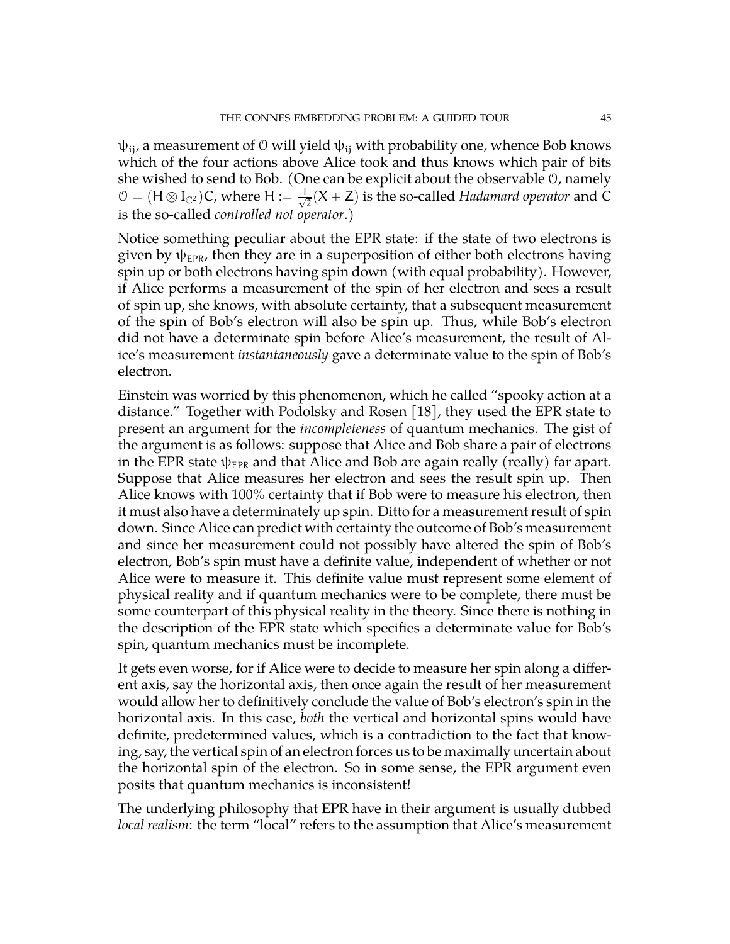$\psi_{ii}$ , a measurement of 0 will yield  $\psi_{ii}$  with probability one, whence Bob knows which of the four actions above Alice took and thus knows which pair of bits she wished to send to Bob. (One can be explicit about the observable O, namely  $\mathcal{O} = (H \otimes I_{\mathbb{C}^2})\mathsf{C}$ , where  $H := \frac{1}{\sqrt{2}}$  $\overline{Z}(X + Z)$  is the so-called *Hadamard operator* and C is the so-called *controlled not operator*.)

Notice something peculiar about the EPR state: if the state of two electrons is given by  $\psi_{EPR}$ , then they are in a superposition of either both electrons having spin up or both electrons having spin down (with equal probability). However, if Alice performs a measurement of the spin of her electron and sees a result of spin up, she knows, with absolute certainty, that a subsequent measurement of the spin of Bob's electron will also be spin up. Thus, while Bob's electron did not have a determinate spin before Alice's measurement, the result of Alice's measurement *instantaneously* gave a determinate value to the spin of Bob's electron.

Einstein was worried by this phenomenon, which he called "spooky action at a distance." Together with Podolsky and Rosen [\[18\]](#page-71-1), they used the EPR state to present an argument for the *incompleteness* of quantum mechanics. The gist of the argument is as follows: suppose that Alice and Bob share a pair of electrons in the EPR state  $\psi_{EPR}$  and that Alice and Bob are again really (really) far apart. Suppose that Alice measures her electron and sees the result spin up. Then Alice knows with 100% certainty that if Bob were to measure his electron, then it must also have a determinately up spin. Ditto for a measurement result of spin down. Since Alice can predict with certainty the outcome of Bob's measurement and since her measurement could not possibly have altered the spin of Bob's electron, Bob's spin must have a definite value, independent of whether or not Alice were to measure it. This definite value must represent some element of physical reality and if quantum mechanics were to be complete, there must be some counterpart of this physical reality in the theory. Since there is nothing in the description of the EPR state which specifies a determinate value for Bob's spin, quantum mechanics must be incomplete.

It gets even worse, for if Alice were to decide to measure her spin along a different axis, say the horizontal axis, then once again the result of her measurement would allow her to definitively conclude the value of Bob's electron's spin in the horizontal axis. In this case, *both* the vertical and horizontal spins would have definite, predetermined values, which is a contradiction to the fact that knowing, say, the vertical spin of an electron forces us to be maximally uncertain about the horizontal spin of the electron. So in some sense, the EPR argument even posits that quantum mechanics is inconsistent!

The underlying philosophy that EPR have in their argument is usually dubbed *local realism*: the term "local" refers to the assumption that Alice's measurement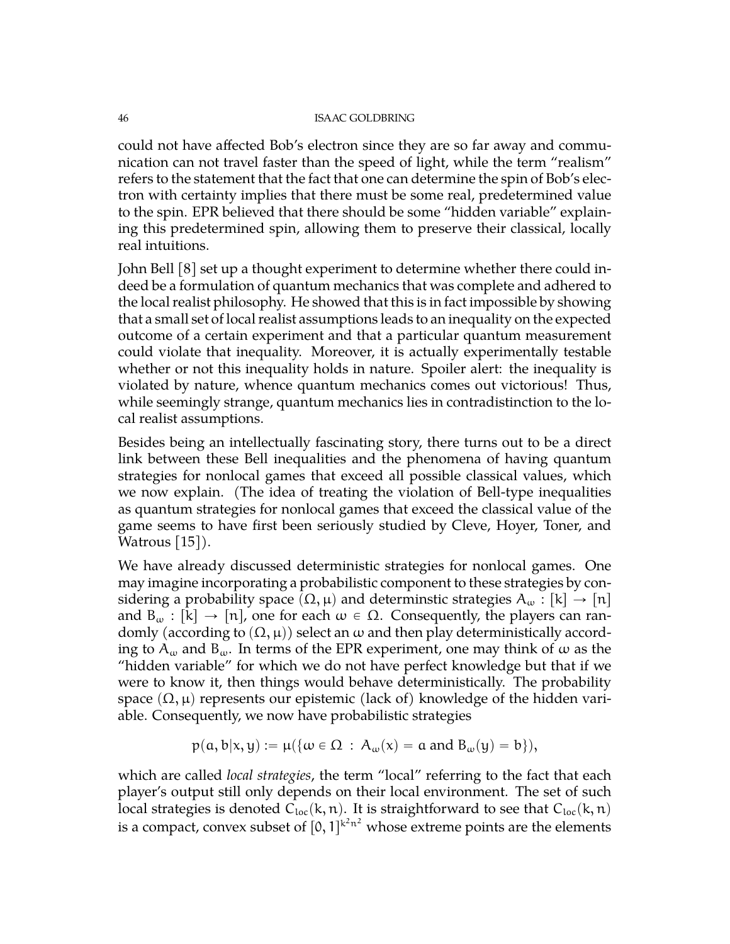could not have affected Bob's electron since they are so far away and communication can not travel faster than the speed of light, while the term "realism" refers to the statement that the fact that one can determine the spin of Bob's electron with certainty implies that there must be some real, predetermined value to the spin. EPR believed that there should be some "hidden variable" explaining this predetermined spin, allowing them to preserve their classical, locally real intuitions.

John Bell [\[8\]](#page-70-3) set up a thought experiment to determine whether there could indeed be a formulation of quantum mechanics that was complete and adhered to the local realist philosophy. He showed that this is in fact impossible by showing that a small set of local realist assumptions leads to an inequality on the expected outcome of a certain experiment and that a particular quantum measurement could violate that inequality. Moreover, it is actually experimentally testable whether or not this inequality holds in nature. Spoiler alert: the inequality is violated by nature, whence quantum mechanics comes out victorious! Thus, while seemingly strange, quantum mechanics lies in contradistinction to the local realist assumptions.

Besides being an intellectually fascinating story, there turns out to be a direct link between these Bell inequalities and the phenomena of having quantum strategies for nonlocal games that exceed all possible classical values, which we now explain. (The idea of treating the violation of Bell-type inequalities as quantum strategies for nonlocal games that exceed the classical value of the game seems to have first been seriously studied by Cleve, Hoyer, Toner, and Watrous [\[15\]](#page-71-2)).

We have already discussed deterministic strategies for nonlocal games. One may imagine incorporating a probabilistic component to these strategies by considering a probability space  $(\Omega, \mu)$  and determinstic strategies  $A_{\omega} : |k| \to |n|$ and  $B_{\omega} : [k] \rightarrow [n]$ , one for each  $\omega \in \Omega$ . Consequently, the players can randomly (according to  $(\Omega, \mu)$ ) select an  $\omega$  and then play deterministically according to  $A_{\omega}$  and  $B_{\omega}$ . In terms of the EPR experiment, one may think of  $\omega$  as the "hidden variable" for which we do not have perfect knowledge but that if we were to know it, then things would behave deterministically. The probability space  $(\Omega, \mu)$  represents our epistemic (lack of) knowledge of the hidden variable. Consequently, we now have probabilistic strategies

$$
p(a,b|x,y) := \mu(\{\omega \in \Omega \,:\, A_{\omega}(x) = a \text{ and } B_{\omega}(y) = b\}),
$$

which are called *local strategies*, the term "local" referring to the fact that each player's output still only depends on their local environment. The set of such local strategies is denoted  $C_{loc}(k, n)$ . It is straightforward to see that  $C_{loc}(k, n)$ is a compact, convex subset of  $[0,1]^{k^2n^2}$  whose extreme points are the elements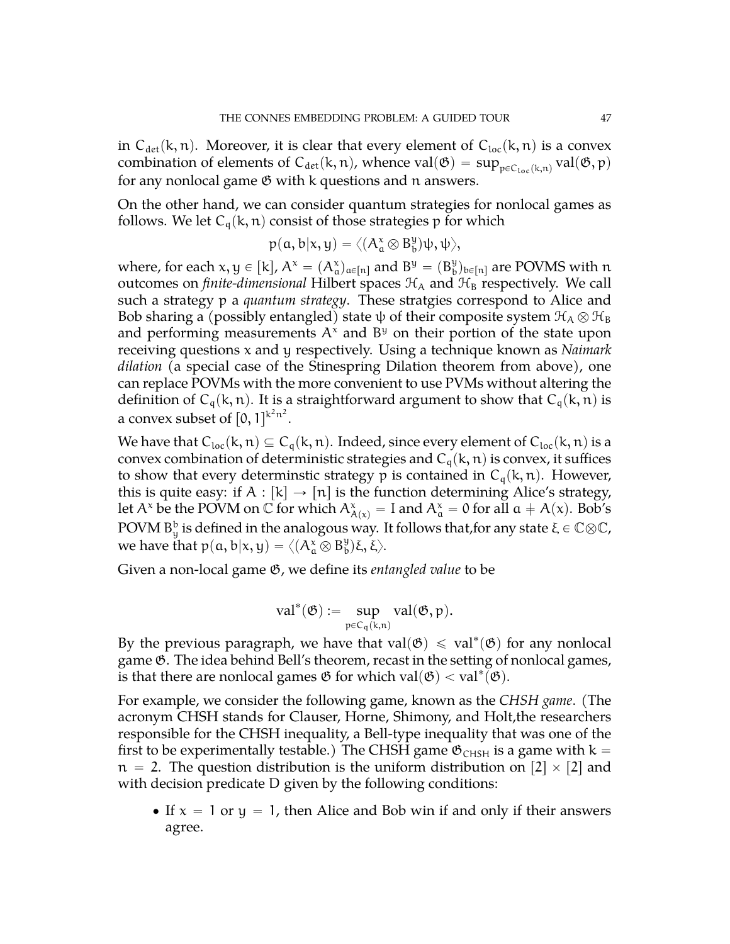in  $C_{\text{det}}(k, n)$ . Moreover, it is clear that every element of  $C_{\text{loc}}(k, n)$  is a convex combination of elements of  $C_{\det}$ (k, n), whence val $(\mathfrak{G}) = \sup_{\mathfrak{p} \in C_{\text{loc}}(k,n)} \text{val}(\mathfrak{G},\mathfrak{p})$ for any nonlocal game  $\mathfrak G$  with k questions and n answers.

On the other hand, we can consider quantum strategies for nonlocal games as follows. We let  $C_q(k, n)$  consist of those strategies p for which

$$
p(a,b|x,y)=\langle (A^\mathsf{x}_a\otimes B^\mathsf{y}_b)\psi,\psi\rangle,
$$

where, for each  $x, y \in [k]$ ,  $A^x = (A^x_\alpha)_{\alpha \in [n]}$  and  $B^y = (B^y_\alpha)$  $_{\text{b}}^{\text{y}})_{\text{b}\in\left[ n\right]}$  are POVMS with  $\text{n}$ outcomes on *finite-dimensional* Hilbert spaces  $H_A$  and  $H_B$  respectively. We call such a strategy p a *quantum strategy*. These stratgies correspond to Alice and Bob sharing a (possibly entangled) state  $\psi$  of their composite system  $\mathcal{H}_A \otimes \mathcal{H}_B$ and performing measurements  $A^x$  and  $B^y$  on their portion of the state upon receiving questions x and y respectively. Using a technique known as *Naimark dilation* (a special case of the Stinespring Dilation theorem from above), one can replace POVMs with the more convenient to use PVMs without altering the definition of  $C_q(k, n)$ . It is a straightforward argument to show that  $C_q(k, n)$  is a convex subset of  $[0,1]^{k^2n^2}$ .

We have that  $C_{loc}(k, n) \subseteq C_q(k, n)$ . Indeed, since every element of  $C_{loc}(k, n)$  is a convex combination of deterministic strategies and  $C_q(k, n)$  is convex, it suffices to show that every determinstic strategy p is contained in  $C_q(k, n)$ . However, this is quite easy: if  $A : [k] \rightarrow [n]$  is the function determining Alice's strategy, let A<sup>x</sup> be the POVM on C for which  $A^x_{A(x)} = I$  and  $A^x_a = 0$  for all  $a \neq A(x)$ . Bob's  $\rm POVM$  B $^{\rm b}_{\rm y}$  is defined in the analogous way. It follows that,for any state  $\xi\in\mathbb{C}\otimes\mathbb{C}$ , we have that  $p(\mathfrak{a},\mathfrak{b}|\mathfrak{x},\mathfrak{y})=\langle (A^{\mathfrak{x}}_{\mathfrak{a}}\overline{\otimes}\, \mathrm{B}^{\mathfrak{y}}_{\mathfrak{b}}$  $_{\text{b}}^{\text{y}}$ )ξ, ξ $\rangle$ .

Given a non-local game G, we define its *entangled value* to be

$$
val^*(\mathfrak{G}):=\sup_{p\in C_q(k,n)} val(\mathfrak{G},p).
$$

By the previous paragraph, we have that  $val(\mathfrak{G}) \leq val^*(\mathfrak{G})$  for any nonlocal game G. The idea behind Bell's theorem, recast in the setting of nonlocal games, is that there are nonlocal games  $\mathfrak G$  for which val $(\mathfrak G)<\mathrm{val}^*(\mathfrak G)$ .

For example, we consider the following game, known as the *CHSH game*. (The acronym CHSH stands for Clauser, Horne, Shimony, and Holt,the researchers responsible for the CHSH inequality, a Bell-type inequality that was one of the first to be experimentally testable.) The CHSH game  $\mathfrak{G}_{CHSH}$  is a game with k =  $n = 2$ . The question distribution is the uniform distribution on  $\lbrack 2 \rbrack \times \lbrack 2 \rbrack$  and with decision predicate D given by the following conditions:

• If  $x = 1$  or  $y = 1$ , then Alice and Bob win if and only if their answers agree.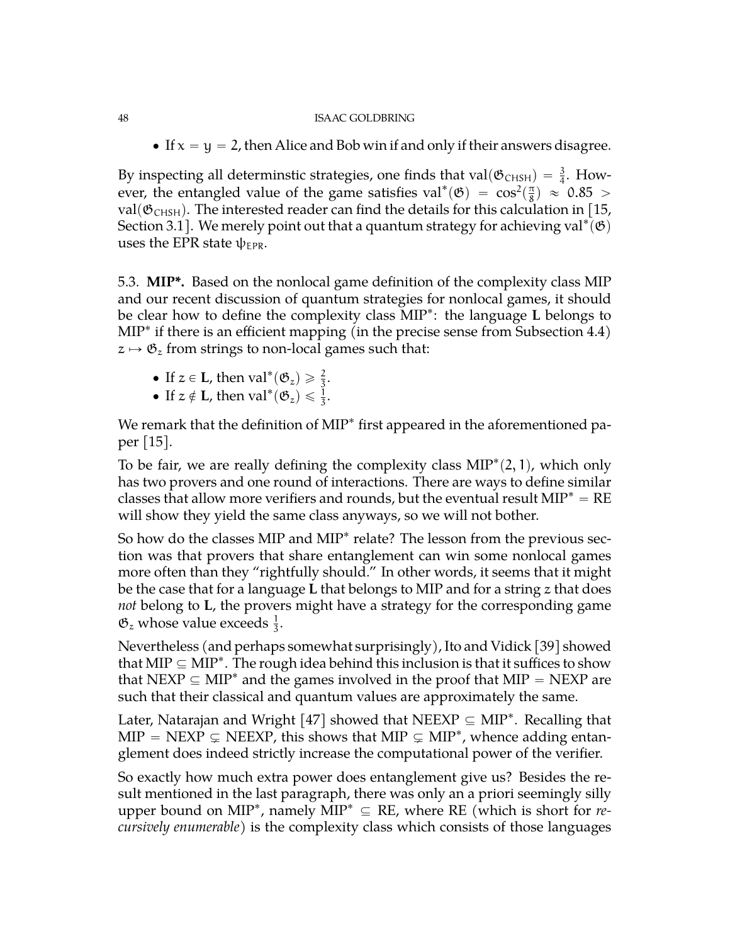• If  $x = y = 2$ , then Alice and Bob win if and only if their answers disagree.

By inspecting all determinstic strategies, one finds that val $(\mathfrak{G}_{CHSH}) = \frac{3}{4}$ . However, the entangled value of the game satisfies val\* $(\mathfrak{G}) = \cos^2(\frac{\pi}{8})$  $(\frac{\pi}{8})$   $\approx$  0.85  $>$ val( $\mathfrak{G}_{CHSH}$ ). The interested reader can find the details for this calculation in [\[15,](#page-71-2) Section 3.1]. We merely point out that a quantum strategy for achieving  $\text{val}^*(\mathfrak{G})$ uses the EPR state  $\psi_{EPR}$ .

5.3. **MIP\*.** Based on the nonlocal game definition of the complexity class MIP and our recent discussion of quantum strategies for nonlocal games, it should be clear how to define the complexity class MIP˚ : the language **L** belongs to MIP˚ if there is an efficient mapping (in the precise sense from Subsection [4.4\)](#page-39-0)  $z \mapsto \mathfrak{G}_z$  from strings to non-local games such that:

- If  $z \in L$ , then val<sup>\*</sup> $(\mathfrak{G}_z) \geq \frac{2}{3}$ .
- If  $z \notin L$ , then  $val^*(\mathfrak{G}_z) \leq \frac{1}{3}$ .

We remark that the definition of MIP<sup>\*</sup> first appeared in the aforementioned paper [\[15\]](#page-71-2).

To be fair, we are really defining the complexity class  $MIP^*(2,1)$ , which only has two provers and one round of interactions. There are ways to define similar classes that allow more verifiers and rounds, but the eventual result  $MIP^* = RE$ will show they yield the same class anyways, so we will not bother.

So how do the classes MIP and MIP<sup>\*</sup> relate? The lesson from the previous section was that provers that share entanglement can win some nonlocal games more often than they "rightfully should." In other words, it seems that it might be the case that for a language **L** that belongs to MIP and for a string z that does *not* belong to **L**, the provers might have a strategy for the corresponding game  $\mathfrak{G}_z$  whose value exceeds  $\frac{1}{3}$ .

Nevertheless (and perhaps somewhat surprisingly), Ito and Vidick [\[39\]](#page-72-1) showed that MIP  $\subseteq$  MIP $^*$ . The rough idea behind this inclusion is that it suffices to show that NEXP  $\subseteq$  MIP<sup>\*</sup> and the games involved in the proof that MIP = NEXP are such that their classical and quantum values are approximately the same.

Later, Natarajan and Wright  $[47]$  showed that NEEXP  $\subseteq$  MIP<sup>\*</sup>. Recalling that  $MIP = NEXP \subsetneq NEEXP$ , this shows that  $MIP \subsetneq MIP^*$ , whence adding entanglement does indeed strictly increase the computational power of the verifier.

So exactly how much extra power does entanglement give us? Besides the result mentioned in the last paragraph, there was only an a priori seemingly silly upper bound on MIP<sup>\*</sup>, namely  $\widehat{MIP}^* \subseteq RE$ , where RE (which is short for *recursively enumerable*) is the complexity class which consists of those languages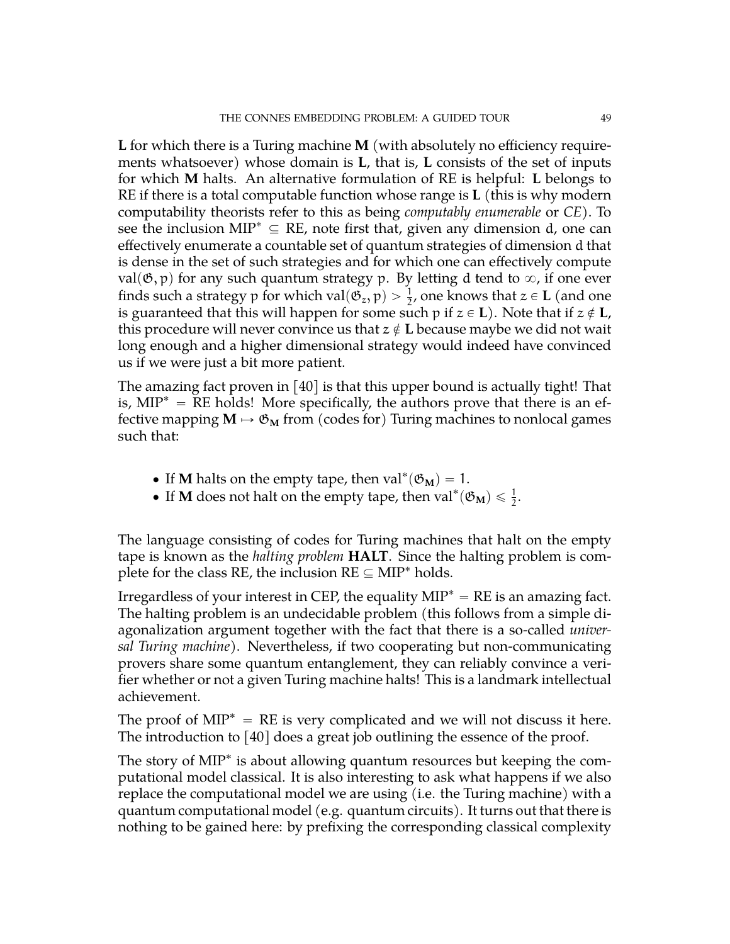**L** for which there is a Turing machine **M** (with absolutely no efficiency requirements whatsoever) whose domain is **L**, that is, **L** consists of the set of inputs for which **M** halts. An alternative formulation of RE is helpful: **L** belongs to RE if there is a total computable function whose range is **L** (this is why modern computability theorists refer to this as being *computably enumerable* or *CE*). To see the inclusion MIP<sup>\*</sup>  $\subseteq$  RE, note first that, given any dimension d, one can effectively enumerate a countable set of quantum strategies of dimension d that is dense in the set of such strategies and for which one can effectively compute val $(\mathfrak{G}, p)$  for any such quantum strategy p. By letting d tend to  $\infty$ , if one ever finds such a strategy p for which val $(\mathfrak{G}_z, \mathfrak{p}) > \frac{1}{2}$ , one knows that  $z \in L$  (and one is guaranteed that this will happen for some such p if  $z \in L$ ). Note that if  $z \notin L$ , this procedure will never convince us that  $z \notin L$  because maybe we did not wait long enough and a higher dimensional strategy would indeed have convinced us if we were just a bit more patient.

The amazing fact proven in [\[40\]](#page-72-3) is that this upper bound is actually tight! That is,  $MIP^* = RE$  holds! More specifically, the authors prove that there is an effective mapping  $M \mapsto \mathfrak{G}_M$  from (codes for) Turing machines to nonlocal games such that:

- If **M** halts on the empty tape, then  $val^*(\mathfrak{G}_M) = 1$ .
- If **M** does not halt on the empty tape, then  $val^*(\mathfrak{G}_M) \leq \frac{1}{2}$ .

The language consisting of codes for Turing machines that halt on the empty tape is known as the *halting problem* **HALT**. Since the halting problem is complete for the class RE, the inclusion  $RE \subseteq MIP^*$  holds.

Irregardless of your interest in CEP, the equality  $MIP^* = RE$  is an amazing fact. The halting problem is an undecidable problem (this follows from a simple diagonalization argument together with the fact that there is a so-called *universal Turing machine*). Nevertheless, if two cooperating but non-communicating provers share some quantum entanglement, they can reliably convince a verifier whether or not a given Turing machine halts! This is a landmark intellectual achievement.

The proof of  $MIP^* = RE$  is very complicated and we will not discuss it here. The introduction to [\[40\]](#page-72-3) does a great job outlining the essence of the proof.

The story of MIP<sup>\*</sup> is about allowing quantum resources but keeping the computational model classical. It is also interesting to ask what happens if we also replace the computational model we are using (i.e. the Turing machine) with a quantum computational model (e.g. quantum circuits). It turns out that there is nothing to be gained here: by prefixing the corresponding classical complexity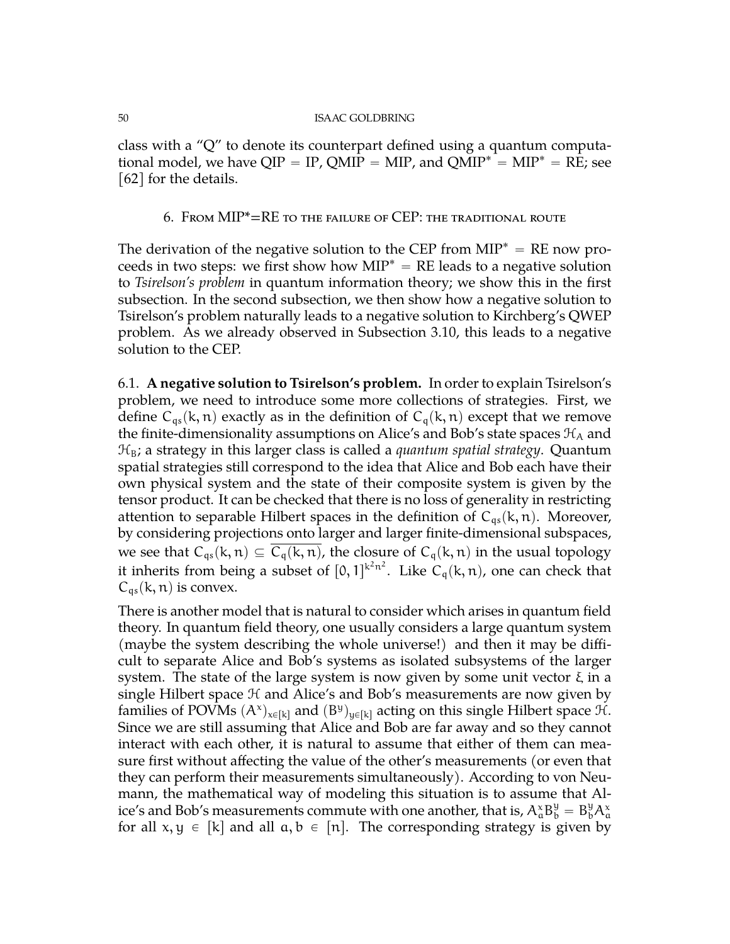class with a "Q" to denote its counterpart defined using a quantum computational model, we have  $QIP = IP$ ,  $QMIP = MIP$ , and  $QMIP^* = MIP^* = RE$ ; see [\[62\]](#page-73-0) for the details.

6. From MIP\*=RE to the failure of CEP: the traditional route

The derivation of the negative solution to the CEP from  $MIP^* = RE$  now proceeds in two steps: we first show how  $MIP^* = RE$  leads to a negative solution to *Tsirelson's problem* in quantum information theory; we show this in the first subsection. In the second subsection, we then show how a negative solution to Tsirelson's problem naturally leads to a negative solution to Kirchberg's QWEP problem. As we already observed in Subsection [3.10,](#page-30-0) this leads to a negative solution to the CEP.

6.1. **A negative solution to Tsirelson's problem.** In order to explain Tsirelson's problem, we need to introduce some more collections of strategies. First, we define  $C_{qs}(k, n)$  exactly as in the definition of  $C_q(k, n)$  except that we remove the finite-dimensionality assumptions on Alice's and Bob's state spaces  $\mathcal{H}_A$  and  $\mathcal{H}_B$ ; a strategy in this larger class is called a *quantum spatial strategy*. Quantum spatial strategies still correspond to the idea that Alice and Bob each have their own physical system and the state of their composite system is given by the tensor product. It can be checked that there is no loss of generality in restricting attention to separable Hilbert spaces in the definition of  $C_{qs}(k, n)$ . Moreover, by considering projections onto larger and larger finite-dimensional subspaces, we see that  $C_{qs}(k, n) \subseteq \overline{C_q(k, n)}$ , the closure of  $C_q(k, n)$  in the usual topology it inherits from being a subset of  $[0, 1]^{k^2 n^2}$ . Like  $C_q(k, n)$ , one can check that  $C_{qs}(k, n)$  is convex.

There is another model that is natural to consider which arises in quantum field theory. In quantum field theory, one usually considers a large quantum system (maybe the system describing the whole universe!) and then it may be difficult to separate Alice and Bob's systems as isolated subsystems of the larger system. The state of the large system is now given by some unit vector  $ξ$  in a single Hilbert space  $H$  and Alice's and Bob's measurements are now given by families of POVMs  $(A^x)_{x\in[k]}$  and  $(B^y)_{y\in[k]}$  acting on this single Hilbert space  $H$ . Since we are still assuming that Alice and Bob are far away and so they cannot interact with each other, it is natural to assume that either of them can measure first without affecting the value of the other's measurements (or even that they can perform their measurements simultaneously). According to von Neumann, the mathematical way of modeling this situation is to assume that Alice's and Bob's measurements commute with one another, that is,  $A^x_\alpha B^y_b = B^y_b A^x_\alpha$ for all  $x, y \in [k]$  and all  $a, b \in [n]$ . The corresponding strategy is given by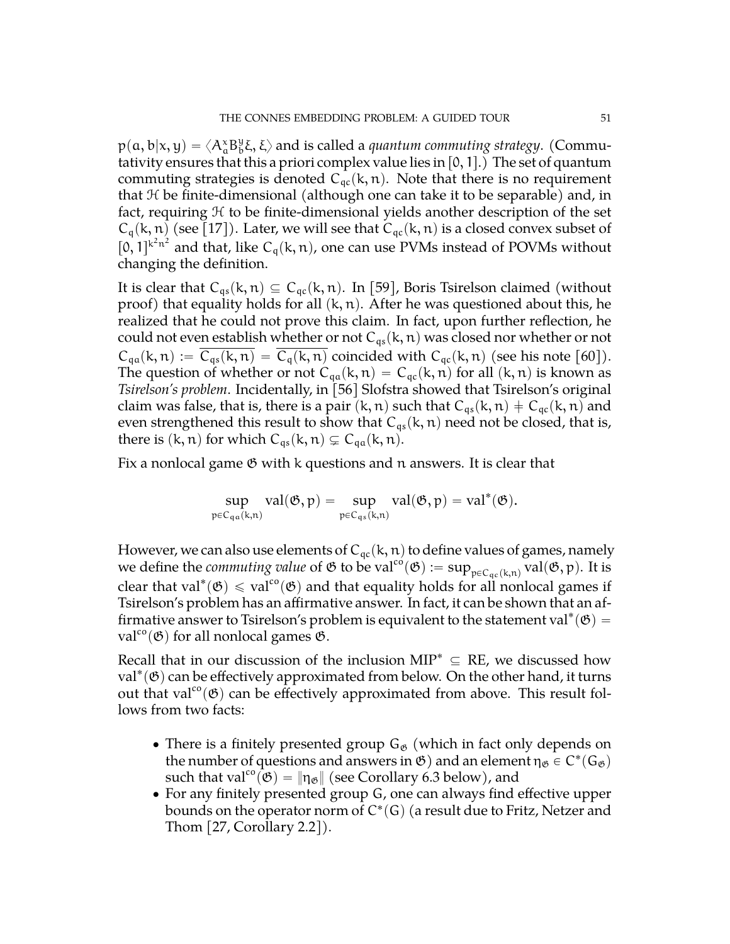$p(a, b|x, y) = \langle A^x_a B^y_b \rangle$  $\mathcal{G}_b^{\mathsf{y}}\xi,\xi\rangle$  and is called a *quantum commuting strategy*. (Commutativity ensures that this a priori complex value lies in  $[0, 1]$ .) The set of quantum commuting strategies is denoted  $C_{qc}(k, n)$ . Note that there is no requirement that  $H$  be finite-dimensional (although one can take it to be separable) and, in fact, requiring  $H$  to be finite-dimensional yields another description of the set  $C_q(k, n)$  (see [\[17\]](#page-71-3)). Later, we will see that  $C_{qc}(k, n)$  is a closed convex subset of  $[0,1]^{k^2n^2}$  and that, like  $C_q(k, n)$ , one can use PVMs instead of POVMs without changing the definition.

It is clear that  $C_{qs}(k, n) \subseteq C_{qc}(k, n)$ . In [\[59\]](#page-73-1), Boris Tsirelson claimed (without proof) that equality holds for all  $(k, n)$ . After he was questioned about this, he realized that he could not prove this claim. In fact, upon further reflection, he could not even establish whether or not  $C_{qs}(k, n)$  was closed nor whether or not  $C_{qa}(k, n) := C_{qs}(k, n) = C_q(k, n)$  coincided with  $C_{qc}(k, n)$  (see his note [\[60\]](#page-73-2)). The question of whether or not  $C_{qa}(k, n) = C_{qc}(k, n)$  for all  $(k, n)$  is known as *Tsirelson's problem*. Incidentally, in [\[56\]](#page-73-3) Slofstra showed that Tsirelson's original claim was false, that is, there is a pair  $(k, n)$  such that  $C_{qs}(k, n) \neq C_{qc}(k, n)$  and even strengthened this result to show that  $C_{qs}(k, n)$  need not be closed, that is, there is  $(k, n)$  for which  $C_{qs}(k, n) \subsetneq C_{qa}(k, n)$ .

Fix a nonlocal game  $\mathfrak G$  with k questions and n answers. It is clear that

$$
\sup_{\mathfrak{p}\in C_{q\alpha}(k,n)} val(\mathfrak{G},\mathfrak{p})=\sup_{\mathfrak{p}\in C_{q\alpha}(k,n)} val(\mathfrak{G},\mathfrak{p})=val^*(\mathfrak{G}).
$$

However, we can also use elements of  $C_{qc}(k, n)$  to define values of games, namely we define the *commuting value* of  $\mathfrak G$  to be val<sup>co</sup> $(\mathfrak G):=\sup_{\mathfrak {pcC}_{qc}(k,n)} val(\mathfrak G, \mathfrak p)$ . It is clear that val\* $(\mathfrak{G}) \leq \text{val}^{\text{co}}(\mathfrak{G})$  and that equality holds for all nonlocal games if Tsirelson's problem has an affirmative answer. In fact, it can be shown that an affirmative answer to Tsirelson's problem is equivalent to the statement val\* $(\mathfrak{G}) =$ val<sup>co</sup>( $\mathfrak{G}$ ) for all nonlocal games  $\mathfrak{G}$ .

Recall that in our discussion of the inclusion MIP<sup>\*</sup>  $\subseteq$  RE, we discussed how  $val^*(\mathfrak{G})$  can be effectively approximated from below. On the other hand, it turns out that val<sup>co</sup>( $\mathfrak{G}$ ) can be effectively approximated from above. This result follows from two facts:

- There is a finitely presented group  $G_{\mathfrak{G}}$  (which in fact only depends on the number of questions and answers in  $\mathfrak{G}$  ) and an element  $\eta_{\mathfrak{G}} \in C^*(\mathsf{G}_{\mathfrak{G}})$ such that val<sup>co</sup> $(\mathfrak{G}) = \|\eta_{\mathfrak{G}}\|$  (see Corollary [6.3](#page-53-0) below), and
- ' For any finitely presented group G, one can always find effective upper bounds on the operator norm of C $^*(G)$  (a result due to Fritz, Netzer and Thom [\[27,](#page-71-4) Corollary 2.2]).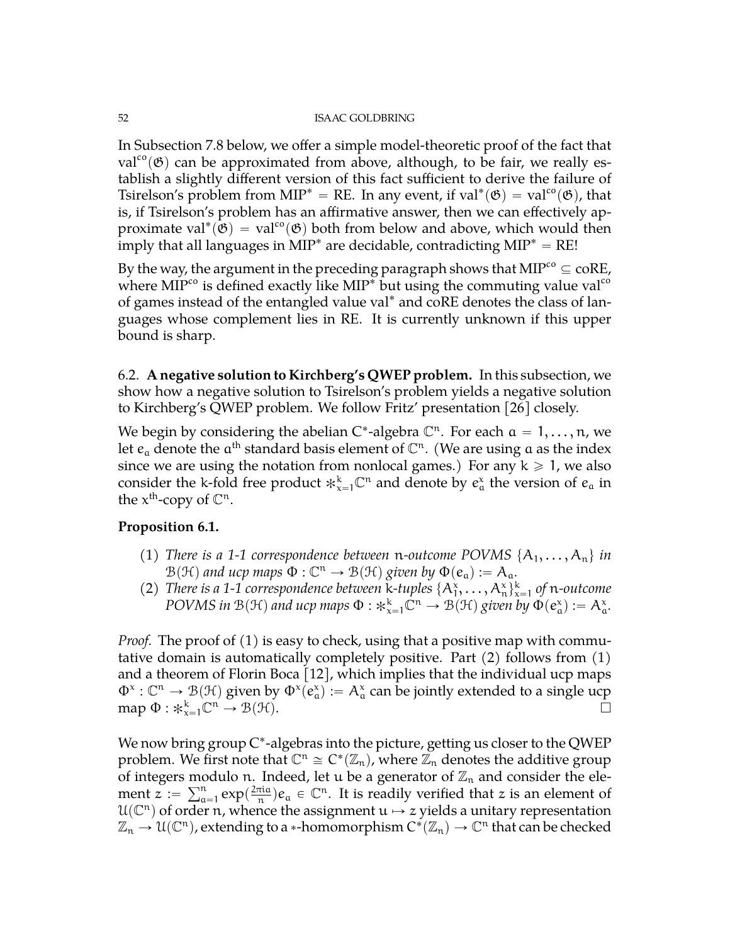In Subsection [7.8](#page-63-0) below, we offer a simple model-theoretic proof of the fact that val<sup>co</sup>( $\mathfrak{G}$ ) can be approximated from above, although, to be fair, we really establish a slightly different version of this fact sufficient to derive the failure of Tsirelson's problem from MIP<sup>\*</sup> = RE. In any event, if val<sup>\*</sup>( $\mathfrak{G}$ ) = val<sup>co</sup>( $\mathfrak{G}$ ), that is, if Tsirelson's problem has an affirmative answer, then we can effectively approximate val<sup>\*</sup>( $\ddot{\mathfrak{G}}$ ) = val<sup>co</sup>( $\mathfrak{G}$ ) both from below and above, which would then imply that all languages in MIP $^*$  are decidable, contradicting MIP $^* = \text{RE}!$ 

By the way, the argument in the preceding paragraph shows that  $\text{MIP}^{\text{co}}\subseteq \text{coRE},$ where  $\text{MIP}^{\text{co}}$  is defined exactly like  $\text{MIP}^*$  but using the commuting value val<sup>co</sup> of games instead of the entangled value val˚ and coRE denotes the class of languages whose complement lies in RE. It is currently unknown if this upper bound is sharp.

6.2. **A negative solution to Kirchberg's QWEP problem.** In this subsection, we show how a negative solution to Tsirelson's problem yields a negative solution to Kirchberg's QWEP problem. We follow Fritz' presentation [\[26\]](#page-71-5) closely.

We begin by considering the abelian C<sup>\*</sup>-algebra  $\mathbb{C}^n$ . For each  $a = 1, \ldots, n$ , we let  $e_a$  denote the  $a<sup>th</sup>$  standard basis element of  $\mathbb{C}^n$ . (We are using a as the index since we are using the notation from nonlocal games.) For any  $k \ge 1$ , we also consider the k-fold free product  $\ast_{x=1}^{k} \mathbb{C}^{n}$  and denote by  $e_{\alpha}^{x}$  the version of  $e_{\alpha}$  in the  $x^{\text{th}}$ -copy of  $\mathbb{C}^n$ .

# <span id="page-51-0"></span>**Proposition 6.1.**

- (1) *There is a 1-1 correspondence between* n-outcome POVMS  $\{A_1, \ldots, A_n\}$  *in*  $\mathcal{B}(\mathcal{H})$  and ucp maps  $\Phi : \mathbb{C}^n \to \mathcal{B}(\mathcal{H})$  given by  $\Phi(e_a) := A_a$ .
- (2) *There is a 1-1 correspondence between* k-tuples  $\{A_1^x, \ldots, A_n^x\}_{x=1}^k$  *of* n-outcome *POVMS in*  $\mathcal{B}(\mathcal{H})$  *and ucp maps*  $\Phi : *_{x=1}^k \mathcal{C}^n \to \mathcal{B}(\mathcal{H})$  given by  $\Phi(e^x_\alpha) := A^x_\alpha$ .

*Proof.* The proof of (1) is easy to check, using that a positive map with commutative domain is automatically completely positive. Part (2) follows from (1) and a theorem of Florin Boca [\[12\]](#page-71-6), which implies that the individual ucp maps  $\Phi^x: \mathbb{C}^n \to \mathcal{B}(\mathcal{H})$  given by  $\Phi^x(e^x_\alpha) := A^x_\alpha$  can be jointly extended to a single ucp  $\text{map } \Phi : *_{x=1}^k \mathbb{C}^n \to \mathcal{B}(\mathcal{H}).$ 

We now bring group C\*-algebras into the picture, getting us closer to the QWEP problem. We first note that  $\mathbb{C}^n \cong C^*(\mathbb{Z}_n)$ , where  $\mathbb{Z}_n$  denotes the additive group of integers modulo n. Indeed, let u be a generator of  $\mathbb{Z}_n$  and consider the eleof integers mo<br>ment  $z := \sum_{a}^{n}$  $_{a=1}^{\mathfrak{n}} \exp(\frac{2\pi\mathrm{i}a}{\mathfrak{n}})$  $\frac{\pi i a}{n}$ ) $e_a \in \mathbb{C}^n$ . It is readily verified that z is an element of  $\mathcal{U}(\mathbb{C}^n)$  of order n, whence the assignment  $u \mapsto z$  yields a unitary representation  $\mathbb{Z}_n \to \mathcal{U}(\mathbb{C}^n)$ , extending to a \*-homomorphism  $C^*(\mathbb{Z}_n) \to \mathbb{C}^n$  that can be checked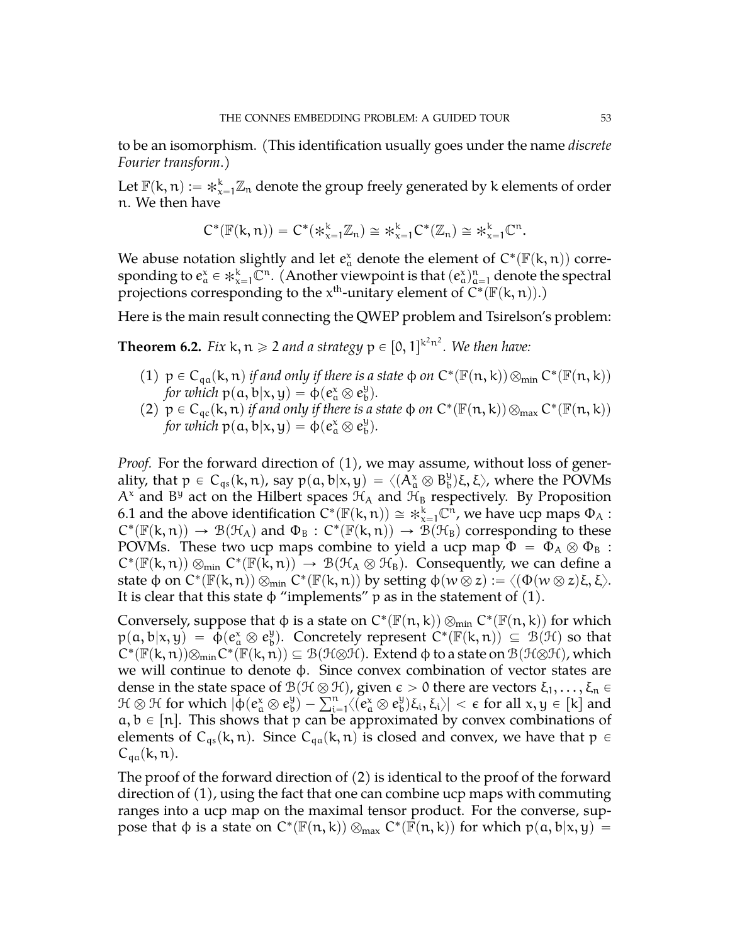to be an isomorphism. (This identification usually goes under the name *discrete Fourier transform*.)

Let  $\mathbb{F}(\mathsf{k},\mathfrak{n}) := *_{\mathsf{x}=1}^{\mathsf{k}} \mathbb{Z}_{\mathfrak{n}}$  denote the group freely generated by k elements of order n. We then have

$$
C^*(\mathbb{F}(k,n))=C^*(\divideontimes_{x=1}^k \mathbb{Z}_n)\cong \divideontimes_{x=1}^k C^*(\mathbb{Z}_n)\cong \divideontimes_{x=1}^k \mathbb{C}^n.
$$

We abuse notation slightly and let  $e^x_\alpha$  denote the element of  $C^*(\mathbb{F}(\mathsf{k},\mathfrak{n}))$  corresponding to  $e_a^x \in \ast_{x=1}^k \mathbb{C}^n$ . (Another viewpoint is that  $(e_a^x)_{a=1}^n$  denote the spectral projections corresponding to the  $x^{\text{th}}$ -unitary element of  $\tilde{C}^*(\mathbb{F}(k,n))$ .)

Here is the main result connecting the QWEP problem and Tsirelson's problem:

<span id="page-52-0"></span>**Theorem 6.2.** Fix  $k, n \geq 2$  and a strategy  $p \in [0, 1]^{k^2 n^2}$ . We then have:

- (1)  $p \in C_{qa}(k, n)$  *if and only if there is a state*  $\phi$  *on*  $C^*(\mathbb{F}(n, k)) \otimes_{min} C^*(\mathbb{F}(n, k))$ *for which*  $p(a, b|x, y) = \phi(e^x_a \otimes e^y_b)$ b q*.*
- (2)  $p \in C_{qc}(k, n)$  *if and only if there is a state*  $\phi$  *on*  $C^*(\mathbb{F}(n, k)) \otimes_{max} C^*(\mathbb{F}(n, k))$ *for which*  $p(a, b|x, y) = \phi(e^x_a \otimes e^y_b)$ b q*.*

*Proof.* For the forward direction of (1), we may assume, without loss of generality, that  $p\, \in\, \mathrm C_{\mathfrak q s}(\mathsf k,\mathfrak n)$ , say  $p(\mathfrak a,\mathfrak b|\mathsf x,\mathsf y)=\langle (\check{A}_\mathfrak a^\chi\otimes B_\mathfrak b^\mathfrak y$  $_{\text{b}}^{\text{y}}$ )ξ, ξ $\rangle$ , where the POVMs  $A^x$  and  $B^y$  act on the Hilbert spaces  $\mathcal{H}_A$  and  $\mathcal{H}_B$  respectively. By Proposition [6.1](#page-51-0) and the above identification  $C^*(\mathbb{F}(k,n)) \cong *_{x=1}^k \mathbb{C}^n$ , we have ucp maps  $\Phi_A$ :  $C^*(\mathbb{F}(k,n)) \to \mathcal{B}(\mathcal{H}_A)$  and  $\Phi_B : C^*(\mathbb{F}(k,n)) \to \mathcal{B}(\mathcal{H}_B)$  corresponding to these POVMs. These two ucp maps combine to yield a ucp map  $\Phi = \Phi_A \otimes \Phi_B$ :  $C^*(\mathbb{F}(k,n)) \otimes_{min} C^*(\mathbb{F}(k,n)) \to \mathcal{B}(\mathcal{H}_A \otimes \mathcal{H}_B)$ . Consequently, we can define a state  $\phi$  on  $C^*(\mathbb F(\kappa,n))\otimes_{\min} C^*(\mathbb F(\kappa,n))$  by setting  $\phi(w\,\overline{\otimes}\, z):=\langle(\Phi(w\otimes z)\xi,\xi\rangle.$ It is clear that this state  $\phi$  "implements" p as in the statement of (1).

Conversely, suppose that  $\varphi$  is a state on  $C^*(\mathbb{F}(\mathfrak{n},k)) \otimes_{min} C^*(\mathbb{F}(\mathfrak{n},k))$  for which  $p(a, b|x, y) = \oint_{\alpha} (e_a^x \otimes e_b^y)$  $\mathcal{L}_{\mathfrak{b}}^{\mathfrak{y}}$ . Concretely represent  $C^*(\mathbb{F}(\mathsf{k},\mathfrak{n})) \subseteq \mathcal{B}(\mathcal{H})$  so that  $C^*(\mathbb{F}(k,n))\otimes_{min}C^*(\mathbb{F}(k,n))\subseteq \mathcal{B}(\mathcal{H}\otimes\mathcal{H}).$  Extend  $\varphi$  to a state on  $\mathcal{B}(\mathcal{H}\otimes\mathcal{H})$ , which we will continue to denote φ. Since convex combination of vector states are dense in the state space of  $\mathcal{B}(\mathcal{H}\otimes\mathcal{H})$ , given  $\epsilon > 0$  there are vectors  $\xi_1, \ldots, \xi_n \in$  $\mathcal{H} \otimes \mathcal{H}$  for which  $|\dot{\Phi}(e^{\chi}_{a} \otimes e^{\psi}_{b})|$  $\mathcal{B}(\mathcal{H} \otimes \mathcal{H})$ , given  $\epsilon$ <br> $\mathcal{B}_b^{\mathfrak{y}}$ ) –  $\sum_{i=1}^n \langle (e_a^\mathsf{x} \otimes e_b^\mathsf{y}) \rangle$  $\big\{\xi_{\rm b}, \xi_{\rm i}, \xi_{\rm i} \big\}\big\}<\epsilon$  for all  ${\rm x,y\in [\rm k]}$  and  $a, b \in [n]$ . This shows that p can be approximated by convex combinations of elements of  $C_{qs}(k, n)$ . Since  $C_{qa}(k, n)$  is closed and convex, we have that  $p \in$  $C_{qa}(k, n)$ .

The proof of the forward direction of (2) is identical to the proof of the forward direction of (1), using the fact that one can combine ucp maps with commuting ranges into a ucp map on the maximal tensor product. For the converse, suppose that φ is a state on  $C^*(\mathbb{F}(n,k)) \otimes_{max} C^*(\mathbb{F}(n,k))$  for which  $p(a,b|x,y) =$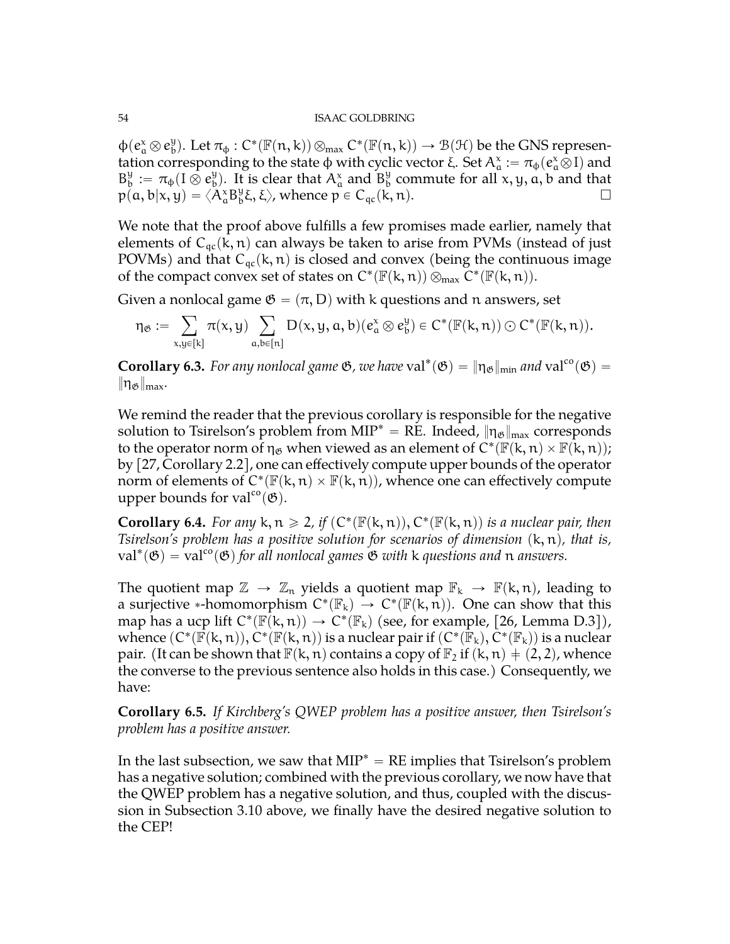$\varphi$ ( $e_a^x \otimes e_b^y$  $\mathcal{B}_{\text{b}}^{\text{y}}$ ). Let  $\pi_{\varphi}: C^*(\mathbb{F}(n,k)) \otimes_{\max} C^*(\mathbb{F}(n,k)) \to \mathcal{B}(\mathcal{H})$  be the GNS representation corresponding to the state φ with cyclic vector ξ. Set  $A^\chi_\mathfrak{a}:=\pi_\phi(e^\chi_\mathfrak{a}\bar{\otimes}I)$  and  $B_h^y$  $\theta_{\text{b}}^{\text{y}}\coloneqq\pi_{\phi}(\text{I}\overset{\bullet}{\otimes}\text{e}_{\text{b}}^{\text{y}})$  $\mathcal{L}_{\text{b}}^{\text{y}}$ ). It is clear that  $A_{\alpha}^{\text{x}}$  and  $B_{\text{b}}^{\text{y}}$  $\frac{9}{b}$  commute for all x, y, a, b and that  $p(a, b|x, y) = \langle A^x_a B^y_b \rangle$  $\mathcal{L}_{\mathfrak{b}}^{\mathfrak{y}}(\xi,\xi)$ , whence  $p \in C_{\mathfrak{q}_c}(\kappa,n)$ .

We note that the proof above fulfills a few promises made earlier, namely that elements of  $C_{qc}(k, n)$  can always be taken to arise from PVMs (instead of just POVMs) and that  $C_{qc}(k, n)$  is closed and convex (being the continuous image of the compact convex set of states on  $C^*(\mathbb{F}(k,n)) \otimes_{max} C^*(\mathbb{F}(k,n)).$ 

Given a nonlocal game  $\mathfrak{G} = (\pi, D)$  with k questions and n answers, set

$$
\eta_{\mathfrak{G}}:=\sum_{x,y\in[k]}\pi(x,y)\sum_{a,b\in[n]}D(x,y,a,b)(e_a^x\otimes e_b^y)\in C^*(\mathbb{F}(k,n))\odot C^*(\mathbb{F}(k,n)).
$$

<span id="page-53-0"></span>**Corollary 6.3.** *For any nonlocal game*  $\mathfrak{G}$ *, we have*  $val^*(\mathfrak{G}) = ||\eta_{\mathfrak{G}}||_{min}$  *and*  $val^{co}(\mathfrak{G}) =$  $\|\eta_{\mathfrak{G}}\|_{\max}$ .

We remind the reader that the previous corollary is responsible for the negative solution to Tsirelson's problem from MIP<sup>\*</sup> = RE. Indeed,  $\|\eta_{\mathcal{B}}\|_{\text{max}}$  corresponds to the operator norm of  $\eta_{\mathfrak{G}}$  when viewed as an element of  $C^* (\mathbb{F}(\mathsf{k},\mathfrak{n}) \times \mathbb{F}(\mathsf{k},\mathfrak{n}));$ by [\[27,](#page-71-4) Corollary 2.2], one can effectively compute upper bounds of the operator norm of elements of  $C^*(\mathbb{F}(k,n) \times \mathbb{F}(k,n))$ , whence one can effectively compute upper bounds for val<sup>co</sup> $(\mathfrak{G})$ .

**Corollary 6.4.** For any  $k, n \ge 2$ , if  $(C^*(\mathbb{F}(k, n)), C^*(\mathbb{F}(k, n))$  is a nuclear pair, then *Tsirelson's problem has a positive solution for scenarios of dimension*  $(k, n)$ *, that is,*  $val^*(\mathfrak{G}) = val^{co}(\mathfrak{G})$  for all nonlocal games  $\mathfrak{G}$  with k questions and n answers.

The quotient map  $\mathbb{Z} \to \mathbb{Z}_n$  yields a quotient map  $\mathbb{F}_k \to \mathbb{F}(k, n)$ , leading to a surjective \*-homomorphism  $C^*(\mathbb{F}_k) \to C^*(\mathbb{F}(k,n))$ . One can show that this map has a ucp lift  $C^*(\mathbb{F}(k,n)) \to C^*(\mathbb{F}_k)$  (see, for example, [\[26,](#page-71-5) Lemma D.3]), whence  $(C^*(\overline{\mathbb{F}}(\kappa,n)),C^*(\overline{\mathbb{F}}(\kappa,n))$  is a nuclear pair if  $(C^*(\overline{\mathbb{F}}_\kappa),C^*(\mathbb{F}_\kappa))$  is a nuclear pair. (It can be shown that  $\mathbb{F}(k, n)$  contains a copy of  $\mathbb{F}_2$  if  $(k, n) \neq (2, 2)$ , whence the converse to the previous sentence also holds in this case.) Consequently, we have:

**Corollary 6.5.** *If Kirchberg's QWEP problem has a positive answer, then Tsirelson's problem has a positive answer.*

In the last subsection, we saw that  $MIP^* = RE$  implies that Tsirelson's problem has a negative solution; combined with the previous corollary, we now have that the QWEP problem has a negative solution, and thus, coupled with the discussion in Subsection [3.10](#page-30-0) above, we finally have the desired negative solution to the CEP!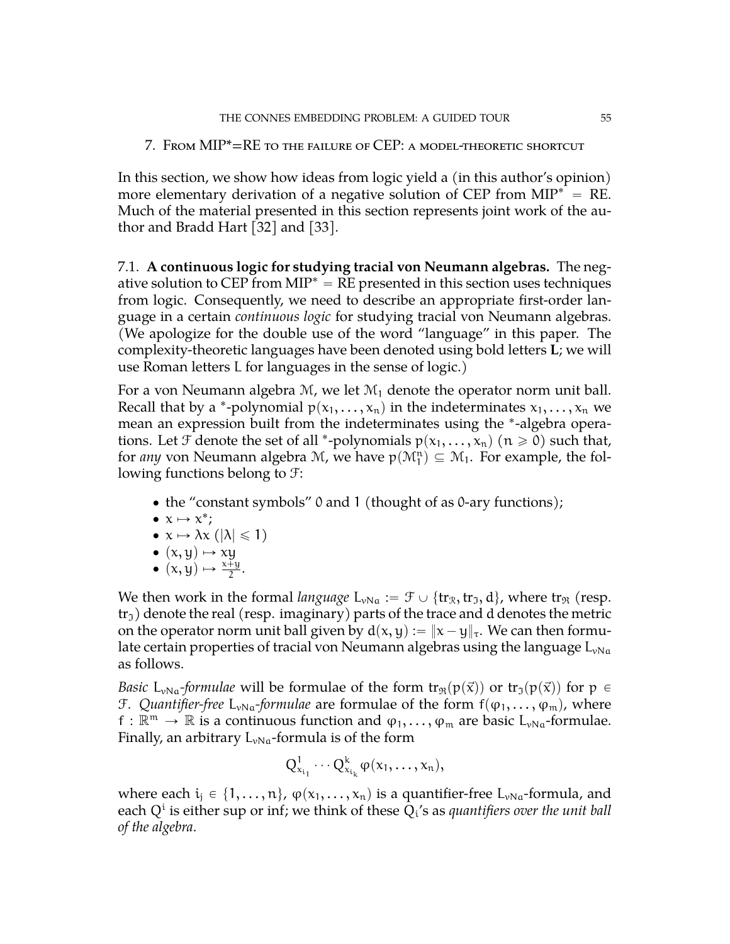7. From MIP\*=RE to the failure of CEP: a model-theoretic shortcut

In this section, we show how ideas from logic yield a (in this author's opinion) more elementary derivation of a negative solution of CEP from  $MIP^* = RE$ . Much of the material presented in this section represents joint work of the author and Bradd Hart [\[32\]](#page-72-4) and [\[33\]](#page-72-5).

7.1. **A continuous logic for studying tracial von Neumann algebras.** The negative solution to CEP from  $MIP^* = RE$  presented in this section uses techniques from logic. Consequently, we need to describe an appropriate first-order language in a certain *continuous logic* for studying tracial von Neumann algebras. (We apologize for the double use of the word "language" in this paper. The complexity-theoretic languages have been denoted using bold letters **L**; we will use Roman letters L for languages in the sense of logic.)

For a von Neumann algebra  $M$ , we let  $M_1$  denote the operator norm unit ball. Recall that by a \*-polynomial  $p(x_1, \ldots, x_n)$  in the indeterminates  $x_1, \ldots, x_n$  we mean an expression built from the indeterminates using the ˚ -algebra operations. Let  $\mathcal F$  denote the set of all  $^*$ -polynomials  $p(x_1, \ldots, x_n)$   $(n \geq 0)$  such that, for *any* von Neumann algebra  $M$ , we have  $p(M_1^n) \subseteq M_1$ . For example, the following functions belong to F:

- the "constant symbols" 0 and 1 (thought of as 0-ary functions);
- $x \mapsto x^*$ ;
- $\bullet \; x \mapsto \lambda x \; (|\lambda| \leq 1)$
- $\bullet$   $(x, y) \mapsto xy$
- $(x, y) \mapsto \frac{x+y}{2}$ .

We then work in the formal *language*  $L_{vNa} := \mathcal{F} \cup \{tr_{\mathcal{R}}, tr_{\mathcal{I}}, d\}$ , where  $tr_{\mathcal{R}}$  (resp.  $tr_1$ ) denote the real (resp. imaginary) parts of the trace and d denotes the metric on the operator norm unit ball given by  $d(x, y) := ||x - y||_{\tau}$ . We can then formulate certain properties of tracial von Neumann algebras using the language  $L_{vNa}$ as follows.

*Basic* L<sub>vNa</sub>-formulae will be formulae of the form  $tr_{\Re}(p(\vec{x}))$  or  $tr_{\Im}(p(\vec{x}))$  for  $p \in$ F. *Quantifier-free* L<sub>vNa</sub>-formulae are formulae of the form  $f(\varphi_1, \ldots, \varphi_m)$ , where  $f: \mathbb{R}^m \to \mathbb{R}$  is a continuous function and  $\varphi_1, \ldots, \varphi_m$  are basic  $L_{\nu Na}$ -formulae. Finally, an arbitrary  $L_{vNa}$ -formula is of the form

$$
Q^1_{x_{i_1}}\cdots Q^k_{x_{i_k}}\phi(x_1,\ldots,x_n),
$$

where each  $i_1 \in \{1, ..., n\}$ ,  $\varphi(x_1, ..., x_n)$  is a quantifier-free L<sub>vNa</sub>-formula, and each  $\mathrm{Q}^\mathrm{i}$  is either sup or inf; we think of these  $\mathrm{Q}_\mathrm{i}{}'$ s as *quantifiers over the unit ball of the algebra*.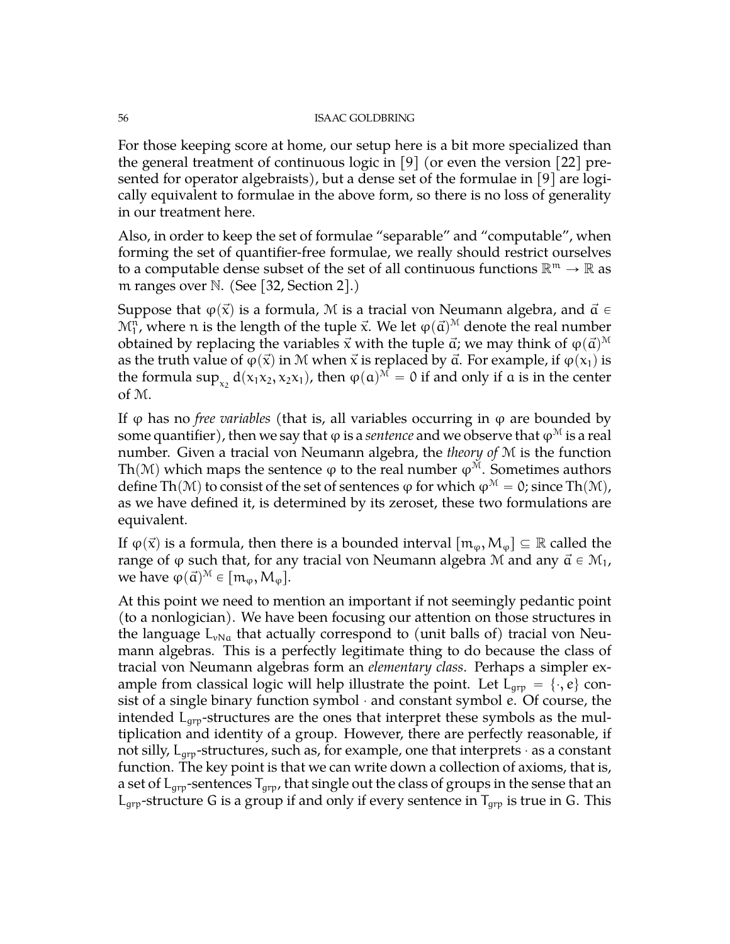For those keeping score at home, our setup here is a bit more specialized than the general treatment of continuous logic in [\[9\]](#page-71-7) (or even the version [\[22\]](#page-71-8) presented for operator algebraists), but a dense set of the formulae in [\[9\]](#page-71-7) are logically equivalent to formulae in the above form, so there is no loss of generality in our treatment here.

Also, in order to keep the set of formulae "separable" and "computable", when forming the set of quantifier-free formulae, we really should restrict ourselves to a computable dense subset of the set of all continuous functions  $\mathbb{R}^m \to \mathbb{R}$  as m ranges over  $\mathbb N$ . (See [\[32,](#page-72-4) Section 2].)

Suppose that  $\varphi(\vec{x})$  is a formula, M is a tracial von Neumann algebra, and  $\vec{a} \in$  $\mathcal{M}^{\mathfrak{n}}_{1}$ , where  $\mathfrak{n}$  is the length of the tuple  $\vec{\mathsf{x}}$ . We let  $\phi(\vec{\mathsf{a}})^{\mathcal{M}}$  denote the real number obtained by replacing the variables  $\vec{\mathsf{x}}$  with the tuple  $\vec{\mathsf{a}}$ ; we may think of  $\phi(\vec{\mathsf{a}})^\mathcal{M}$ as the truth value of  $\varphi(\vec{x})$  in M when  $\vec{x}$  is replaced by  $\vec{a}$ . For example, if  $\varphi(x_1)$  is the formula sup<sub>x<sub>2</sub></sub>  $d(x_1x_2, x_2x_1)$ , then  $\varphi(\mathfrak{a})^{\mathcal{M}} = 0$  if and only if  $\mathfrak{a}$  is in the center of M.

If  $φ$  has no *free variables* (that is, all variables occurring in  $φ$  are bounded by some quantifier), then we say that  $\varphi$  is a *sentence* and we observe that  $\varphi^{\mathcal{M}}$  is a real number. Given a tracial von Neumann algebra, the *theory of* M is the function Th(M) which maps the sentence  $\varphi$  to the real number  $\varphi^M$ . Sometimes authors define Th(M) to consist of the set of sentences  $\varphi$  for which  $\varphi^M = 0$ ; since Th(M), as we have defined it, is determined by its zeroset, these two formulations are equivalent.

If  $\varphi(\vec{x})$  is a formula, then there is a bounded interval  $[m_\varphi, M_\varphi] \subseteq \mathbb{R}$  called the range of  $\varphi$  such that, for any tracial von Neumann algebra M and any  $\vec{\alpha} \in M_1$ , we have  $\varphi(\vec{a})^{\mathcal{M}} \in [m_{\varphi}, M_{\varphi}].$ 

At this point we need to mention an important if not seemingly pedantic point (to a nonlogician). We have been focusing our attention on those structures in the language  $L_{vNa}$  that actually correspond to (unit balls of) tracial von Neumann algebras. This is a perfectly legitimate thing to do because the class of tracial von Neumann algebras form an *elementary class*. Perhaps a simpler example from classical logic will help illustrate the point. Let  $L_{app} = \{\cdot, e\}$  consist of a single binary function symbol  $\cdot$  and constant symbol  $e$ . Of course, the intended  $L_{\text{qrp}}$ -structures are the ones that interpret these symbols as the multiplication and identity of a group. However, there are perfectly reasonable, if not silly,  $L_{\text{qrp}}$ -structures, such as, for example, one that interprets  $\cdot$  as a constant function. The key point is that we can write down a collection of axioms, that is, a set of  $L_{\text{arp}}$ -sentences  $T_{\text{arp}}$ , that single out the class of groups in the sense that an  $L_{\text{qrp}}$ -structure G is a group if and only if every sentence in  $T_{\text{qrp}}$  is true in G. This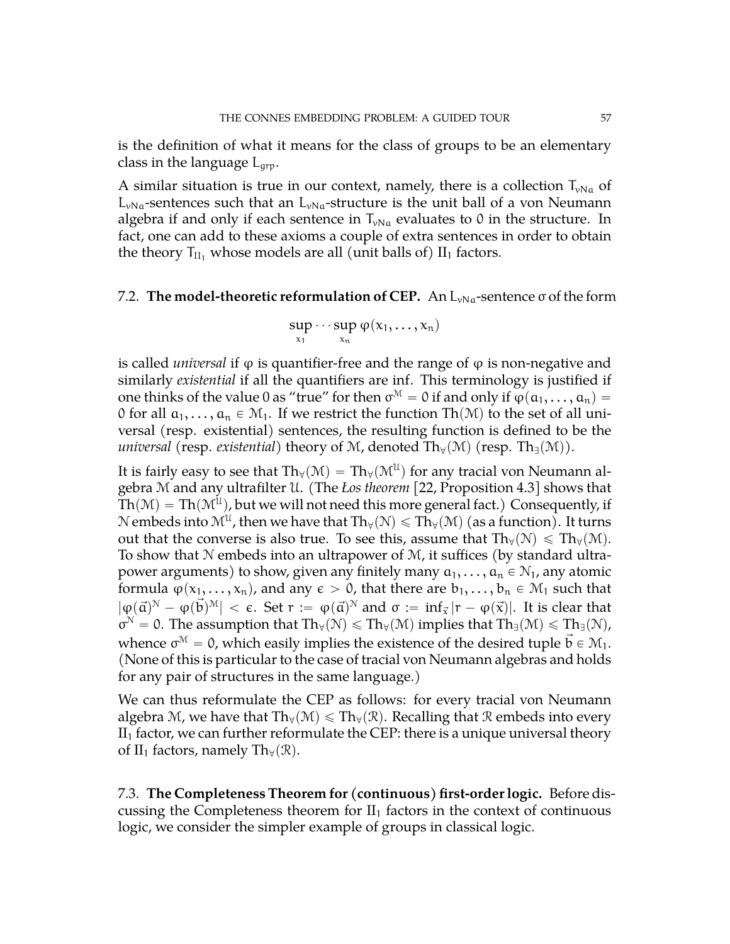is the definition of what it means for the class of groups to be an elementary class in the language  $L_{\text{qrp}}$ .

A similar situation is true in our context, namely, there is a collection  $T_{\nu Na}$  of  $L_{vNa}$ -sentences such that an  $L_{vNa}$ -structure is the unit ball of a von Neumann algebra if and only if each sentence in  $T_{vNa}$  evaluates to 0 in the structure. In fact, one can add to these axioms a couple of extra sentences in order to obtain the theory  $T_{II_1}$  whose models are all (unit balls of)  $II_1$  factors.

# 7.2. **The model-theoretic reformulation of CEP.** An  $L_{vNa}$ -sentence  $\sigma$  of the form

$$
\sup_{x_1}\cdots\sup_{x_n}\phi(x_1,\ldots,x_n)
$$

is called *universal* if ϕ is quantifier-free and the range of ϕ is non-negative and similarly *existential* if all the quantifiers are inf. This terminology is justified if one thinks of the value 0 as "true" for then  $\sigma^{\mathcal{M}}=0$  if and only if  $\phi(\mathfrak{a}_1,\ldots,\mathfrak{a}_n)=0$ 0 for all  $a_1, \ldots, a_n \in \mathcal{M}_1$ . If we restrict the function Th $(\mathcal{M})$  to the set of all universal (resp. existential) sentences, the resulting function is defined to be the *universal* (resp. *existential*) theory of M, denoted  $Th_\forall(\mathcal{M})$  (resp.  $Th_\exists(\mathcal{M})$ ).

It is fairly easy to see that  $\text{Th}_{\forall}(\mathfrak{M}) = \text{Th}_{\forall}(\mathfrak{M}^{\mathfrak{U}})$  for any tracial von Neumann algebra M and any ultrafilter U. (The *Łos theorem* [\[22,](#page-71-8) Proposition 4.3] shows that  $\text{Th}(\mathcal{M}) = \text{Th}(\mathcal{M}^{\mathfrak{U}})$ , but we will not need this more general fact.) Consequently, if  $\mathcal N$  embeds into  $\mathcal M^{\mathfrak U}$ , then we have that  $\text{Th}_{\forall}(\mathcal N)\leqslant\text{Th}_{\forall}(\mathcal M)$  (as a function). It turns out that the converse is also true. To see this, assume that  $Th_v(N) \le Th_v(M)$ . To show that N embeds into an ultrapower of M, it suffices (by standard ultrapower arguments) to show, given any finitely many  $a_1, \ldots, a_n \in \mathbb{N}_1$ , any atomic formula  $\varphi(x_1, \ldots, x_n)$ , and any  $\epsilon > 0$ , that there are  $b_1, \ldots, b_n \in \mathcal{M}_1$  such that  $|\varphi(\vec{a})^{\mathcal{N}} - \varphi(\vec{b})^{\mathcal{M}}| < \varepsilon$ . Set  $r := \varphi(\vec{a})^{\mathcal{N}}$  and  $\sigma := \inf_{\vec{x}} |r - \varphi(\vec{x})|$ . It is clear that  $\sigma^{\mathcal{N}}=0.$  The assumption that  $Th_{\forall}(\mathcal{N})\leqslant Th_{\forall}(\mathcal{M})$  implies that  $Th_{\exists}(\mathcal{M})\leqslant Th_{\exists}(\mathcal{N})$ , whence  $\sigma^{\mathcal{M}}=$  0, which easily implies the existence of the desired tuple  $\vec{\mathfrak{b}}\in\mathcal{M}_1.$ (None of this is particular to the case of tracial von Neumann algebras and holds for any pair of structures in the same language.)

We can thus reformulate the CEP as follows: for every tracial von Neumann algebra M, we have that  $Th_v(M) \le Th_v(\mathcal{R})$ . Recalling that  $\mathcal R$  embeds into every  $II<sub>1</sub>$  factor, we can further reformulate the CEP: there is a unique universal theory of II<sub>1</sub> factors, namely Th<sub> $\forall$ </sub>( $\Re$ ).

7.3. **The Completeness Theorem for (continuous) first-order logic.** Before discussing the Completeness theorem for  $II_1$  factors in the context of continuous logic, we consider the simpler example of groups in classical logic.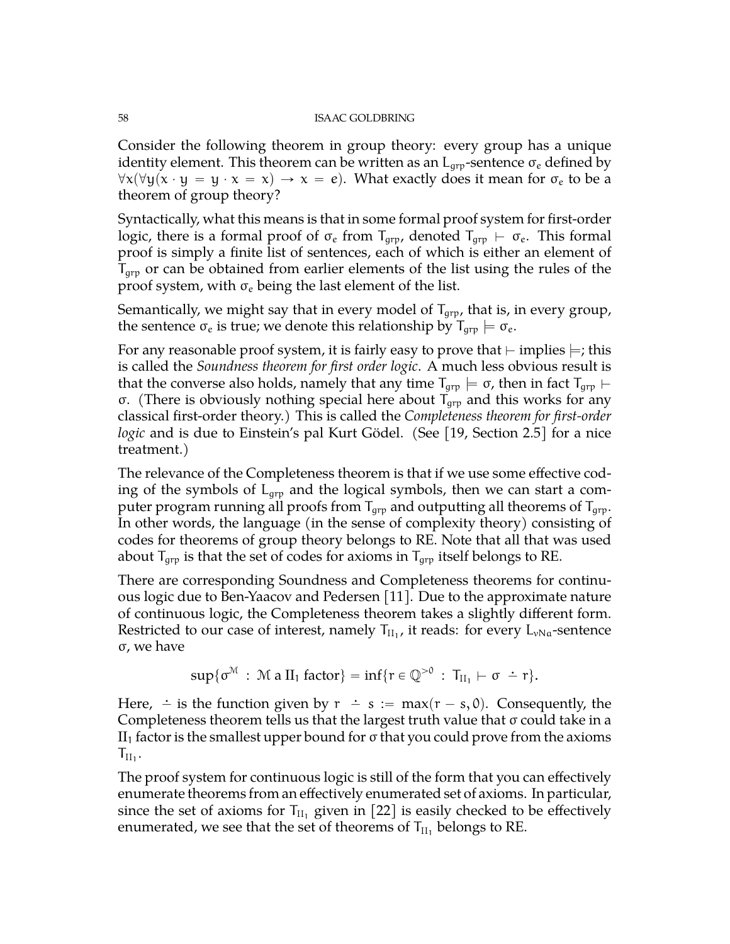Consider the following theorem in group theory: every group has a unique identity element. This theorem can be written as an  $L_{\text{qr}}$ -sentence  $\sigma_e$  defined by  $\forall x(\forall y(x \cdot y = y \cdot x = x) \rightarrow x = e)$ . What exactly does it mean for  $\sigma_e$  to be a theorem of group theory?

Syntactically, what this means is that in some formal proof system for first-order logic, there is a formal proof of  $\sigma_e$  from  $T_{\text{qrp}}$ , denoted  $T_{\text{qrp}} \vdash \sigma_e$ . This formal proof is simply a finite list of sentences, each of which is either an element of  $T_{\text{qrp}}$  or can be obtained from earlier elements of the list using the rules of the proof system, with  $\sigma_e$  being the last element of the list.

Semantically, we might say that in every model of  $T_{\text{qrp}}$ , that is, in every group, the sentence  $\sigma_e$  is true; we denote this relationship by  $T_{\text{qrp}} \models \sigma_e$ .

For any reasonable proof system, it is fairly easy to prove that  $\vdash$  implies  $\models$ ; this is called the *Soundness theorem for first order logic*. A much less obvious result is that the converse also holds, namely that any time  $T_{qrp} \models \sigma$ , then in fact  $T_{qrp} \models$ σ. (There is obviously nothing special here about  $T_{\text{qrp}}$  and this works for any classical first-order theory.) This is called the *Completeness theorem for first-order logic* and is due to Einstein's pal Kurt Gödel. (See [\[19,](#page-71-9) Section 2.5] for a nice treatment.)

The relevance of the Completeness theorem is that if we use some effective coding of the symbols of  $L_{\text{qrp}}$  and the logical symbols, then we can start a computer program running all proofs from  $T_{qrp}$  and outputting all theorems of  $T_{qrp}$ . In other words, the language (in the sense of complexity theory) consisting of codes for theorems of group theory belongs to RE. Note that all that was used about  $T_{\text{qrp}}$  is that the set of codes for axioms in  $T_{\text{qrp}}$  itself belongs to RE.

There are corresponding Soundness and Completeness theorems for continuous logic due to Ben-Yaacov and Pedersen [\[11\]](#page-71-10). Due to the approximate nature of continuous logic, the Completeness theorem takes a slightly different form. Restricted to our case of interest, namely  $T_{\text{II}_1}$ , it reads: for every  $L_{\nu Na}$ -sentence σ, we have

$$
sup\{\sigma^{\mathcal{M}}\::\: \mathcal{M}\: a\; II_1\; factor\} = inf\{r\in \mathbb{Q}^{>0}\::\: T_{II_1}\vdash \sigma \;\doteq\; r\}.
$$

Here,  $\div$  is the function given by  $r \div s := \max(r - s, 0)$ . Consequently, the Completeness theorem tells us that the largest truth value that σ could take in a II<sub>1</sub> factor is the smallest upper bound for  $\sigma$  that you could prove from the axioms  $T_{II_1}$ .

The proof system for continuous logic is still of the form that you can effectively enumerate theorems from an effectively enumerated set of axioms. In particular, since the set of axioms for  $T_{II_1}$  given in [\[22\]](#page-71-8) is easily checked to be effectively enumerated, we see that the set of theorems of  $T_{II_1}$  belongs to RE.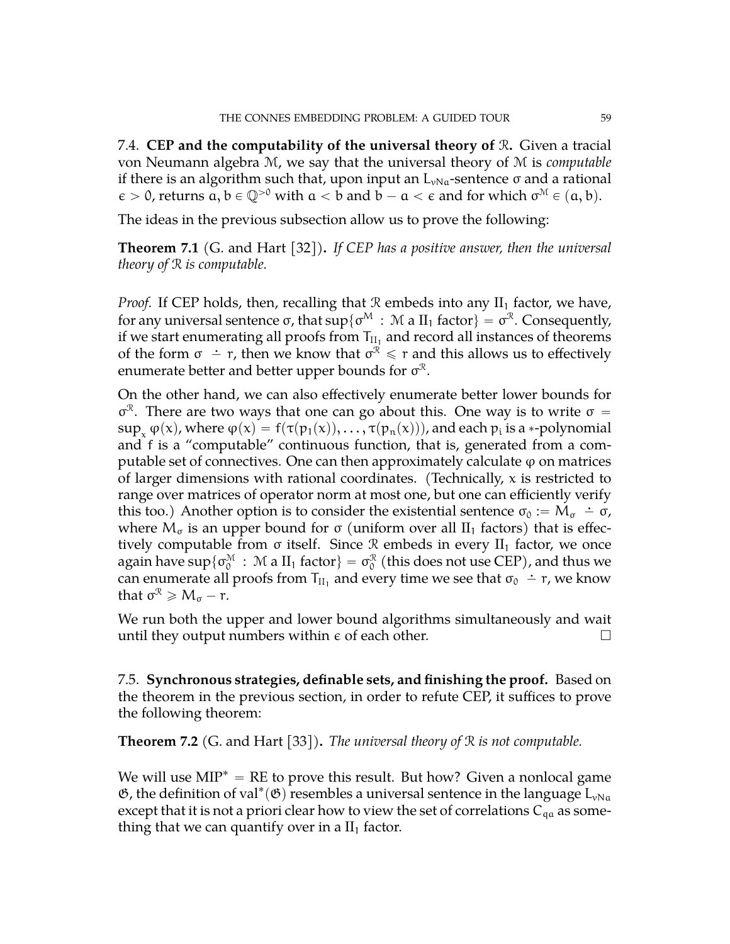7.4. **CEP and the computability of the universal theory of** R**.** Given a tracial von Neumann algebra M, we say that the universal theory of M is *computable* if there is an algorithm such that, upon input an  $L_{vNa}$ -sentence  $\sigma$  and a rational  $\epsilon > 0$ , returns  $\alpha, b \in \mathbb{Q}^{>0}$  with  $a < b$  and  $b - a < \epsilon$  and for which  $\sigma^M \in (a, b)$ .

The ideas in the previous subsection allow us to prove the following:

**Theorem 7.1** (G. and Hart [\[32\]](#page-72-4))**.** *If CEP has a positive answer, then the universal theory of* R *is computable.*

*Proof.* If CEP holds, then, recalling that  $\Re$  embeds into any  $II_1$  factor, we have, for any universal sentence σ, that  $\sup\{\sigma^{\rm M}\,:\, {\rm \mathcal{M}}\; a\; {\rm II}_1 \;\text{factor}\}=\sigma^{\mathcal{R}}.$  Consequently, if we start enumerating all proofs from  $\mathsf{T}_{\text{II}_1}$  and record all instances of theorems of the form  $σ - r$ , then we know that  $σ<sup>R</sup> ≤ r$  and this allows us to effectively enumerate better and better upper bounds for  $\sigma^{\mathrel{\mathcal{R} }}.$ 

On the other hand, we can also effectively enumerate better lower bounds for σ<sup> $x$ </sup>. There are two ways that one can go about this. One way is to write σ =  $\sup_x \varphi(x)$ , where  $\varphi(x) = f(\tau(p_1(x)), \ldots, \tau(p_n(x)))$ , and each  $p_i$  is a  $\ast$ -polynomial and f is a "computable" continuous function, that is, generated from a computable set of connectives. One can then approximately calculate  $\varphi$  on matrices of larger dimensions with rational coordinates. (Technically,  $x$  is restricted to range over matrices of operator norm at most one, but one can efficiently verify this too.) Another option is to consider the existential sentence  $\sigma_0 := M_{\sigma} \doteq \sigma$ , where  $M_{\sigma}$  is an upper bound for  $\sigma$  (uniform over all II<sub>1</sub> factors) that is effectively computable from  $\sigma$  itself. Since  $\mathcal R$  embeds in every  $II_1$  factor, we once again have  $\sup\{\sigma_0^{\mathcal M}\,:\, {\mathcal M} \text{ a } \Pi_1 \text{ factor}\}=\sigma_0^{\mathcal R}$  (this does not use CEP), and thus we can enumerate all proofs from  $T_{II_1}$  and every time we see that  $\sigma_0 \doteq r$ , we know that  $\sigma^{\mathcal{R}} \geqslant M_{\sigma} - r$ .

We run both the upper and lower bound algorithms simultaneously and wait until they output numbers within  $\epsilon$  of each other.

7.5. **Synchronous strategies, definable sets, and finishing the proof.** Based on the theorem in the previous section, in order to refute CEP, it suffices to prove the following theorem:

<span id="page-58-0"></span>**Theorem 7.2** (G. and Hart [\[33\]](#page-72-5))**.** *The universal theory of* R *is not computable.*

We will use  $MIP^* = RE$  to prove this result. But how? Given a nonlocal game  $\mathfrak{G}$ , the definition of val<sup>\*</sup>( $\mathfrak{G}$ ) resembles a universal sentence in the language  $L_{\nu Na}$ except that it is not a priori clear how to view the set of correlations  $C_{qa}$  as something that we can quantify over in a  $II<sub>1</sub>$  factor.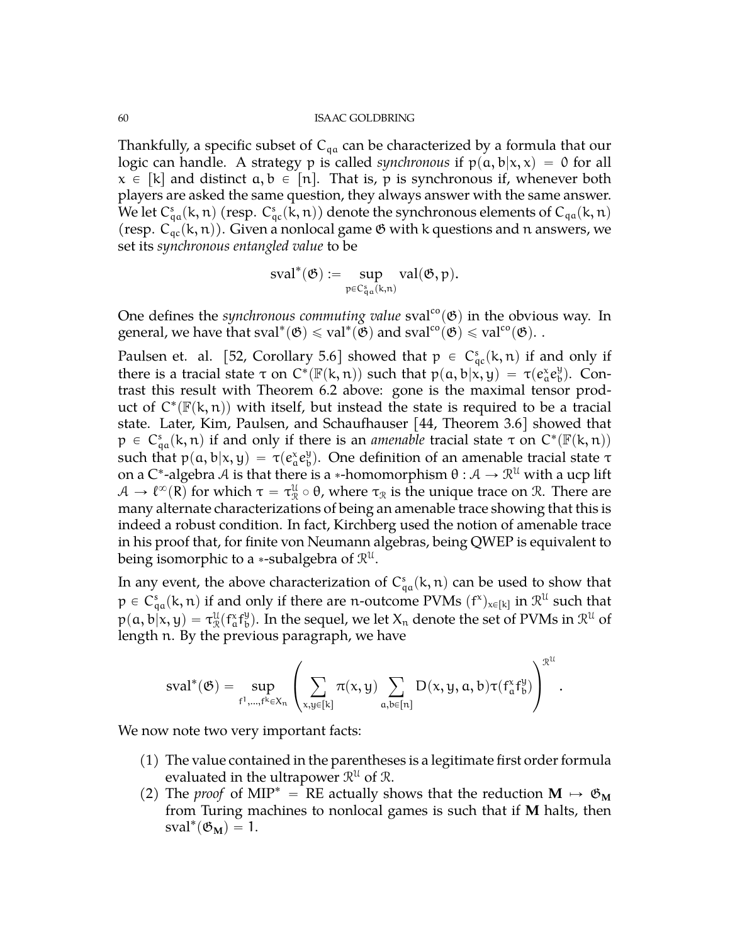Thankfully, a specific subset of  $C_{qa}$  can be characterized by a formula that our logic can handle. A strategy p is called *synchronous* if  $p(a, b|x, x) = 0$  for all  $x \in [k]$  and distinct  $a, b \in [n]$ . That is, p is synchronous if, whenever both players are asked the same question, they always answer with the same answer. We let  $C^s_{\rm qa}({\bf k},{\bf n})$  (resp.  $C^s_{\rm qc}({\bf k},{\bf n}))$  denote the synchronous elements of  $C_{\rm qa}({\bf k},{\bf n})$ (resp.  $C_{qc}(k, n)$ ). Given a nonlocal game  $\mathfrak G$  with k questions and n answers, we set its *synchronous entangled value* to be

$$
sval^*(\mathfrak{G}):=\sup_{p\in C^s_{q\alpha}(k,n)} val(\mathfrak{G},p).
$$

One defines the *synchronous commuting value* sval<sup>co</sup> $(\mathfrak{G})$  in the obvious way. In general, we have that  $sval^*(\mathfrak{G}) \leqslant val^*(\breve{\mathfrak{G}})$  and  $sval^{co}(\mathfrak{G}) \leqslant val^{co}(\mathfrak{G})$ . .

Paulsen et. al. [\[52,](#page-72-6) Corollary 5.6] showed that  $p \in C_{qc}^{s}(k, n)$  if and only if there is a tracial state  $\tau$  on  $C^*(\mathbb{F}(k,n))$  such that  $p(a,b|x,y) = \tau(e_a^x e_b^y)$  $_{\rm b}^{\rm y}$ ). Contrast this result with Theorem [6.2](#page-52-0) above: gone is the maximal tensor product of  $C^*(\mathbb{F}(k,n))$  with itself, but instead the state is required to be a tracial state. Later, Kim, Paulsen, and Schaufhauser [\[44,](#page-72-7) Theorem 3.6] showed that  $p \in C_{qa}^{s}(k, n)$  if and only if there is an *amenable* tracial state  $\tau$  on  $C^{*}(\mathbb{F}(k, n))$ such that  $p(a, b|x, y) = \tau(e_a^x e_b^y)$  $\mathcal{L}_{\text{b}}^{y}$ ). One definition of an amenable tracial state τ on a C\*-algebra  ${\mathcal{A}}$  is that there is a \*-homomorphism  $\theta:{\mathcal{A}}\to{\mathcal{R}}^{\mathcal{U}}$  with a ucp lift  $A \to \ell^{\infty}(R)$  for which  $\tau = \tau^{\mathfrak{U}}_{\mathfrak{R}} \circ \theta$ , where  $\tau_{\mathfrak{R}}$  is the unique trace on  $\mathfrak{R}$ . There are many alternate characterizations of being an amenable trace showing that this is indeed a robust condition. In fact, Kirchberg used the notion of amenable trace in his proof that, for finite von Neumann algebras, being QWEP is equivalent to being isomorphic to a  $*$ -subalgebra of  $\mathcal{R}^{\mathfrak{U}}.$ 

In any event, the above characterization of  $C_{qa}^s(k, n)$  can be used to show that  $p \in C^s_{qa}(k, n)$  if and only if there are n-outcome PVMs  $(f^x)_{x \in [k]}$  in  $\mathcal{R}^{\mathcal{U}}$  such that  $p(a, b|x, y) = \tau_{\mathcal{R}}^{\mathcal{U}}(f_a^xf_b^y)$  $_{\rm b}^{\rm y}$ ). In the sequel, we let  $\rm X_n$  denote the set of PVMs in  $\mathcal{R}^{\rm u}$  of length n. By the previous paragraph, we have

$$
sval^*(\mathfrak{G})=\sup_{f^1,\ldots,f^k\in X_n}\left(\sum_{x,y\in[k]}\pi(x,y)\sum_{a,b\in[n]}D(x,y,a,b)\tau(f^x_af^y_b)\right)^{\mathcal{R}^{\mathcal{U}}}
$$

We now note two very important facts:

(1) The value contained in the parentheses is a legitimate first order formula evaluated in the ultrapower  $\mathcal{R}^{\mathfrak{U}}$  of  $\mathcal{R}.$ 

.

(2) The *proof* of MIP<sup>\*</sup> = RE actually shows that the reduction  $M \rightarrow \mathfrak{G}_M$ from Turing machines to nonlocal games is such that if **M** halts, then  $sval^*(\mathfrak{G}_M) = 1.$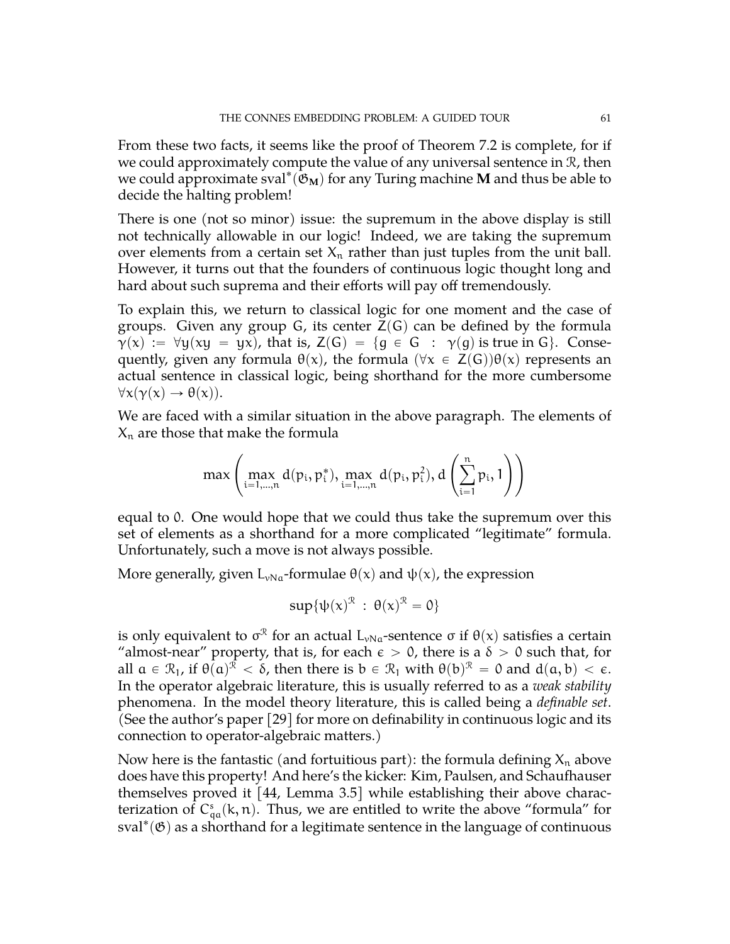From these two facts, it seems like the proof of Theorem [7.2](#page-58-0) is complete, for if we could approximately compute the value of any universal sentence in R, then we could approximate sval $^*(\mathfrak{G}_M)$  for any Turing machine **M** and thus be able to decide the halting problem!

There is one (not so minor) issue: the supremum in the above display is still not technically allowable in our logic! Indeed, we are taking the supremum over elements from a certain set  $X_n$  rather than just tuples from the unit ball. However, it turns out that the founders of continuous logic thought long and hard about such suprema and their efforts will pay off tremendously.

To explain this, we return to classical logic for one moment and the case of groups. Given any group G, its center  $Z(G)$  can be defined by the formula  $\gamma(x) := \forall y(xy = yx)$ , that is,  $Z(G) = \{g \in G : \gamma(g) \text{ is true in } G\}$ . Consequently, given any formula  $\theta(x)$ , the formula  $(\forall x \in Z(G))\theta(x)$  represents an actual sentence in classical logic, being shorthand for the more cumbersome  $\forall x(\gamma(x) \rightarrow \theta(x)).$ 

We are faced with a similar situation in the above paragraph. The elements of  $X_n$  are those that make the formula

$$
\max\left(\max_{i=1,\ldots,n}d(p_i,p_i^*),\max_{i=1,\ldots,n}d(p_i,p_i^2),d\left(\sum_{i=1}^np_i,1\right)\right)
$$

equal to 0. One would hope that we could thus take the supremum over this set of elements as a shorthand for a more complicated "legitimate" formula. Unfortunately, such a move is not always possible.

More generally, given  $L_{vNa}$ -formulae  $\theta(x)$  and  $\psi(x)$ , the expression

$$
sup{\{\psi(x)^{\mathcal{R}} \,:\, \theta(x)^{\mathcal{R}}=0\}}
$$

is only equivalent to  $\sigma^\mathcal{R}$  for an actual  $\mathsf{L}_{\nu\mathsf{Na}}$ -sentence  $\sigma$  if  $\theta(\mathsf{x})$  satisfies a certain "almost-near" property, that is, for each  $\epsilon > 0$ , there is a  $\delta > 0$  such that, for all  $a \in \mathcal{R}_1$ , if  $\theta(a)^{\mathcal{R}} < \delta$ , then there is  $b \in \mathcal{R}_1$  with  $\theta(b)^{\mathcal{R}} = 0$  and  $d(a, b) < \epsilon$ . In the operator algebraic literature, this is usually referred to as a *weak stability* phenomena. In the model theory literature, this is called being a *definable set*. (See the author's paper [\[29\]](#page-71-11) for more on definability in continuous logic and its connection to operator-algebraic matters.)

Now here is the fantastic (and fortuitious part): the formula defining  $X_n$  above does have this property! And here's the kicker: Kim, Paulsen, and Schaufhauser themselves proved it [\[44,](#page-72-7) Lemma 3.5] while establishing their above characterization of  $C_{qa}^{s}(k, n)$ . Thus, we are entitled to write the above "formula" for  $sval^*(\mathfrak{G})$  as a shorthand for a legitimate sentence in the language of continuous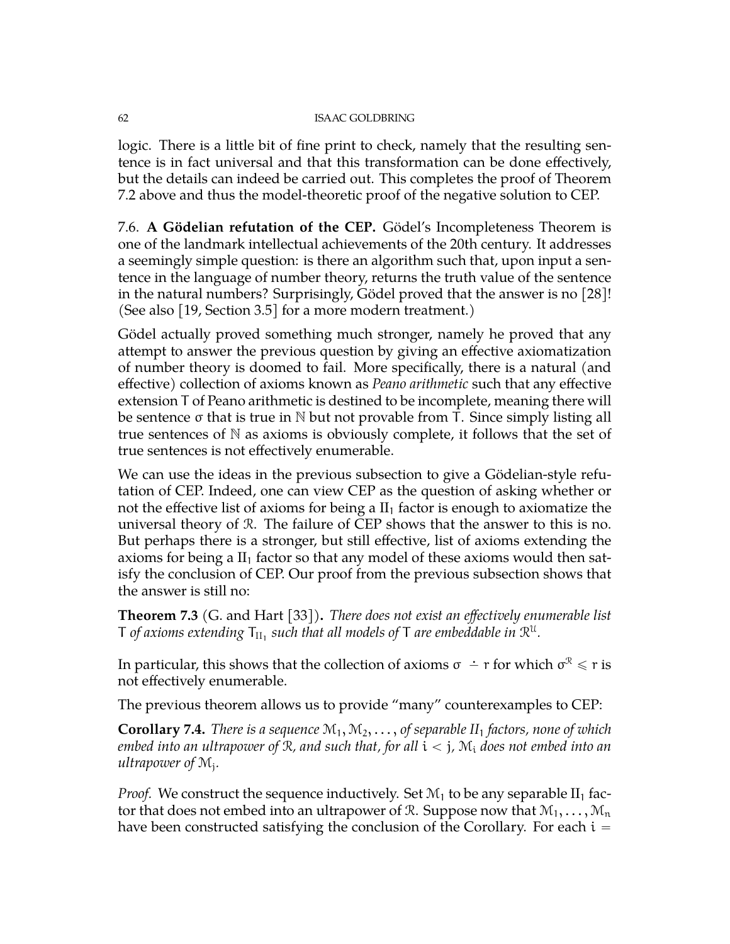logic. There is a little bit of fine print to check, namely that the resulting sentence is in fact universal and that this transformation can be done effectively, but the details can indeed be carried out. This completes the proof of Theorem [7.2](#page-58-0) above and thus the model-theoretic proof of the negative solution to CEP.

7.6. **A Gödelian refutation of the CEP.** Gödel's Incompleteness Theorem is one of the landmark intellectual achievements of the 20th century. It addresses a seemingly simple question: is there an algorithm such that, upon input a sentence in the language of number theory, returns the truth value of the sentence in the natural numbers? Surprisingly, Gödel proved that the answer is no [\[28\]](#page-71-12)! (See also [\[19,](#page-71-9) Section 3.5] for a more modern treatment.)

Gödel actually proved something much stronger, namely he proved that any attempt to answer the previous question by giving an effective axiomatization of number theory is doomed to fail. More specifically, there is a natural (and effective) collection of axioms known as *Peano arithmetic* such that any effective extension T of Peano arithmetic is destined to be incomplete, meaning there will be sentence σ that is true in N but not provable from T. Since simply listing all true sentences of  $N$  as axioms is obviously complete, it follows that the set of true sentences is not effectively enumerable.

We can use the ideas in the previous subsection to give a Gödelian-style refutation of CEP. Indeed, one can view CEP as the question of asking whether or not the effective list of axioms for being a  $II_1$  factor is enough to axiomatize the universal theory of R. The failure of CEP shows that the answer to this is no. But perhaps there is a stronger, but still effective, list of axioms extending the axioms for being a  $II_1$  factor so that any model of these axioms would then satisfy the conclusion of CEP. Our proof from the previous subsection shows that the answer is still no:

**Theorem 7.3** (G. and Hart [\[33\]](#page-72-5))**.** *There does not exist an effectively enumerable list* T of axioms extending  $\mathsf{T}_{\text{II}_1}$  such that all models of T are embeddable in  $\mathcal{R}^{\text{U}}$ .

In particular, this shows that the collection of axioms  $\sigma\,\doteq$   $\,$  r for which  $\sigma^{\mathcal{R}}\leqslant$   $\,$  r is not effectively enumerable.

The previous theorem allows us to provide "many" counterexamples to CEP:

**Corollary 7.4.** *There is a sequence*  $\mathcal{M}_1, \mathcal{M}_2, \ldots,$  *of separable*  $II_1$  *factors, none of which embed into an ultrapower of* R*, and such that, for all* i ă j*,* M<sup>i</sup> *does not embed into an ultrapower of* M<sup>j</sup> *.*

*Proof.* We construct the sequence inductively. Set  $\mathcal{M}_1$  to be any separable  $II_1$  factor that does not embed into an ultrapower of R. Suppose now that  $M_1, \ldots, M_n$ have been constructed satisfying the conclusion of the Corollary. For each  $i =$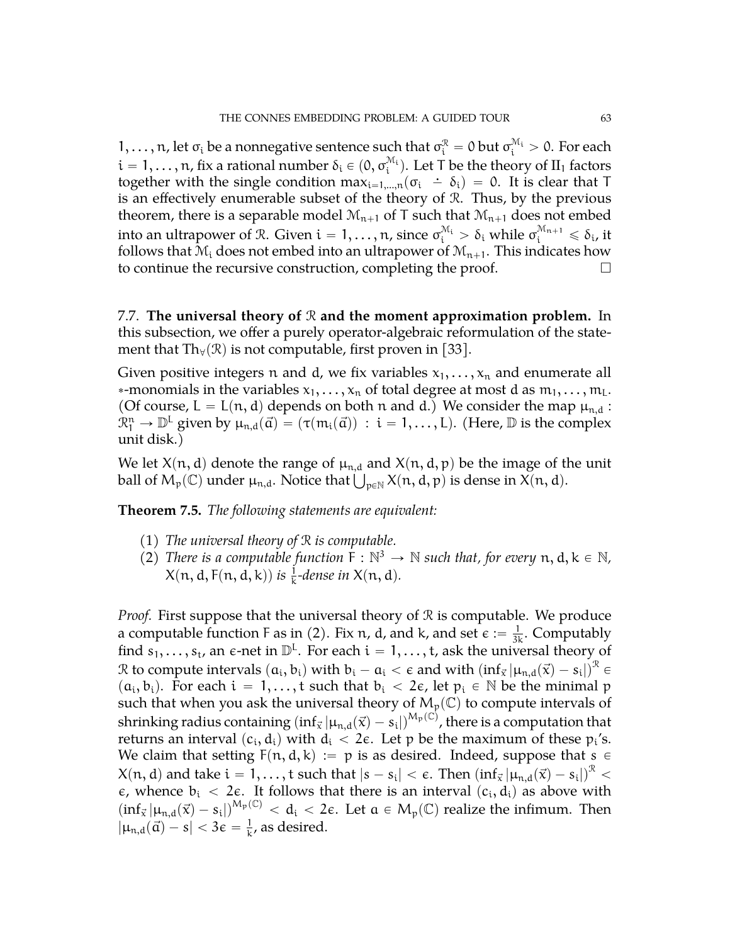1, . . . , n, let σ<sub>i</sub> be a nonnegative sentence such that  $\sigma_i^{\mathcal{R}} = 0$  but  $\sigma_i^{\mathcal{M}_i} > 0$ . For each  $i=1,\ldots,n$ , fix a rational number  $\delta_i\in (0,\sigma_i^{\mathcal{M}_i}).$  Let T be the theory of  ${\rm II}_1$  factors together with the single condition  $\max_{i=1,\dots,n} (\sigma_i \div \delta_i) = 0$ . It is clear that T is an effectively enumerable subset of the theory of R. Thus, by the previous theorem, there is a separable model  $\mathcal{M}_{n+1}$  of T such that  $\mathcal{M}_{n+1}$  does not embed into an ultrapower of R. Given  $i=1,\ldots,n$ , since  $\sigma_i^{\mathcal{M}_i} > \delta_i$  while  $\sigma_i^{\mathcal{M}_{n+1}} \leqslant \delta_i$ , it follows that  $\mathcal{M}_i$  does not embed into an ultrapower of  $\mathcal{M}_{n+1}$ . This indicates how to continue the recursive construction, completing the proof.

7.7. **The universal theory of** R **and the moment approximation problem.** In this subsection, we offer a purely operator-algebraic reformulation of the statement that Th<sub> $\forall$ </sub>( $\Re$ ) is not computable, first proven in [\[33\]](#page-72-5).

Given positive integers n and d, we fix variables  $x_1, \ldots, x_n$  and enumerate all \*-monomials in the variables  $x_1, \ldots, x_n$  of total degree at most d as  $m_1, \ldots, m_L$ . (Of course,  $L = L(n, d)$  depends on both n and d.) We consider the map  $\mu_{n,d}$ :  $\mathbb{R}^n_1 \to \mathbb{D}^L$  given by  $\mu_{n,d}(\vec{a}) = (\tau(m_i(\vec{a})) : i = 1, ..., L)$ . (Here,  $\mathbb D$  is the complex unit disk.)

We let  $X(n, d)$  denote the range of  $\mu_{n,d}$  and  $X(n, d, p)$  be the image of the unit We let  $X(n, d)$  denote the range of  $\mu_{n, d}$  and  $X(n, d, p)$  be the image of tip-<br>ball of  $M_p(\mathbb{C})$  under  $\mu_{n, d}$ . Notice that  $\bigcup_{p \in \mathbb{N}} X(n, d, p)$  is dense in  $X(n, d)$ .

**Theorem 7.5.** *The following statements are equivalent:*

- (1) *The universal theory of* R *is computable.*
- (2) There is a computable function  $\dot{F}: \mathbb{N}^3 \to \mathbb{N}$  such that, for every  $n, d, k \in \mathbb{N}$ ,  $X(n, d, F(n, d, k))$  is  $\frac{1}{k}$ -dense in  $X(n, d)$ .

*Proof.* First suppose that the universal theory of  $\Re$  is computable. We produce a computable function F as in (2). Fix n, d, and k, and set  $\epsilon := \frac{1}{3k}$ . Computably find  $s_1, \ldots, s_t$ , an  $\epsilon$ -net in  $\mathbb{D}^L$ . For each  $i = 1, \ldots, t$ , ask the universal theory of  $\mathcal R$  to compute intervals  $(a_i,b_i)$  with  $b_i-a_i<\epsilon$  and with  $(\mathrm{inf}_{\vec x}|\mu_{n,d}(\vec x)-s_i|)^{\mathcal R}\in$  $(a_i, b_i)$ . For each  $i = 1, ..., t$  such that  $b_i < 2\epsilon$ , let  $p_i \in \mathbb{N}$  be the minimal p such that when you ask the universal theory of  $M_p(\mathbb{C})$  to compute intervals of shrinking radius containing  $(\inf_{\vec x} | \mu_{n,d}(\vec x) - s_i|)^{M_p(\mathbb C)}$ , there is a computation that returns an interval  $(c_i, d_i)$  with  $d_i < 2\epsilon$ . Let p be the maximum of these  $p_i$ 's. We claim that setting  $F(n, d, k) := p$  is as desired. Indeed, suppose that  $s \in$  $\lambda(n,d)$  and take  $i=1,\ldots,t$  such that  $|s-s_i|<\epsilon.$  Then  $\left(\inf_\vec{x}|\mu_{n,d}(\vec{x})-s_i|\right)^{\mathcal{R}}<\epsilon.$  $\epsilon$ , whence  $b_i$  < 2 $\epsilon$ . It follows that there is an interval  $(c_i, d_i)$  as above with  $(\inf_{\vec{x}} |\mu_{n,d}(\vec{x}) - s_i|)^{M_p(\mathbb{C})} < d_i < 2\varepsilon$ . Let  $a \in M_p(\mathbb{C})$  realize the infimum. Then  $|\mu_{n,d}(\vec{\alpha}) - s| < 3\epsilon = \frac{1}{k}$  $\frac{1}{k}$ , as desired.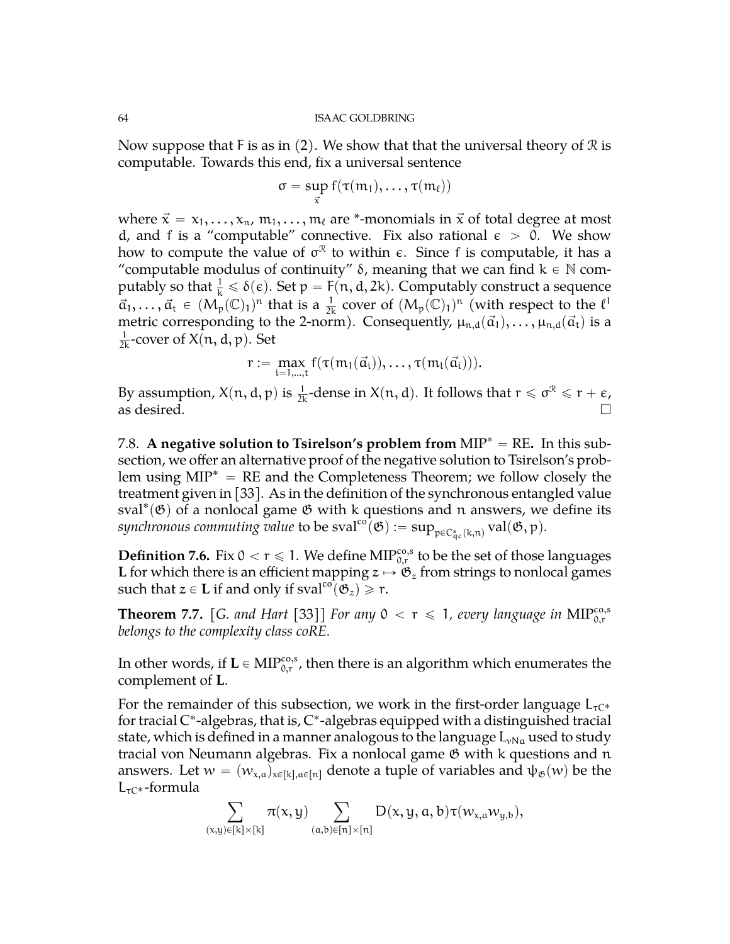Now suppose that F is as in  $(2)$ . We show that that the universal theory of  $\mathcal R$  is computable. Towards this end, fix a universal sentence

$$
\sigma = \sup_{\vec{x}} f(\tau(m_1), \ldots, \tau(m_\ell))
$$

where  $\vec{x} = x_1, \dots, x_n$ ,  $m_1, \dots, m_\ell$  are \*-monomials in  $\vec{x}$  of total degree at most d, and f is a "computable" connective. Fix also rational  $\epsilon > 0$ . We show how to compute the value of  $\sigma^{\mathcal{R}}$  to within  $\epsilon$ . Since f is computable, it has a "computable modulus of continuity"  $\delta$ , meaning that we can find  $k \in \mathbb{N}$  computably so that  $\frac{1}{k} \leq \delta(\epsilon)$ . Set  $p = F(n, d, 2k)$ . Computably construct a sequence  $\vec{a}_1,\ldots,\vec{a}_t \in (M_p(\mathbb{C})_1)^n$  that is a  $\frac{1}{2k}$  cover of  $(M_p(\mathbb{C})_1)^n$  (with respect to the  $\ell^1$ metric corresponding to the 2-norm). Consequently,  $\mu_{n,d}(\vec{a}_1), \ldots, \mu_{n,d}(\vec{a}_t)$  is a  $\frac{1}{2k}$ -cover of  $X(n, d, p)$ . Set

$$
r:=\max_{i=1,\ldots,t}f(\tau(m_1(\vec{a}_i)),\ldots,\tau(m_l(\vec{a}_i))).
$$

By assumption,  $X(n, d, p)$  is  $\frac{1}{2k}$ -dense in  $X(n, d)$ . It follows that  $r \leqslant \sigma^{\mathcal{R}} \leqslant r + \epsilon$ , as desired.  $\Box$ 

<span id="page-63-0"></span>7.8. A negative solution to Tsirelson's problem from  $MIP^* = RE$ . In this subsection, we offer an alternative proof of the negative solution to Tsirelson's problem using  $MIP^* = RE$  and the Completeness Theorem; we follow closely the treatment given in [\[33\]](#page-72-5). As in the definition of the synchronous entangled value sval\*( $\mathfrak{G}$ ) of a nonlocal game  $\mathfrak{G}$  with k questions and n answers, we define its  $synchronous commuting value$  to be  $sval^{co}(\mathfrak{G}):=\sup_{\mathfrak{p}\in C^s_{\mathrm{qc}}(\mathsf{k},\mathfrak{n})} \mathrm{val}(\mathfrak{G},\mathfrak{p}).$ 

**Definition 7.6.** Fix  $0 < r \leqslant 1$ . We define  $\text{MIP}_{0,r}^{\cos,s}$  to be the set of those languages **L** for which there is an efficient mapping  $z \mapsto \mathfrak{G}_z$  from strings to nonlocal games such that  $z \in L$  if and only if sval<sup>co</sup> $(\mathfrak{G}_z) \ge r$ .

<span id="page-63-1"></span>**Theorem 7.7.** [G. and Hart [\[33\]](#page-72-5)] For any  $0 < r \le 1$ , every language in MIP $_{0,r}^{co,s}$ *belongs to the complexity class coRE.*

In other words, if  $\mathbf{L} \in \text{MIP}_{0,r}^{\cos,s}$ , then there is an algorithm which enumerates the complement of **L**.

For the remainder of this subsection, we work in the first-order language  $L_{\tau C^*}$ for tracial C\*-algebras, that is, C\*-algebras equipped with a distinguished tracial state, which is defined in a manner analogous to the language  $L_{vNa}$  used to study tracial von Neumann algebras. Fix a nonlocal game  $\mathfrak G$  with k questions and n answers. Let  $w = (w_{x,a})_{x \in [k], a \in [n]}$  denote a tuple of variables and  $\psi_{\mathfrak{G}}(w)$  be the  $L_{\tau C^*}$ -formula

$$
\sum_{(x,y)\in[k]\times[k]} \pi(x,y) \sum_{(a,b)\in[n]\times[n]} D(x,y,a,b)\tau(w_{x,a}w_{y,b}),
$$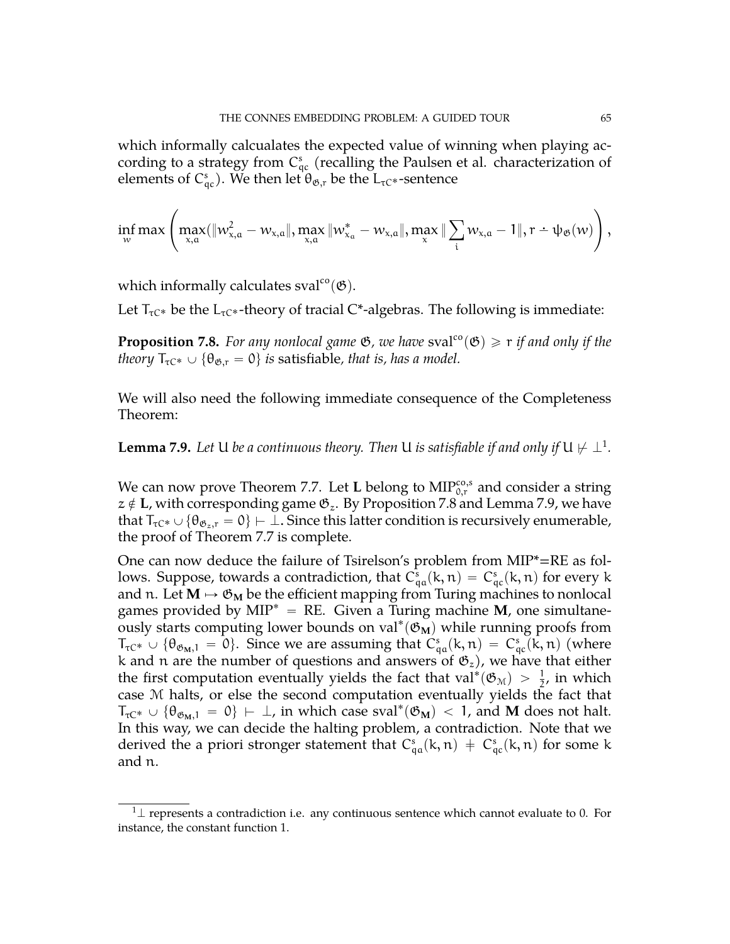which informally calcualates the expected value of winning when playing according to a strategy from  $C_{qc}^s$  (recalling the Paulsen et al. characterization of elements of C $_{\mathfrak{q}_{\mathcal{C}}}^{\mathfrak{s}}$ ). We then let  $\theta_{\mathfrak{G}, \mathfrak{r}}$  be the L<sub>τC\*</sub>-sentence

$$
\inf_{\scriptscriptstyle {\mathcal W}} max\left( \max_{x,a}(\lVert w_{x,a}^2 - w_{x,a}\rVert, \max_{x,a}\lVert w_{x_a}^* - w_{x,a}\rVert, \max_x\lVert\sum_i w_{x,a} - 1\rVert, r - \psi_{\mathfrak{G}}(w)\right),
$$

which informally calculates sval<sup>co</sup> $(\mathfrak{G})$ .

Let  $T_{\tau C^*}$  be the  $L_{\tau C^*}$ -theory of tracial  $C^*$ -algebras. The following is immediate:

<span id="page-64-1"></span>**Proposition 7.8.** *For any nonlocal game*  $\mathfrak{G}$ *, we have* sval<sup>co</sup> $(\mathfrak{G}) \geq r$  *if and only if the theory*  $T_{\tau C^*} \cup {\theta_{\mathfrak{G},r}} = 0$  *is satisfiable, that is, has a model.* 

We will also need the following immediate consequence of the Completeness Theorem:

<span id="page-64-2"></span>**Lemma 7.9.** Let  $U$  be a continuous theory. Then  $U$  is satisfiable if and only if  $U \not\vdash \bot^1.$  $U \not\vdash \bot^1.$  $U \not\vdash \bot^1.$ 

We can now prove Theorem [7.7.](#page-63-1) Let **L** belong to  $\text{MIP}^{\text{co},\text{s}}_{0,\text{r}}$  and consider a string  $z \notin L$ , with corresponding game  $\mathfrak{G}_z$ . By Proposition [7.8](#page-64-1) and Lemma [7.9,](#page-64-2) we have that  $T_{\tau C^*} \cup {\theta_{\mathfrak{G}_z,r}} = 0$   $\vdash \bot$ . Since this latter condition is recursively enumerable, the proof of Theorem [7.7](#page-63-1) is complete.

One can now deduce the failure of Tsirelson's problem from MIP\*=RE as follows. Suppose, towards a contradiction, that  $C_{qa}^s(k,n) = C_{qc}^s(k,n)$  for every k and n. Let  $M \mapsto \mathfrak{G}_M$  be the efficient mapping from Turing machines to nonlocal games provided by  $MIP^* = RE$ . Given a Turing machine **M**, one simultaneously starts computing lower bounds on val<sup>\*</sup>( $\mathfrak{G}_{\mathbf{M}}$ ) while running proofs from  $T_{\tau C^*} \cup {\theta_{\mathfrak{G}_M,1}} = 0$ . Since we are assuming that  $C_{\mathfrak{q}a}^s(k,n) = C_{\mathfrak{q}c}^s(k,n)$  (where k and n are the number of questions and answers of  $\mathfrak{G}_z$ ), we have that either the first computation eventually yields the fact that val<sup>\*</sup>( $\mathfrak{G}_{\mathcal{M}}$ ) >  $\frac{1}{2}$ , in which case M halts, or else the second computation eventually yields the fact that  $T_{\tau C^*} \cup {\theta_{\mathfrak{G}_M,1}} = 0$   $\vdash \bot$ , in which case sval<sup>\*</sup>( $\mathfrak{G}_M$ ) < 1, and **M** does not halt. In this way, we can decide the halting problem, a contradiction. Note that we derived the a priori stronger statement that  $C_{qa}^s(k, n) \, \doteqdot \, C_{qc}^s(k, n)$  for some k and n.

¸

<span id="page-64-0"></span> $1\perp$  represents a contradiction i.e. any continuous sentence which cannot evaluate to 0. For instance, the constant function 1.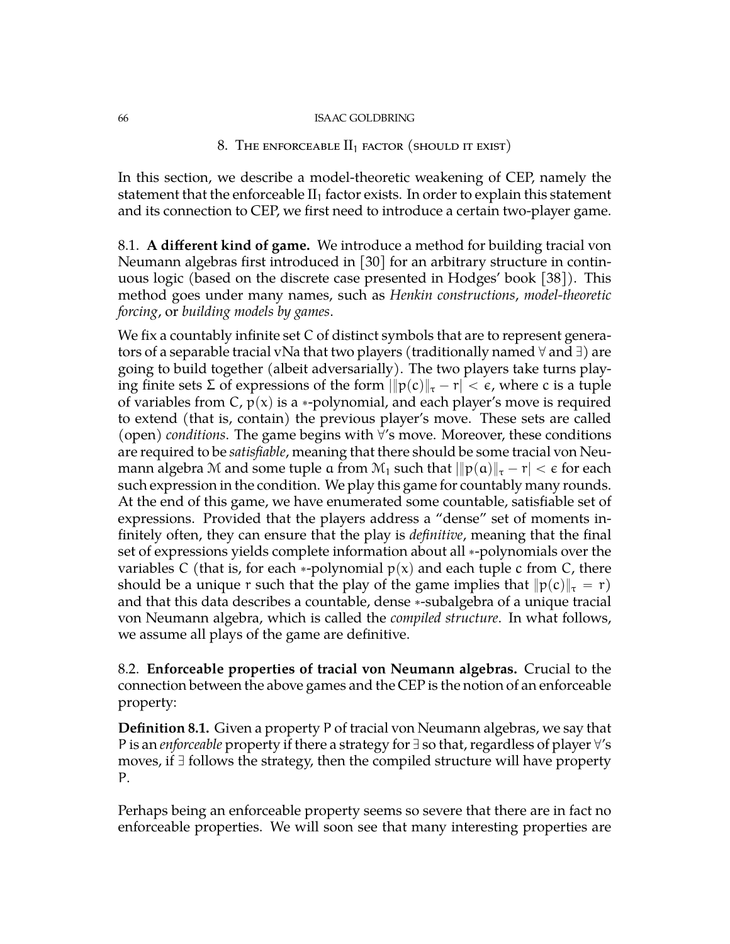# 8. The enforceable  $II_1$  factor (should it exist)

In this section, we describe a model-theoretic weakening of CEP, namely the statement that the enforceable  $II_1$  factor exists. In order to explain this statement and its connection to CEP, we first need to introduce a certain two-player game.

8.1. **A different kind of game.** We introduce a method for building tracial von Neumann algebras first introduced in [\[30\]](#page-71-13) for an arbitrary structure in continuous logic (based on the discrete case presented in Hodges' book [\[38\]](#page-72-8)). This method goes under many names, such as *Henkin constructions*, *model-theoretic forcing*, or *building models by games*.

We fix a countably infinite set C of distinct symbols that are to represent generators of a separable tracial vNa that two players (traditionally named  $\forall$  and  $\exists$ ) are going to build together (albeit adversarially). The two players take turns playing finite sets Σ of expressions of the form  $\|p(c)\|_{\tau} - r| < \epsilon$ , where c is a tuple of variables from C,  $p(x)$  is a \*-polynomial, and each player's move is required to extend (that is, contain) the previous player's move. These sets are called  $(open)$  *conditions*. The game begins with  $\forall$ 's move. Moreover, these conditions are required to be *satisfiable*, meaning that there should be some tracial von Neumann algebra M and some tuple a from  $\mathcal{M}_1$  such that  $\|\mathfrak{p}(\mathfrak{a})\|_{\tau} - r| < \epsilon$  for each such expression in the condition. We play this game for countably many rounds. At the end of this game, we have enumerated some countable, satisfiable set of expressions. Provided that the players address a "dense" set of moments infinitely often, they can ensure that the play is *definitive*, meaning that the final set of expressions yields complete information about all \*-polynomials over the variables C (that is, for each \*-polynomial  $p(x)$  and each tuple c from C, there should be a unique r such that the play of the game implies that  $||p(c)||_{\tau} = r$ ) and that this data describes a countable, dense \*-subalgebra of a unique tracial von Neumann algebra, which is called the *compiled structure*. In what follows, we assume all plays of the game are definitive.

8.2. **Enforceable properties of tracial von Neumann algebras.** Crucial to the connection between the above games and the CEP is the notion of an enforceable property:

**Definition 8.1.** Given a property P of tracial von Neumann algebras, we say that P is an *enforceable* property if there a strategy for  $\exists$  so that, regardless of player  $\forall$ 's moves, if  $\exists$  follows the strategy, then the compiled structure will have property P.

Perhaps being an enforceable property seems so severe that there are in fact no enforceable properties. We will soon see that many interesting properties are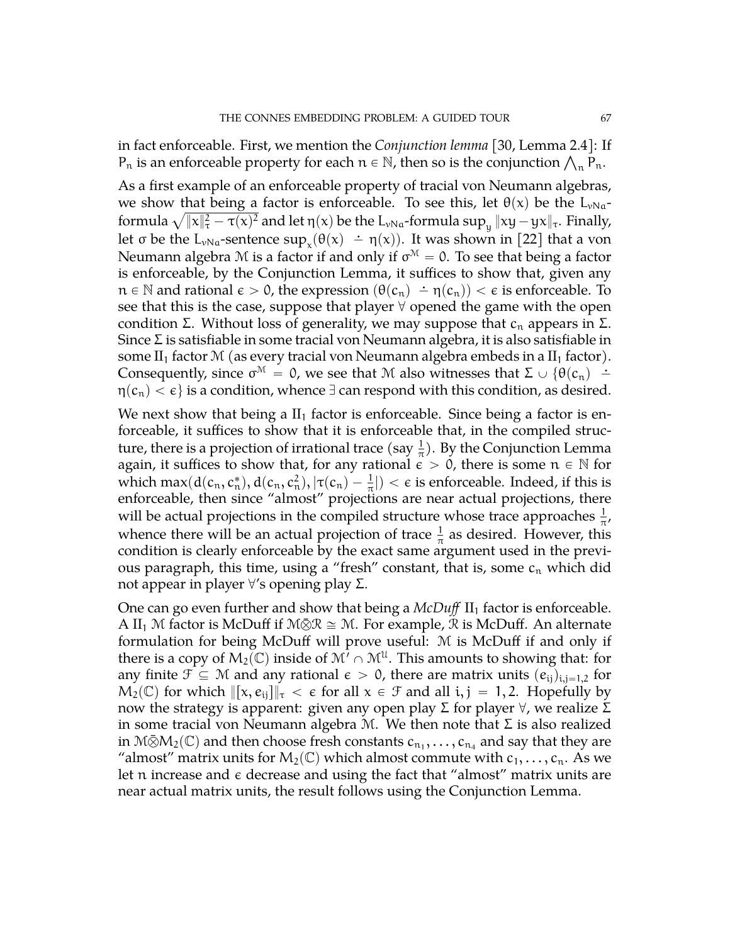in fact enforceable. First, we mention the *Conjunction lemma* [\[30,](#page-71-13) Lemma 2.4]: If in fact enforceable. First, we mention the Conjunction lemma [30, Lemma 2.4]: I<br>P<sub>n</sub> is an enforceable property for each  $n \in \mathbb{N}$ , then so is the conjunction  $\bigwedge_n \mathsf{P}_n.$ 

As a first example of an enforceable property of tracial von Neumann algebras, we show that being a factor is enforceable. To see this, let  $\theta(x)$  be the L<sub>vNa</sub>we show that being a factor is enforceable. To see this, let θ(x) be the L<sub>vNa</sub>-<br>formula  $\sqrt{\|x\|_{\tau}^2 - \tau(x)^2}$  and let η(x) be the L<sub>νNa</sub>-formula sup<sub>y</sub>  $\|xy - yx\|_{\tau}$ . Finally, let  $\sigma$  be the  $L_{\nu Na}$ -sentence  $\sup_x(\theta(x) - \eta(x))$ . It was shown in [\[22\]](#page-71-8) that a von Neumann algebra M is a factor if and only if  $\sigma^{\mathcal{M}}=0.$  To see that being a factor is enforceable, by the Conjunction Lemma, it suffices to show that, given any  $n \in \mathbb{N}$  and rational  $\epsilon > 0$ , the expression  $(\theta(c_n) - \eta(c_n)) < \epsilon$  is enforceable. To see that this is the case, suppose that player  $\forall$  opened the game with the open condition Σ. Without loss of generality, we may suppose that  $c_n$  appears in Σ. Since Σ is satisfiable in some tracial von Neumann algebra, it is also satisfiable in some  $II_1$  factor M (as every tracial von Neumann algebra embeds in a  $II_1$  factor). Consequently, since  $\sigma^M = 0$ , we see that M also witnesses that  $\Sigma \cup \{\theta(c_n) \doteq$  $\eta(c_n) < \epsilon$  is a condition, whence  $\exists$  can respond with this condition, as desired.

We next show that being a  $II_1$  factor is enforceable. Since being a factor is enforceable, it suffices to show that it is enforceable that, in the compiled structure, there is a projection of irrational trace (say  $\frac{1}{\pi}$ ). By the Conjunction Lemma again, it suffices to show that, for any rational  $\epsilon > 0$ , there is some  $n \in \mathbb{N}$  for which  $\max(d(c_n, c_n^*), d(c_n, c_n^2), |\tau(c_n) - \frac{1}{\pi}|) < \epsilon$  is enforceable. Indeed, if this is enforceable, then since "almost" projections are near actual projections, there will be actual projections in the compiled structure whose trace approaches  $\frac{1}{\pi}$ , whence there will be an actual projection of trace  $\frac{1}{\pi}$  as desired. However, this condition is clearly enforceable by the exact same argument used in the previous paragraph, this time, using a "fresh" constant, that is, some  $c_n$  which did not appear in player  $\forall$ 's opening play Σ.

One can go even further and show that being a  $McDuff$  II<sub>1</sub> factor is enforceable. A II<sub>1</sub> M factor is McDuff if M $\bar{Q}R \cong M$ . For example, R is McDuff. An alternate formulation for being McDuff will prove useful: M is McDuff if and only if there is a copy of  $\mathsf{M}_{2}(\mathbb{C})$  inside of  $\mathfrak{M}^7\cap \mathfrak{M}^{\mathfrak{U}}.$  This amounts to showing that: for any finite  $\mathcal{F} \subseteq \mathcal{M}$  and any rational  $\epsilon > 0$ , there are matrix units  $(e_{ij})_{i,j=1,2}$  for  $M_2(\mathbb{C})$  for which  $\|\{x, e_{ij}\}\|_{\tau} < \epsilon$  for all  $x \in \mathcal{F}$  and all i, j = 1, 2. Hopefully by now the strategy is apparent: given any open play Σ for player  $\forall$ , we realize Σ in some tracial von Neumann algebra M. We then note that  $\Sigma$  is also realized in M $\bar{\otimes}$ M $_2$ (C) and then choose fresh constants  $c_{n_1},\ldots,c_{n_4}$  and say that they are "almost" matrix units for  $M_2(\mathbb{C})$  which almost commute with  $c_1, \ldots, c_n$ . As we let n increase and  $\epsilon$  decrease and using the fact that "almost" matrix units are near actual matrix units, the result follows using the Conjunction Lemma.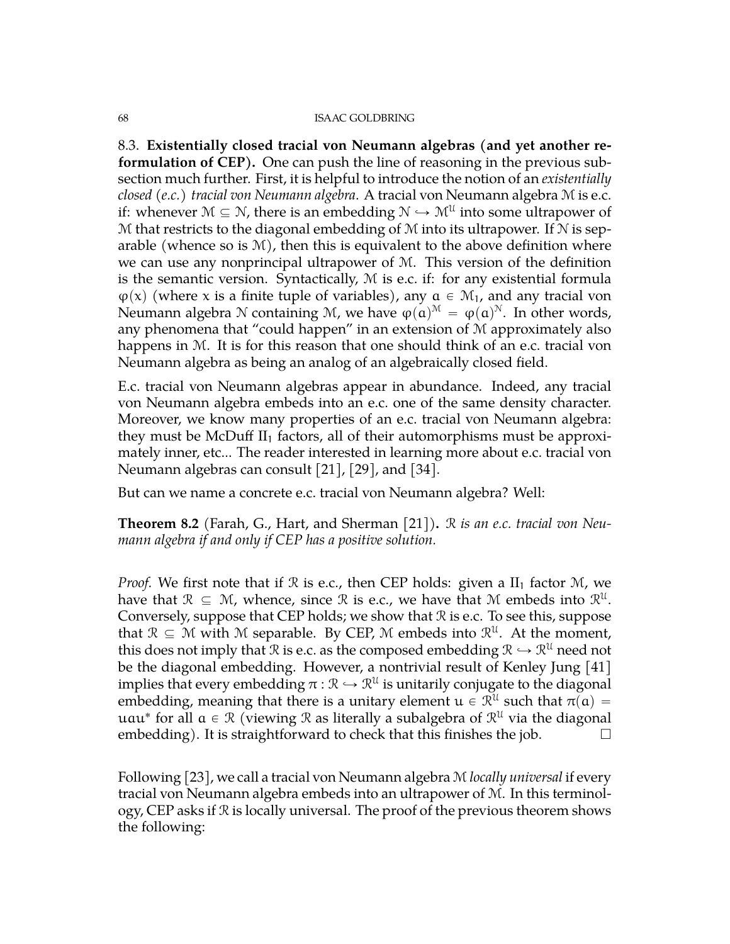8.3. **Existentially closed tracial von Neumann algebras (and yet another reformulation of CEP).** One can push the line of reasoning in the previous subsection much further. First, it is helpful to introduce the notion of an *existentially closed (e.c.) tracial von Neumann algebra*. A tracial von Neumann algebra M is e.c. if: whenever  $\mathcal{M} \subseteq \mathcal{N}$ , there is an embedding  $\mathcal{N} \hookrightarrow \mathcal{M}^{\mathcal{U}}$  into some ultrapower of M that restricts to the diagonal embedding of  $M$  into its ultrapower. If  $N$  is separable (whence so is  $\mathcal{M}$ ), then this is equivalent to the above definition where we can use any nonprincipal ultrapower of M. This version of the definition is the semantic version. Syntactically,  $M$  is e.c. if: for any existential formula  $\varphi(x)$  (where x is a finite tuple of variables), any  $a \in \mathcal{M}_1$ , and any tracial von Neumann algebra  $\mathcal N$  containing  $\mathcal M$ , we have  $\phi(\mathfrak{a})^{\mathfrak{M}}=\phi(\mathfrak{a})^{\mathfrak{N}}.$  In other words, any phenomena that "could happen" in an extension of M approximately also happens in M. It is for this reason that one should think of an e.c. tracial von Neumann algebra as being an analog of an algebraically closed field.

E.c. tracial von Neumann algebras appear in abundance. Indeed, any tracial von Neumann algebra embeds into an e.c. one of the same density character. Moreover, we know many properties of an e.c. tracial von Neumann algebra: they must be McDuff  $II_1$  factors, all of their automorphisms must be approximately inner, etc... The reader interested in learning more about e.c. tracial von Neumann algebras can consult [\[21\]](#page-71-14), [\[29\]](#page-71-11), and [\[34\]](#page-72-9).

But can we name a concrete e.c. tracial von Neumann algebra? Well:

**Theorem 8.2** (Farah, G., Hart, and Sherman [\[21\]](#page-71-14))**.** R *is an e.c. tracial von Neumann algebra if and only if CEP has a positive solution.*

*Proof.* We first note that if  $\Re$  is e.c., then CEP holds: given a  $II_1$  factor  $M$ , we have that  $\mathcal{R} \subseteq \mathcal{M}$ , whence, since  $\mathcal{R}$  is e.c., we have that  $\mathcal{M}$  embeds into  $\mathcal{R}^{\mathfrak{U}}$ . Conversely, suppose that CEP holds; we show that R is e.c. To see this, suppose that  $\mathcal{R} \subseteq \mathcal{M}$  with M separable. By CEP, M embeds into  $\mathcal{R}^{\mathcal{U}}$ . At the moment, this does not imply that  $\mathcal R$  is e.c. as the composed embedding  $\mathcal R \hookrightarrow \mathcal R^{\mathfrak U}$  need not be the diagonal embedding. However, a nontrivial result of Kenley Jung [\[41\]](#page-72-10) implies that every embedding  $\pi: \mathbb{R} \hookrightarrow \mathbb{R}^{\mathfrak{U}}$  is unitarily conjugate to the diagonal embedding, meaning that there is a unitary element  $u \in \mathcal{R}^{\mathcal{U}}$  such that  $\pi(\mathfrak{a}) =$ uau $^*$  for all  $a \in \mathcal{R}$  (viewing  $\mathcal{R}$  as literally a subalgebra of  $\mathcal{R}^{\mathcal{U}}$  via the diagonal embedding). It is straightforward to check that this finishes the job.  $\Box$ 

Following [\[23\]](#page-71-15), we call a tracial von Neumann algebra M *locally universal* if every tracial von Neumann algebra embeds into an ultrapower of M. In this terminology, CEP asks if R is locally universal. The proof of the previous theorem shows the following: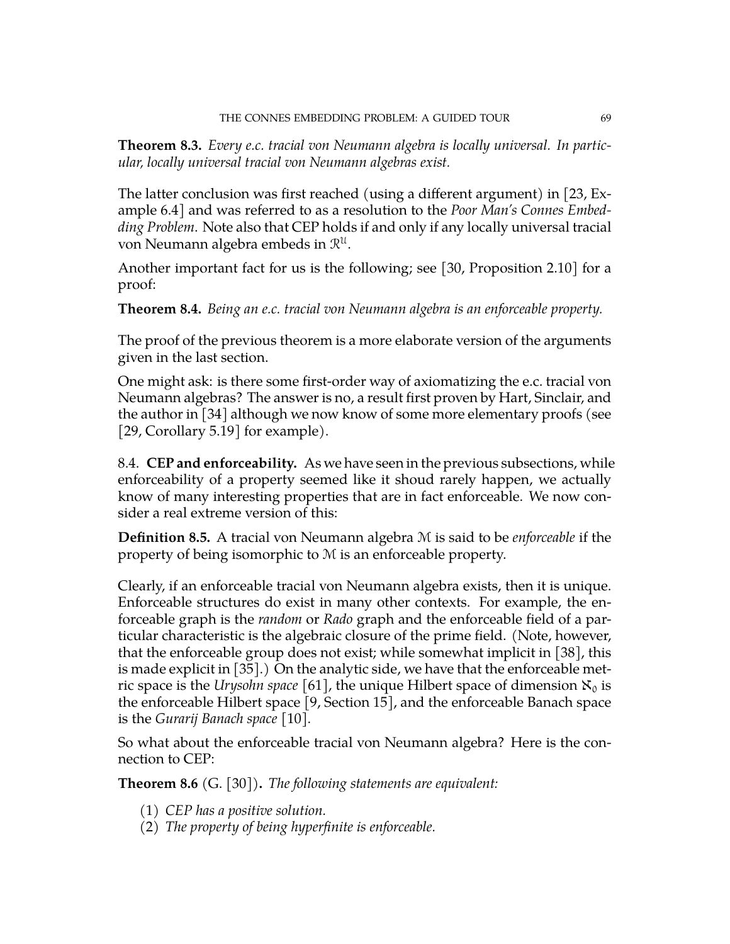**Theorem 8.3.** *Every e.c. tracial von Neumann algebra is locally universal. In particular, locally universal tracial von Neumann algebras exist.*

The latter conclusion was first reached (using a different argument) in [\[23,](#page-71-15) Example 6.4] and was referred to as a resolution to the *Poor Man's Connes Embedding Problem*. Note also that CEP holds if and only if any locally universal tracial von Neumann algebra embeds in  $\mathcal{R}^{\mathfrak{U}}.$ 

Another important fact for us is the following; see [\[30,](#page-71-13) Proposition 2.10] for a proof:

**Theorem 8.4.** *Being an e.c. tracial von Neumann algebra is an enforceable property.*

The proof of the previous theorem is a more elaborate version of the arguments given in the last section.

One might ask: is there some first-order way of axiomatizing the e.c. tracial von Neumann algebras? The answer is no, a result first proven by Hart, Sinclair, and the author in [\[34\]](#page-72-9) although we now know of some more elementary proofs (see [\[29,](#page-71-11) Corollary 5.19] for example).

8.4. **CEP and enforceability.** As we have seen in the previous subsections, while enforceability of a property seemed like it shoud rarely happen, we actually know of many interesting properties that are in fact enforceable. We now consider a real extreme version of this:

**Definition 8.5.** A tracial von Neumann algebra M is said to be *enforceable* if the property of being isomorphic to M is an enforceable property.

Clearly, if an enforceable tracial von Neumann algebra exists, then it is unique. Enforceable structures do exist in many other contexts. For example, the enforceable graph is the *random* or *Rado* graph and the enforceable field of a particular characteristic is the algebraic closure of the prime field. (Note, however, that the enforceable group does not exist; while somewhat implicit in [\[38\]](#page-72-8), this is made explicit in [\[35\]](#page-72-11).) On the analytic side, we have that the enforceable metric space is the *Urysohn space* [\[61\]](#page-73-4), the unique Hilbert space of dimension  $\aleph_0$  is the enforceable Hilbert space [\[9,](#page-71-7) Section 15], and the enforceable Banach space is the *Gurarij Banach space* [\[10\]](#page-71-16).

So what about the enforceable tracial von Neumann algebra? Here is the connection to CEP:

**Theorem 8.6** (G. [\[30\]](#page-71-13))**.** *The following statements are equivalent:*

- (1) *CEP has a positive solution.*
- (2) *The property of being hyperfinite is enforceable.*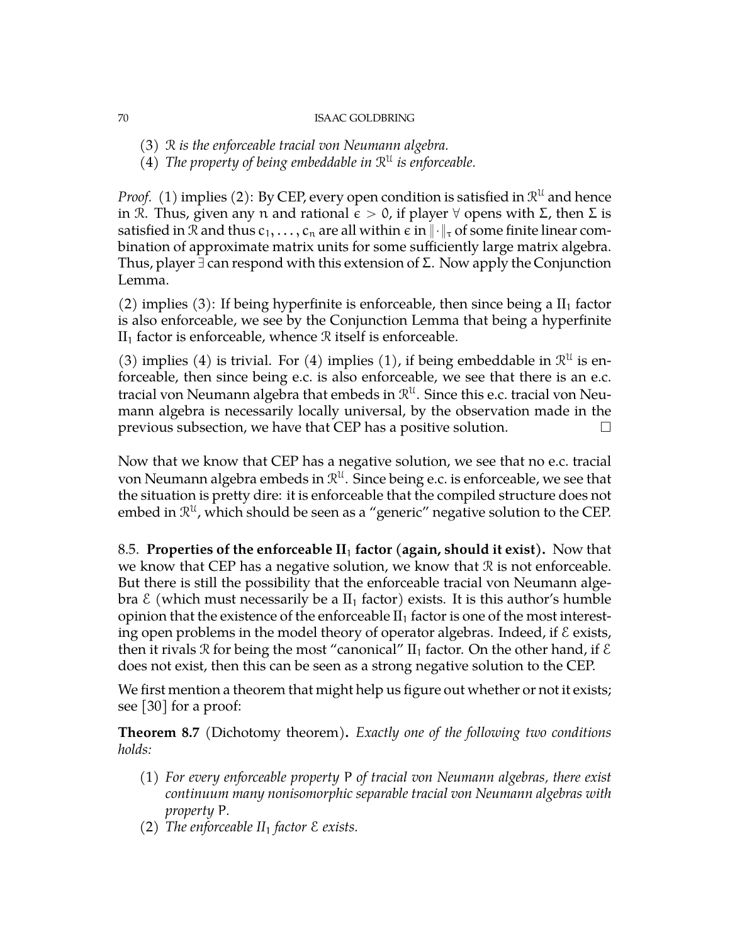- (3) R *is the enforceable tracial von Neumann algebra.*
- (4) The property of being embeddable in  $\mathbb{R}^{\mathfrak{U}}$  is enforceable.

*Proof.* (1) implies (2): By CEP, every open condition is satisfied in  $\mathbb{R}^{\mathfrak{U}}$  and hence in R. Thus, given any n and rational  $\epsilon > 0$ , if player  $\forall$  opens with  $\Sigma$ , then  $\Sigma$  is satisfied in R and thus  $c_1, \ldots, c_n$  are all within  $\epsilon$  in  $\|\cdot\|_{\tau}$  of some finite linear combination of approximate matrix units for some sufficiently large matrix algebra. Thus, player  $\exists$  can respond with this extension of Σ. Now apply the Conjunction Lemma.

(2) implies (3): If being hyperfinite is enforceable, then since being a  $II_1$  factor is also enforceable, we see by the Conjunction Lemma that being a hyperfinite  $II<sub>1</sub>$  factor is enforceable, whence  $R$  itself is enforceable.

(3) implies (4) is trivial. For (4) implies (1), if being embeddable in  $\mathbb{R}^{\mathfrak{U}}$  is enforceable, then since being e.c. is also enforceable, we see that there is an e.c. tracial von Neumann algebra that embeds in  $\mathcal{R}^\mathfrak{U}.$  Since this e.c. tracial von Neumann algebra is necessarily locally universal, by the observation made in the previous subsection, we have that CEP has a positive solution.  $\Box$ 

Now that we know that CEP has a negative solution, we see that no e.c. tracial von Neumann algebra embeds in  $\mathcal{R}^\mathfrak{U}.$  Since being e.c. is enforceable, we see that the situation is pretty dire: it is enforceable that the compiled structure does not embed in  $\mathcal{R}^\mathfrak{U}$ , which should be seen as a "generic" negative solution to the CEP.

8.5. **Properties of the enforceable II**<sup>1</sup> **factor (again, should it exist).** Now that we know that CEP has a negative solution, we know that  $\mathcal R$  is not enforceable. But there is still the possibility that the enforceable tracial von Neumann algebra  $\mathcal E$  (which must necessarily be a  $II_1$  factor) exists. It is this author's humble opinion that the existence of the enforceable  $II_1$  factor is one of the most interesting open problems in the model theory of operator algebras. Indeed, if  $\epsilon$  exists, then it rivals  $\Re$  for being the most "canonical" II<sub>1</sub> factor. On the other hand, if  $\mathcal E$ does not exist, then this can be seen as a strong negative solution to the CEP.

We first mention a theorem that might help us figure out whether or not it exists; see [\[30\]](#page-71-13) for a proof:

**Theorem 8.7** (Dichotomy theorem)**.** *Exactly one of the following two conditions holds:*

- (1) *For every enforceable property* P *of tracial von Neumann algebras, there exist continuum many nonisomorphic separable tracial von Neumann algebras with property* P*.*
- (2) *The enforceable II*<sup>1</sup> *factor* E *exists.*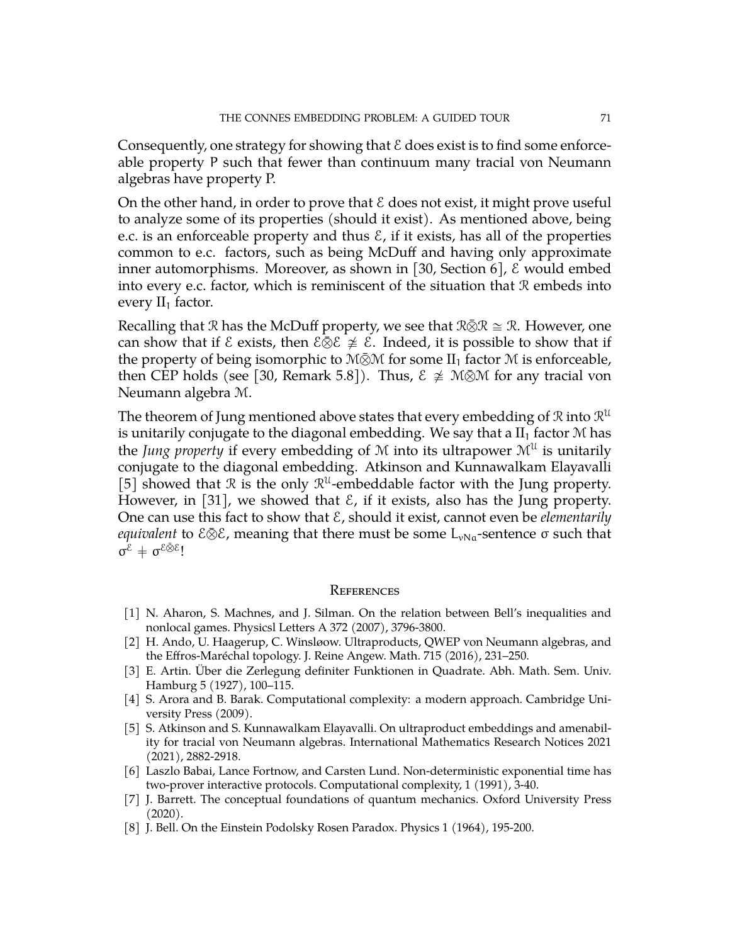Consequently, one strategy for showing that  $\mathcal E$  does exist is to find some enforceable property P such that fewer than continuum many tracial von Neumann algebras have property P.

On the other hand, in order to prove that  $\mathcal E$  does not exist, it might prove useful to analyze some of its properties (should it exist). As mentioned above, being e.c. is an enforceable property and thus  $\mathcal{E}$ , if it exists, has all of the properties common to e.c. factors, such as being McDuff and having only approximate inner automorphisms. Moreover, as shown in [\[30,](#page-71-13) Section 6],  $\epsilon$  would embed into every e.c. factor, which is reminiscent of the situation that  $\mathcal R$  embeds into every  $II_1$  factor.

Recalling that R has the McDuff property, we see that  $\mathbb{R}\bar{\otimes}\mathbb{R}\cong\mathbb{R}$ . However, one can show that if  $\mathcal E$  exists, then  $\mathcal E\otimes\mathcal E\not\cong\mathcal E$ . Indeed, it is possible to show that if the property of being isomorphic to  $M\bar{\otimes} M$  for some  $II_1$  factor  $M$  is enforceable, then CEP holds (see [\[30,](#page-71-13) Remark 5.8]). Thus,  $\mathcal{E} \not\cong \mathcal{M} \bar{\otimes} \mathcal{M}$  for any tracial von Neumann algebra M.

The theorem of Jung mentioned above states that every embedding of  ${\mathcal R}$  into  ${\mathcal R}^{\mathfrak U}$ is unitarily conjugate to the diagonal embedding. We say that a  $II_1$  factor  $M$  has the *Jung property* if every embedding of M into its ultrapower  $\mathcal{M}^{\mathcal{U}}$  is unitarily conjugate to the diagonal embedding. Atkinson and Kunnawalkam Elayavalli [\[5\]](#page-70-4) showed that  $\mathcal R$  is the only  $\mathcal R^{\mathfrak U}$ -embeddable factor with the Jung property. However, in [\[31\]](#page-72-12), we showed that  $\mathcal{E}$ , if it exists, also has the Jung property. One can use this fact to show that E, should it exist, cannot even be *elementarily equivalent* to  $\mathcal{E} \bar{\otimes} \mathcal{E}$ , meaning that there must be some L<sub>νNa</sub>-sentence σ such that  $\sigma^{\varepsilon} + \sigma^{\varepsilon \bar{\otimes} \varepsilon}$ !

### **REFERENCES**

- [1] N. Aharon, S. Machnes, and J. Silman. On the relation between Bell's inequalities and nonlocal games. Physicsl Letters A 372 (2007), 3796-3800.
- [2] H. Ando, U. Haagerup, C. Winsløow. Ultraproducts, QWEP von Neumann algebras, and the Effros-Maréchal topology. J. Reine Angew. Math. 715 (2016), 231–250.
- [3] E. Artin. Über die Zerlegung definiter Funktionen in Quadrate. Abh. Math. Sem. Univ. Hamburg 5 (1927), 100–115.
- <span id="page-70-0"></span>[4] S. Arora and B. Barak. Computational complexity: a modern approach. Cambridge University Press (2009).
- <span id="page-70-4"></span>[5] S. Atkinson and S. Kunnawalkam Elayavalli. On ultraproduct embeddings and amenability for tracial von Neumann algebras. International Mathematics Research Notices 2021 (2021), 2882-2918.
- <span id="page-70-1"></span>[6] Laszlo Babai, Lance Fortnow, and Carsten Lund. Non-deterministic exponential time has two-prover interactive protocols. Computational complexity, 1 (1991), 3-40.
- <span id="page-70-2"></span>[7] J. Barrett. The conceptual foundations of quantum mechanics. Oxford University Press  $(2020).$
- <span id="page-70-3"></span>[8] J. Bell. On the Einstein Podolsky Rosen Paradox. Physics 1 (1964), 195-200.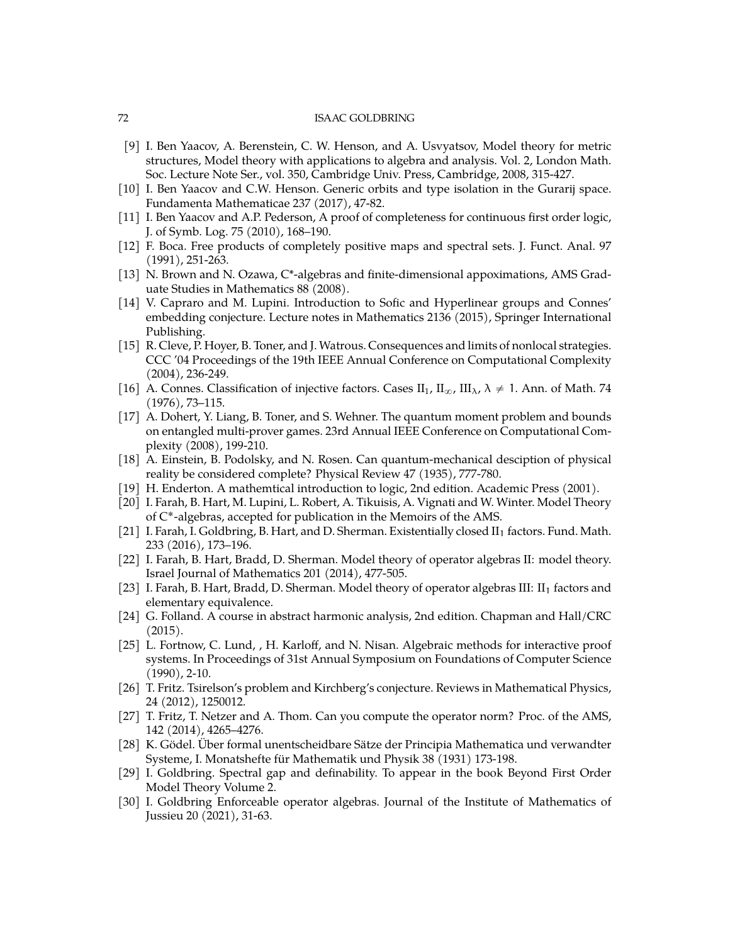- <span id="page-71-7"></span>[9] I. Ben Yaacov, A. Berenstein, C. W. Henson, and A. Usvyatsov, Model theory for metric structures, Model theory with applications to algebra and analysis. Vol. 2, London Math. Soc. Lecture Note Ser., vol. 350, Cambridge Univ. Press, Cambridge, 2008, 315-427.
- <span id="page-71-16"></span>[10] I. Ben Yaacov and C.W. Henson. Generic orbits and type isolation in the Gurarij space. Fundamenta Mathematicae 237 (2017), 47-82.
- <span id="page-71-10"></span>[11] I. Ben Yaacov and A.P. Pederson, A proof of completeness for continuous first order logic, J. of Symb. Log. 75 (2010), 168–190.
- <span id="page-71-6"></span>[12] F. Boca. Free products of completely positive maps and spectral sets. J. Funct. Anal. 97 (1991), 251-263.
- [13] N. Brown and N. Ozawa, C\*-algebras and finite-dimensional appoximations, AMS Graduate Studies in Mathematics 88 (2008).
- [14] V. Capraro and M. Lupini. Introduction to Sofic and Hyperlinear groups and Connes' embedding conjecture. Lecture notes in Mathematics 2136 (2015), Springer International Publishing.
- <span id="page-71-2"></span>[15] R. Cleve, P. Hoyer, B. Toner, and J. Watrous. Consequences and limits of nonlocal strategies. CCC '04 Proceedings of the 19th IEEE Annual Conference on Computational Complexity (2004), 236-249.
- [16] A. Connes. Classification of injective factors. Cases II<sub>1</sub>, II<sub> $\alpha$ </sub>, III<sub> $\lambda$ </sub>,  $\lambda \neq 1$ . Ann. of Math. 74 (1976), 73–115.
- <span id="page-71-3"></span>[17] A. Dohert, Y. Liang, B. Toner, and S. Wehner. The quantum moment problem and bounds on entangled multi-prover games. 23rd Annual IEEE Conference on Computational Complexity (2008), 199-210.
- <span id="page-71-1"></span>[18] A. Einstein, B. Podolsky, and N. Rosen. Can quantum-mechanical desciption of physical reality be considered complete? Physical Review 47 (1935), 777-780.
- <span id="page-71-9"></span>[19] H. Enderton. A mathemtical introduction to logic, 2nd edition. Academic Press (2001).
- [20] I. Farah, B. Hart, M. Lupini, L. Robert, A. Tikuisis, A. Vignati and W. Winter. Model Theory of C ˚-algebras, accepted for publication in the Memoirs of the AMS.
- <span id="page-71-14"></span>[21] I. Farah, I. Goldbring, B. Hart, and D. Sherman. Existentially closed II<sub>1</sub> factors. Fund. Math. 233 (2016), 173–196.
- <span id="page-71-8"></span>[22] I. Farah, B. Hart, Bradd, D. Sherman. Model theory of operator algebras II: model theory. Israel Journal of Mathematics 201 (2014), 477-505.
- <span id="page-71-15"></span>[23] I. Farah, B. Hart, Bradd, D. Sherman. Model theory of operator algebras III: II<sub>1</sub> factors and elementary equivalence.
- [24] G. Folland. A course in abstract harmonic analysis, 2nd edition. Chapman and Hall/CRC (2015).
- <span id="page-71-0"></span>[25] L. Fortnow, C. Lund, , H. Karloff, and N. Nisan. Algebraic methods for interactive proof systems. In Proceedings of 31st Annual Symposium on Foundations of Computer Science (1990), 2-10.
- <span id="page-71-5"></span>[26] T. Fritz. Tsirelson's problem and Kirchberg's conjecture. Reviews in Mathematical Physics, 24 (2012), 1250012.
- <span id="page-71-4"></span>[27] T. Fritz, T. Netzer and A. Thom. Can you compute the operator norm? Proc. of the AMS, 142 (2014), 4265–4276.
- <span id="page-71-12"></span>[28] K. Gödel. Über formal unentscheidbare Sätze der Principia Mathematica und verwandter Systeme, I. Monatshefte für Mathematik und Physik 38 (1931) 173-198.
- <span id="page-71-11"></span>[29] I. Goldbring. Spectral gap and definability. To appear in the book Beyond First Order Model Theory Volume 2.
- <span id="page-71-13"></span>[30] I. Goldbring Enforceable operator algebras. Journal of the Institute of Mathematics of Jussieu 20 (2021), 31-63.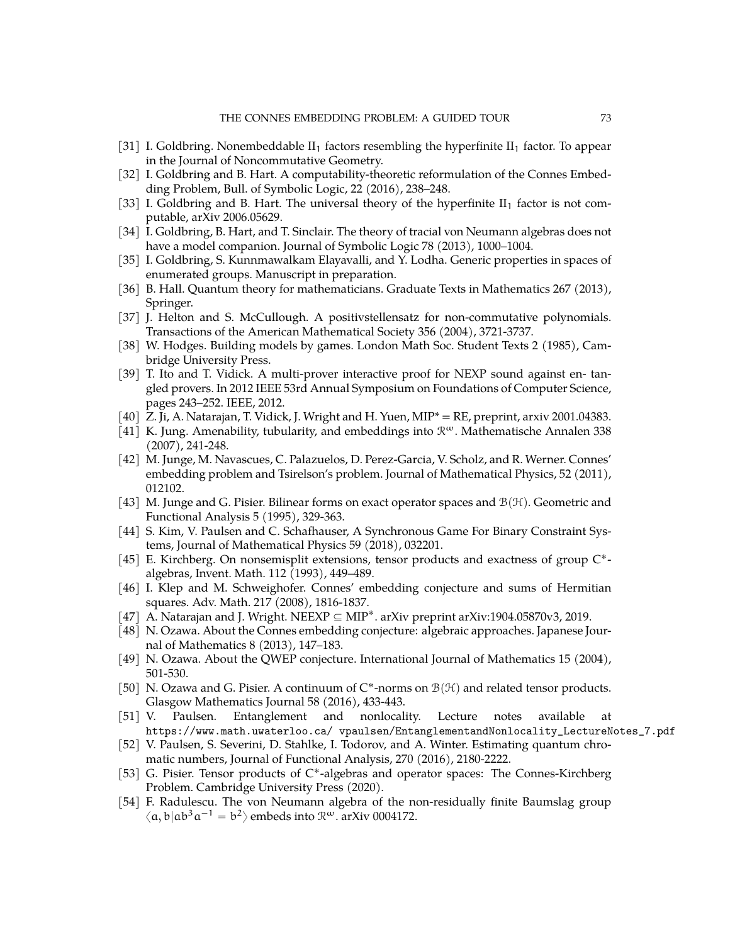- [31] I. Goldbring. Nonembeddable  $II_1$  factors resembling the hyperfinite  $II_1$  factor. To appear in the Journal of Noncommutative Geometry.
- [32] I. Goldbring and B. Hart. A computability-theoretic reformulation of the Connes Embedding Problem, Bull. of Symbolic Logic, 22 (2016), 238–248.
- [33] I. Goldbring and B. Hart. The universal theory of the hyperfinite  $II_1$  factor is not computable, arXiv 2006.05629.
- [34] I. Goldbring, B. Hart, and T. Sinclair. The theory of tracial von Neumann algebras does not have a model companion. Journal of Symbolic Logic 78 (2013), 1000–1004.
- [35] I. Goldbring, S. Kunnmawalkam Elayavalli, and Y. Lodha. Generic properties in spaces of enumerated groups. Manuscript in preparation.
- [36] B. Hall. Quantum theory for mathematicians. Graduate Texts in Mathematics 267 (2013), Springer.
- [37] J. Helton and S. McCullough. A positivstellensatz for non-commutative polynomials. Transactions of the American Mathematical Society 356 (2004), 3721-3737.
- [38] W. Hodges. Building models by games. London Math Soc. Student Texts 2 (1985), Cambridge University Press.
- [39] T. Ito and T. Vidick. A multi-prover interactive proof for NEXP sound against en- tangled provers. In 2012 IEEE 53rd Annual Symposium on Foundations of Computer Science, pages 243–252. IEEE, 2012.
- [40] Z. Ji, A. Natarajan, T. Vidick, J. Wright and H. Yuen, MIP\* = RE, preprint, arxiv 2001.04383.
- [41] K. Jung. Amenability, tubularity, and embeddings into  $\mathcal{R}^{\omega}$ . Mathematische Annalen 338 (2007), 241-248.
- [42] M. Junge, M. Navascues, C. Palazuelos, D. Perez-Garcia, V. Scholz, and R. Werner. Connes' embedding problem and Tsirelson's problem. Journal of Mathematical Physics, 52 (2011), 012102.
- [43] M. Junge and G. Pisier. Bilinear forms on exact operator spaces and  $\mathcal{B}(\mathcal{H})$ . Geometric and Functional Analysis 5 (1995), 329-363.
- [44] S. Kim, V. Paulsen and C. Schafhauser, A Synchronous Game For Binary Constraint Systems, Journal of Mathematical Physics 59 (2018), 032201.
- [45] E. Kirchberg. On nonsemisplit extensions, tensor products and exactness of group C\*algebras, Invent. Math. 112 (1993), 449–489.
- [46] I. Klep and M. Schweighofer. Connes' embedding conjecture and sums of Hermitian squares. Adv. Math. 217 (2008), 1816-1837.
- [47] A. Natarajan and J. Wright. NEEXP  $\subseteq$  MIP<sup>\*</sup>. arXiv preprint arXiv:1904.05870v3, 2019.
- [48] N. Ozawa. About the Connes embedding conjecture: algebraic approaches. Japanese Journal of Mathematics 8 (2013), 147–183.
- [49] N. Ozawa. About the QWEP conjecture. International Journal of Mathematics 15 (2004), 501-530.
- [50] N. Ozawa and G. Pisier. A continuum of  $C^*$ -norms on  $\mathcal{B}(\mathcal{H})$  and related tensor products. Glasgow Mathematics Journal 58 (2016), 433-443.
- [51] V. Paulsen. Entanglement and nonlocality. Lecture notes available at https://www.math.uwaterloo.ca/ vpaulsen/EntanglementandNonlocality\_LectureNotes\_7.pdf
- [52] V. Paulsen, S. Severini, D. Stahlke, I. Todorov, and A. Winter. Estimating quantum chromatic numbers, Journal of Functional Analysis, 270 (2016), 2180-2222.
- [53] G. Pisier. Tensor products of C\*-algebras and operator spaces: The Connes-Kirchberg Problem. Cambridge University Press (2020).
- [54] F. Radulescu. The von Neumann algebra of the non-residually finite Baumslag group  $\langle \alpha, \mathfrak{b} | \mathfrak{a} \mathfrak{b}^3 \mathfrak{a}^{-1} = \mathfrak{b}^2 \rangle$  embeds into  $\mathfrak{R}^\omega$ . arXiv 0004172.